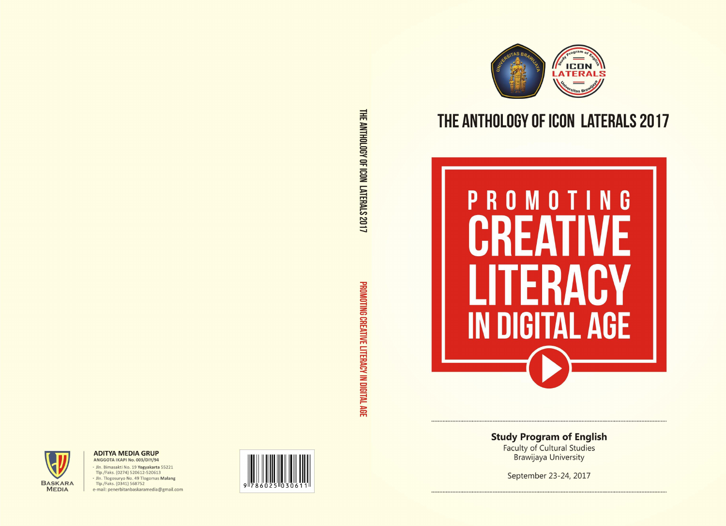

### **ADITYA MEDIA GRUP** ANGGOTA IKAPI No. 003/DIY/94

· Jln. Bimasakti No. 19 Yogyakarta 55221 Tlp./Faks. (0274) 520612-520613

· Jln. Tlogosuryo No. 49 Tlogomas Malang

Tlp./Faks. (0341) 568752

e-mail: penerbitanbaskaramedia@gmail.com





# THE ANTHOLOGY OF ICON LATERALS 2017



# **Study Program of English**

Faculty of Cultural Studies<br>Brawijaya University

September 23-24, 2017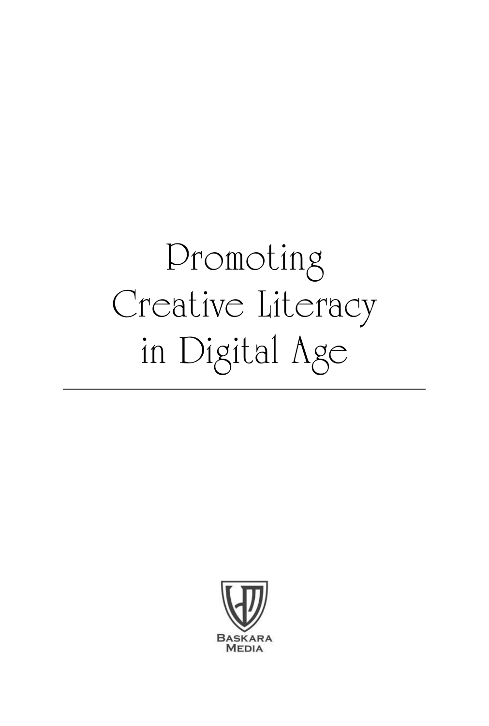# Promoting Creative Literacy in Digital Age

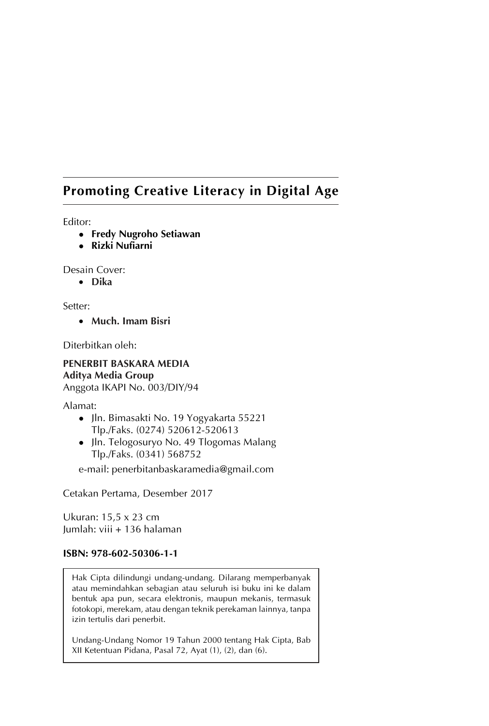### **Promoting Creative Literacy in Digital Age**

Editor:

- **Fredy Nugroho Setiawan**
- <sup>z</sup> **Rizki Nufiarni**

Desain Cover:

• **Dika**

Setter:

• **Much. Imam Bisri**

Diterbitkan oleh:

### **PENERBIT BASKARA MEDIA Aditya Media Group**

Anggota IKAPI No. 003/DIY/94

Alamat:

- Jln. Bimasakti No. 19 Yogyakarta 55221 Tlp./Faks. (0274) 520612-520613
- Jln. Telogosuryo No. 49 Tlogomas Malang Tlp./Faks. (0341) 568752

e-mail: penerbitanbaskaramedia@gmail.com

Cetakan Pertama, Desember 2017

Ukuran: 15,5 x 23 cm Jumlah: viii + 136 halaman

#### **ISBN: 978-602-50306-1-1**

Hak Cipta dilindungi undang-undang. Dilarang memperbanyak atau memindahkan sebagian atau seluruh isi buku ini ke dalam bentuk apa pun, secara elektronis, maupun mekanis, termasuk fotokopi, merekam, atau dengan teknik perekaman lainnya, tanpa izin tertulis dari penerbit.

Undang-Undang Nomor 19 Tahun 2000 tentang Hak Cipta, Bab XII Ketentuan Pidana, Pasal 72, Ayat (1), (2), dan (6).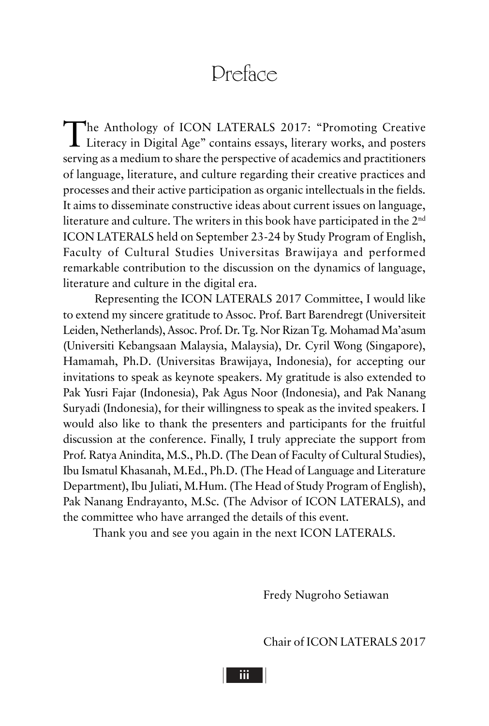### Dreface

The Anthology of ICON LATERALS 2017: "Promoting Creative Literacy in Digital Age" contains essays, literary works, and posters serving as a medium to share the perspective of academics and practitioners of language, literature, and culture regarding their creative practices and processes and their active participation as organic intellectuals in the fields. It aims to disseminate constructive ideas about current issues on language, literature and culture. The writers in this book have participated in the 2nd ICON LATERALS held on September 23-24 by Study Program of English, Faculty of Cultural Studies Universitas Brawijaya and performed remarkable contribution to the discussion on the dynamics of language, literature and culture in the digital era.

Representing the ICON LATERALS 2017 Committee, I would like to extend my sincere gratitude to Assoc. Prof. Bart Barendregt (Universiteit Leiden, Netherlands), Assoc. Prof. Dr. Tg. Nor Rizan Tg. Mohamad Ma'asum (Universiti Kebangsaan Malaysia, Malaysia), Dr. Cyril Wong (Singapore), Hamamah, Ph.D. (Universitas Brawijaya, Indonesia), for accepting our invitations to speak as keynote speakers. My gratitude is also extended to Pak Yusri Fajar (Indonesia), Pak Agus Noor (Indonesia), and Pak Nanang Suryadi (Indonesia), for their willingness to speak as the invited speakers. I would also like to thank the presenters and participants for the fruitful discussion at the conference. Finally, I truly appreciate the support from Prof. Ratya Anindita, M.S., Ph.D. (The Dean of Faculty of Cultural Studies), Ibu Ismatul Khasanah, M.Ed., Ph.D. (The Head of Language and Literature Department), Ibu Juliati, M.Hum. (The Head of Study Program of English), Pak Nanang Endrayanto, M.Sc. (The Advisor of ICON LATERALS), and the committee who have arranged the details of this event.

Thank you and see you again in the next ICON LATERALS.

Fredy Nugroho Setiawan

Chair of ICON LATERALS 2017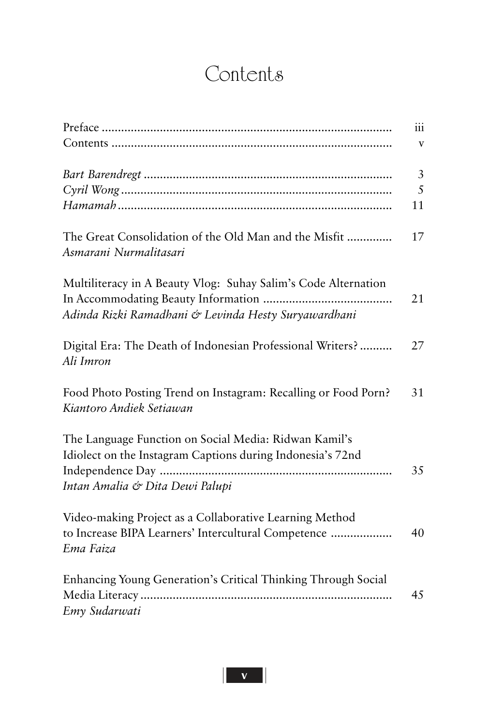# **Contents**

|                                                                                                                   | iii          |
|-------------------------------------------------------------------------------------------------------------------|--------------|
|                                                                                                                   | $\mathbf{V}$ |
|                                                                                                                   | 3            |
|                                                                                                                   | 5            |
|                                                                                                                   | 11           |
| The Great Consolidation of the Old Man and the Misfit<br>Asmarani Nurmalitasari                                   | 17           |
| Multiliteracy in A Beauty Vlog: Suhay Salim's Code Alternation                                                    |              |
| Adinda Rizki Ramadhani & Levinda Hesty Suryawardhani                                                              | 21           |
| Digital Era: The Death of Indonesian Professional Writers?<br>Ali Imron                                           | 27           |
| Food Photo Posting Trend on Instagram: Recalling or Food Porn?<br>Kiantoro Andiek Setiawan                        | 31           |
| The Language Function on Social Media: Ridwan Kamil's                                                             |              |
| Idiolect on the Instagram Captions during Indonesia's 72nd<br>Independence Day<br>Intan Amalia & Dita Dewi Palupi | 35           |
|                                                                                                                   |              |
| Video-making Project as a Collaborative Learning Method                                                           |              |
| to Increase BIPA Learners' Intercultural Competence<br>Ema Faiza                                                  | 40           |
| Enhancing Young Generation's Critical Thinking Through Social                                                     |              |
|                                                                                                                   | 45           |
| Emy Sudarwati                                                                                                     |              |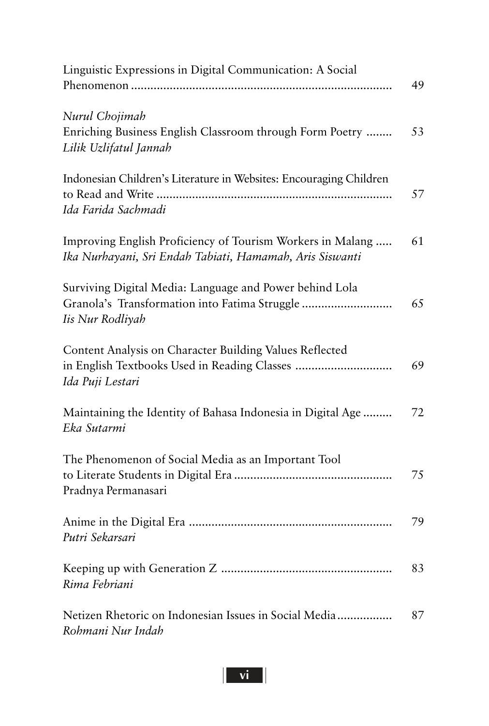| Linguistic Expressions in Digital Communication: A Social                                                                    | 49 |
|------------------------------------------------------------------------------------------------------------------------------|----|
| Nurul Chojimah<br>Enriching Business English Classroom through Form Poetry<br>Lilik Uzlifatul Jannah                         | 53 |
| Indonesian Children's Literature in Websites: Encouraging Children<br>Ida Farida Sachmadi                                    | 57 |
| Improving English Proficiency of Tourism Workers in Malang<br>Ika Nurhayani, Sri Endah Tabiati, Hamamah, Aris Siswanti       | 61 |
| Surviving Digital Media: Language and Power behind Lola<br>Granola's Transformation into Fatima Struggle<br>Iis Nur Rodliyah | 65 |
| Content Analysis on Character Building Values Reflected<br>Ida Puji Lestari                                                  | 69 |
| Maintaining the Identity of Bahasa Indonesia in Digital Age<br>Eka Sutarmi                                                   | 72 |
| The Phenomenon of Social Media as an Important Tool<br>Pradnya Permanasari                                                   | 75 |
| Putri Sekarsari                                                                                                              | 79 |
| Rima Febriani                                                                                                                | 83 |
| Netizen Rhetoric on Indonesian Issues in Social Media<br>Rohmani Nur Indah                                                   | 87 |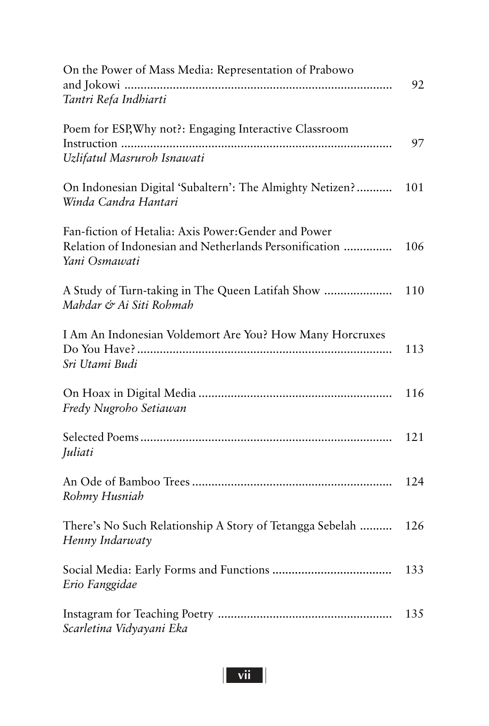| On the Power of Mass Media: Representation of Prabowo                                                                           | 92  |
|---------------------------------------------------------------------------------------------------------------------------------|-----|
| Tantri Refa Indhiarti                                                                                                           |     |
| Poem for ESP, Why not?: Engaging Interactive Classroom                                                                          | 97  |
| Uzlifatul Masruroh Isnawati                                                                                                     |     |
| On Indonesian Digital 'Subaltern': The Almighty Netizen?<br>Winda Candra Hantari                                                | 101 |
| Fan-fiction of Hetalia: Axis Power: Gender and Power<br>Relation of Indonesian and Netherlands Personification<br>Yani Osmawati | 106 |
| A Study of Turn-taking in The Queen Latifah Show<br>Mahdar & Ai Siti Rohmah                                                     | 110 |
| I Am An Indonesian Voldemort Are You? How Many Horcruxes<br>Sri Utami Budi                                                      | 113 |
| Fredy Nugroho Setiawan                                                                                                          | 116 |
| Juliati                                                                                                                         | 121 |
| Rohmy Husniah                                                                                                                   | 124 |
| There's No Such Relationship A Story of Tetangga Sebelah<br>Henny Indarwaty                                                     | 126 |
| Erio Fanggidae                                                                                                                  | 133 |
| Scarletina Vidyayani Eka                                                                                                        | 135 |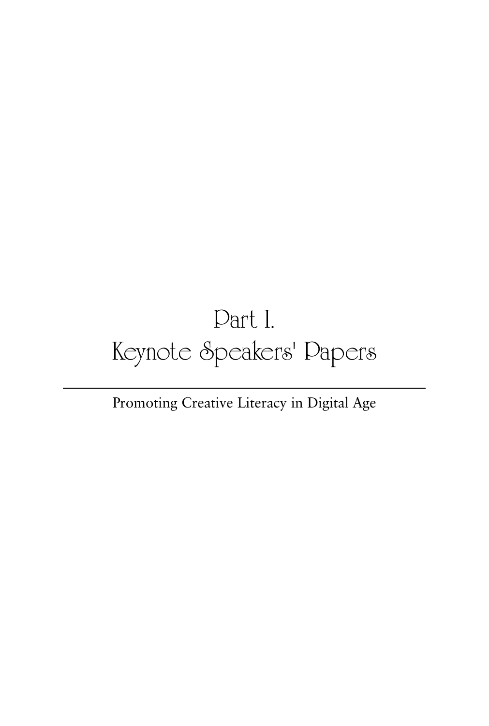# Part I. Keynote Speakers' Papers

### Promoting Creative Literacy in Digital Age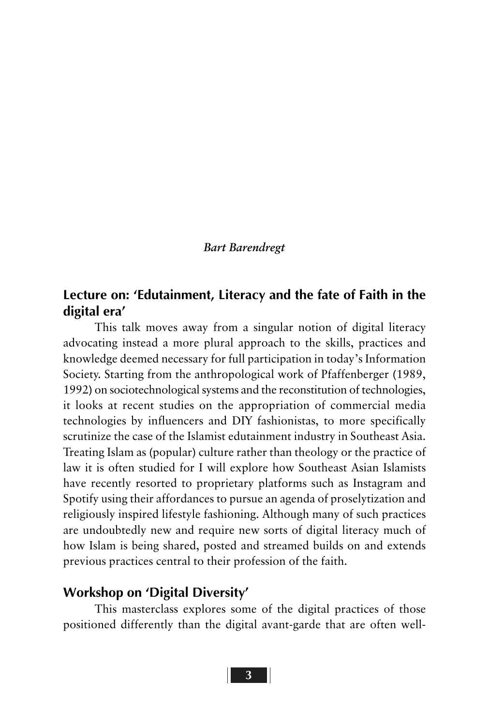#### *Bart Barendregt*

### **Lecture on: 'Edutainment, Literacy and the fate of Faith in the digital era'**

This talk moves away from a singular notion of digital literacy advocating instead a more plural approach to the skills, practices and knowledge deemed necessary for full participation in today's Information Society. Starting from the anthropological work of Pfaffenberger (1989, 1992) on sociotechnological systems and the reconstitution of technologies, it looks at recent studies on the appropriation of commercial media technologies by influencers and DIY fashionistas, to more specifically scrutinize the case of the Islamist edutainment industry in Southeast Asia. Treating Islam as (popular) culture rather than theology or the practice of law it is often studied for I will explore how Southeast Asian Islamists have recently resorted to proprietary platforms such as Instagram and Spotify using their affordances to pursue an agenda of proselytization and religiously inspired lifestyle fashioning. Although many of such practices are undoubtedly new and require new sorts of digital literacy much of how Islam is being shared, posted and streamed builds on and extends previous practices central to their profession of the faith.

### **Workshop on 'Digital Diversity'**

This masterclass explores some of the digital practices of those positioned differently than the digital avant-garde that are often well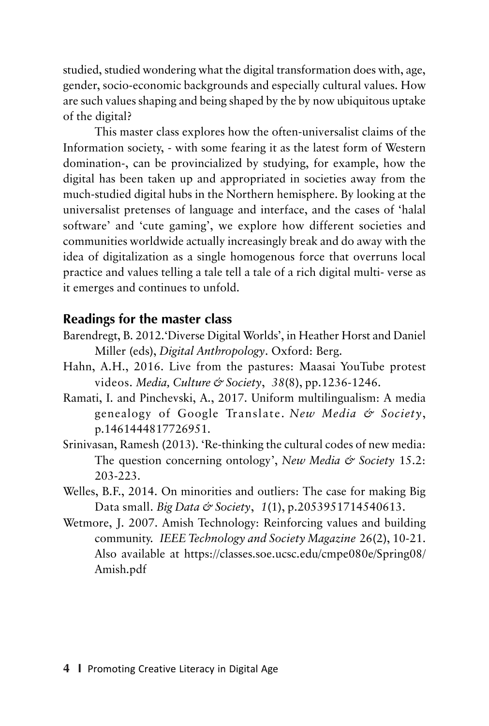studied, studied wondering what the digital transformation does with, age, gender, socio-economic backgrounds and especially cultural values. How are such values shaping and being shaped by the by now ubiquitous uptake of the digital?

This master class explores how the often-universalist claims of the Information society, - with some fearing it as the latest form of Western domination-, can be provincialized by studying, for example, how the digital has been taken up and appropriated in societies away from the much-studied digital hubs in the Northern hemisphere. By looking at the universalist pretenses of language and interface, and the cases of 'halal software' and 'cute gaming', we explore how different societies and communities worldwide actually increasingly break and do away with the idea of digitalization as a single homogenous force that overruns local practice and values telling a tale tell a tale of a rich digital multi- verse as it emerges and continues to unfold.

### **Readings for the master class**

- Barendregt, B. 2012.'Diverse Digital Worlds', in Heather Horst and Daniel Miller (eds), *Digital Anthropology*. Oxford: Berg.
- Hahn, A.H., 2016. Live from the pastures: Maasai YouTube protest videos. *Media, Culture & Society*, *38*(8), pp.1236-1246.
- Ramati, I. and Pinchevski, A., 2017. Uniform multilingualism: A media genealogy of Google Translate. *New Media & Society*, p.1461444817726951.
- Srinivasan, Ramesh (2013). 'Re-thinking the cultural codes of new media: The question concerning ontology', *New Media & Society* 15.2: 203-223.
- Welles, B.F., 2014. On minorities and outliers: The case for making Big Data small. *Big Data & Society*, *1*(1), p.2053951714540613.
- Wetmore, J. 2007. Amish Technology: Reinforcing values and building community. *IEEE Technology and Society Magazine* 26(2), 10-21. Also available at https://classes.soe.ucsc.edu/cmpe080e/Spring08/ Amish.pdf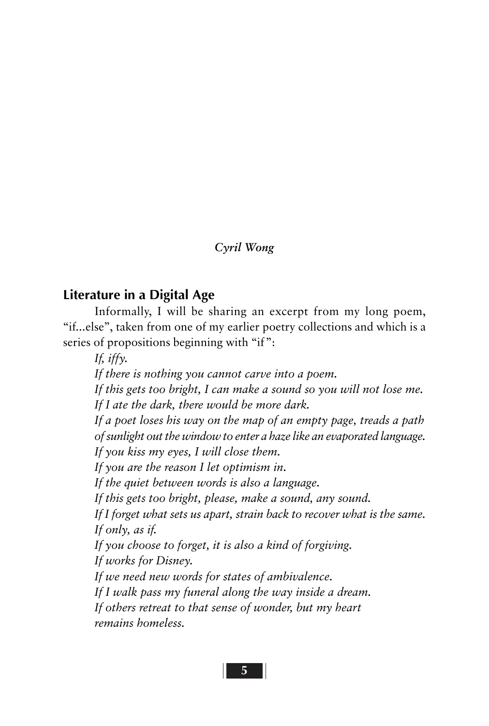### *Cyril Wong*

### **Literature in a Digital Age**

Informally, I will be sharing an excerpt from my long poem, "if...else", taken from one of my earlier poetry collections and which is a series of propositions beginning with "if":

*If, iffy.*

*If there is nothing you cannot carve into a poem.*

*If this gets too bright, I can make a sound so you will not lose me. If I ate the dark, there would be more dark.*

*If a poet loses his way on the map of an empty page, treads a path of sunlight out the window to enter a haze like an evaporated language. If you kiss my eyes, I will close them.*

*If you are the reason I let optimism in.*

*If the quiet between words is also a language.*

*If this gets too bright, please, make a sound, any sound.*

*If I forget what sets us apart, strain back to recover what is the same. If only, as if.*

*If you choose to forget, it is also a kind of forgiving.*

*If works for Disney.*

*If we need new words for states of ambivalence.*

*If I walk pass my funeral along the way inside a dream.*

*If others retreat to that sense of wonder, but my heart remains homeless.*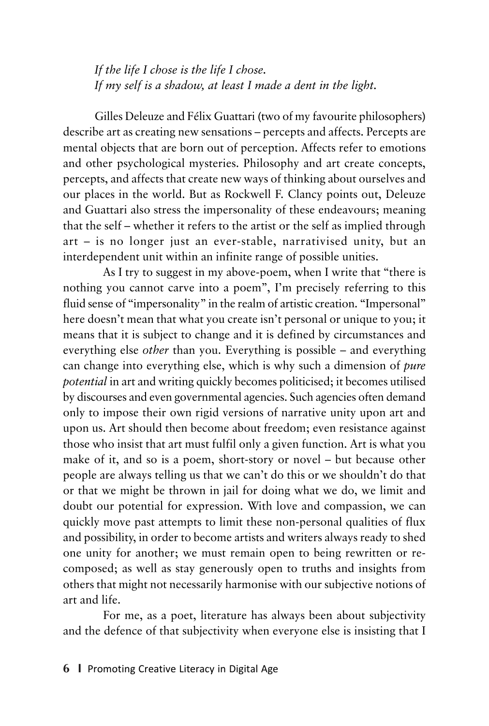*If the life I chose is the life I chose. If my self is a shadow, at least I made a dent in the light.*

Gilles Deleuze and Félix Guattari (two of my favourite philosophers) describe art as creating new sensations – percepts and affects. Percepts are mental objects that are born out of perception. Affects refer to emotions and other psychological mysteries. Philosophy and art create concepts, percepts, and affects that create new ways of thinking about ourselves and our places in the world. But as Rockwell F. Clancy points out, Deleuze and Guattari also stress the impersonality of these endeavours; meaning that the self – whether it refers to the artist or the self as implied through art – is no longer just an ever-stable, narrativised unity, but an interdependent unit within an infinite range of possible unities.

As I try to suggest in my above-poem, when I write that "there is nothing you cannot carve into a poem", I'm precisely referring to this fluid sense of "impersonality" in the realm of artistic creation. "Impersonal" here doesn't mean that what you create isn't personal or unique to you; it means that it is subject to change and it is defined by circumstances and everything else *other* than you. Everything is possible – and everything can change into everything else, which is why such a dimension of *pure potential* in art and writing quickly becomes politicised; it becomes utilised by discourses and even governmental agencies. Such agencies often demand only to impose their own rigid versions of narrative unity upon art and upon us. Art should then become about freedom; even resistance against those who insist that art must fulfil only a given function. Art is what you make of it, and so is a poem, short-story or novel – but because other people are always telling us that we can't do this or we shouldn't do that or that we might be thrown in jail for doing what we do, we limit and doubt our potential for expression. With love and compassion, we can quickly move past attempts to limit these non-personal qualities of flux and possibility, in order to become artists and writers always ready to shed one unity for another; we must remain open to being rewritten or recomposed; as well as stay generously open to truths and insights from others that might not necessarily harmonise with our subjective notions of art and life.

For me, as a poet, literature has always been about subjectivity and the defence of that subjectivity when everyone else is insisting that I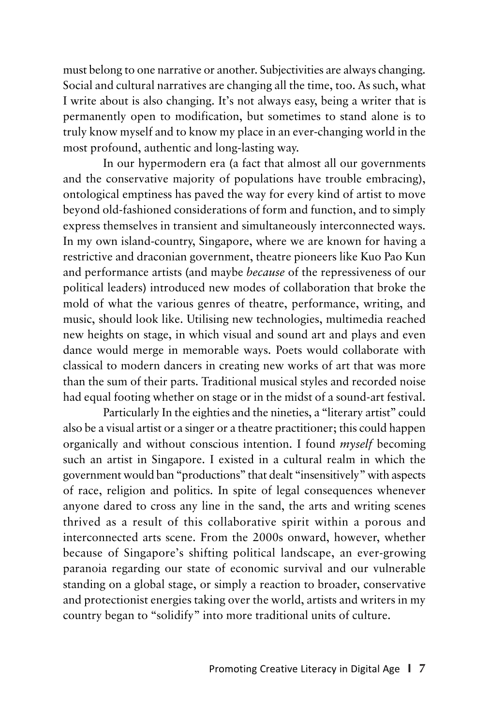must belong to one narrative or another. Subjectivities are always changing. Social and cultural narratives are changing all the time, too. As such, what I write about is also changing. It's not always easy, being a writer that is permanently open to modification, but sometimes to stand alone is to truly know myself and to know my place in an ever-changing world in the most profound, authentic and long-lasting way.

In our hypermodern era (a fact that almost all our governments and the conservative majority of populations have trouble embracing), ontological emptiness has paved the way for every kind of artist to move beyond old-fashioned considerations of form and function, and to simply express themselves in transient and simultaneously interconnected ways. In my own island-country, Singapore, where we are known for having a restrictive and draconian government, theatre pioneers like Kuo Pao Kun and performance artists (and maybe *because* of the repressiveness of our political leaders) introduced new modes of collaboration that broke the mold of what the various genres of theatre, performance, writing, and music, should look like. Utilising new technologies, multimedia reached new heights on stage, in which visual and sound art and plays and even dance would merge in memorable ways. Poets would collaborate with classical to modern dancers in creating new works of art that was more than the sum of their parts. Traditional musical styles and recorded noise had equal footing whether on stage or in the midst of a sound-art festival.

Particularly In the eighties and the nineties, a "literary artist" could also be a visual artist or a singer or a theatre practitioner; this could happen organically and without conscious intention. I found *myself* becoming such an artist in Singapore. I existed in a cultural realm in which the government would ban "productions" that dealt "insensitively" with aspects of race, religion and politics. In spite of legal consequences whenever anyone dared to cross any line in the sand, the arts and writing scenes thrived as a result of this collaborative spirit within a porous and interconnected arts scene. From the 2000s onward, however, whether because of Singapore's shifting political landscape, an ever-growing paranoia regarding our state of economic survival and our vulnerable standing on a global stage, or simply a reaction to broader, conservative and protectionist energies taking over the world, artists and writers in my country began to "solidify" into more traditional units of culture.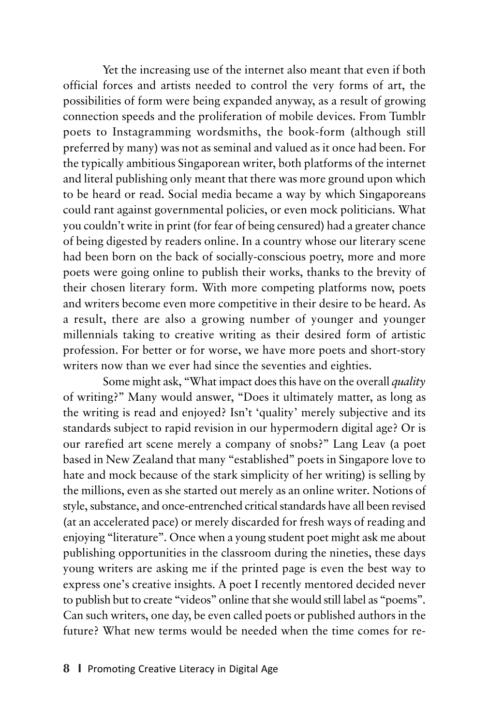Yet the increasing use of the internet also meant that even if both official forces and artists needed to control the very forms of art, the possibilities of form were being expanded anyway, as a result of growing connection speeds and the proliferation of mobile devices. From Tumblr poets to Instagramming wordsmiths, the book-form (although still preferred by many) was not as seminal and valued as it once had been. For the typically ambitious Singaporean writer, both platforms of the internet and literal publishing only meant that there was more ground upon which to be heard or read. Social media became a way by which Singaporeans could rant against governmental policies, or even mock politicians. What you couldn't write in print (for fear of being censured) had a greater chance of being digested by readers online. In a country whose our literary scene had been born on the back of socially-conscious poetry, more and more poets were going online to publish their works, thanks to the brevity of their chosen literary form. With more competing platforms now, poets and writers become even more competitive in their desire to be heard. As a result, there are also a growing number of younger and younger millennials taking to creative writing as their desired form of artistic profession. For better or for worse, we have more poets and short-story writers now than we ever had since the seventies and eighties.

Some might ask, "What impact does this have on the overall *quality* of writing?" Many would answer, "Does it ultimately matter, as long as the writing is read and enjoyed? Isn't 'quality' merely subjective and its standards subject to rapid revision in our hypermodern digital age? Or is our rarefied art scene merely a company of snobs?" Lang Leav (a poet based in New Zealand that many "established" poets in Singapore love to hate and mock because of the stark simplicity of her writing) is selling by the millions, even as she started out merely as an online writer. Notions of style, substance, and once-entrenched critical standards have all been revised (at an accelerated pace) or merely discarded for fresh ways of reading and enjoying "literature". Once when a young student poet might ask me about publishing opportunities in the classroom during the nineties, these days young writers are asking me if the printed page is even the best way to express one's creative insights. A poet I recently mentored decided never to publish but to create "videos" online that she would still label as "poems". Can such writers, one day, be even called poets or published authors in the future? What new terms would be needed when the time comes for re-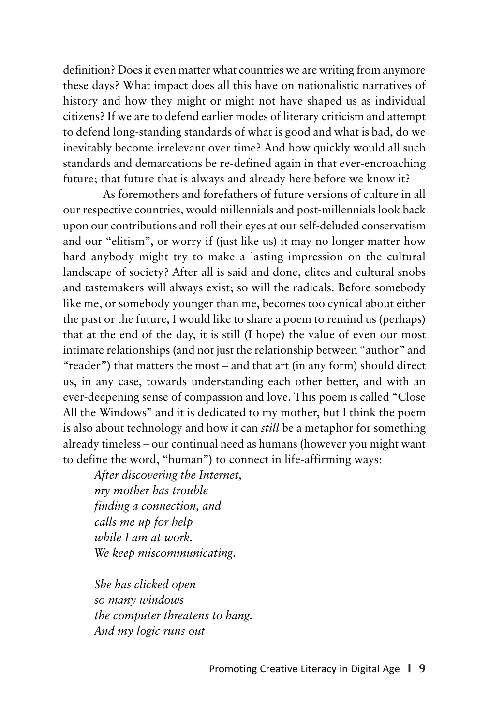definition? Does it even matter what countries we are writing from anymore these days? What impact does all this have on nationalistic narratives of history and how they might or might not have shaped us as individual citizens? If we are to defend earlier modes of literary criticism and attempt to defend long-standing standards of what is good and what is bad, do we inevitably become irrelevant over time? And how quickly would all such standards and demarcations be re-defined again in that ever-encroaching future; that future that is always and already here before we know it?

As foremothers and forefathers of future versions of culture in all our respective countries, would millennials and post-millennials look back upon our contributions and roll their eyes at our self-deluded conservatism and our "elitism", or worry if (just like us) it may no longer matter how hard anybody might try to make a lasting impression on the cultural landscape of society? After all is said and done, elites and cultural snobs and tastemakers will always exist; so will the radicals. Before somebody like me, or somebody younger than me, becomes too cynical about either the past or the future, I would like to share a poem to remind us (perhaps) that at the end of the day, it is still (I hope) the value of even our most intimate relationships (and not just the relationship between "author" and "reader") that matters the most – and that art (in any form) should direct us, in any case, towards understanding each other better, and with an ever-deepening sense of compassion and love. This poem is called "Close All the Windows" and it is dedicated to my mother, but I think the poem is also about technology and how it can *still* be a metaphor for something already timeless – our continual need as humans (however you might want to define the word, "human") to connect in life-affirming ways:

*After discovering the Internet, my mother has trouble finding a connection, and calls me up for help while I am at work. We keep miscommunicating.*

*She has clicked open so many windows the computer threatens to hang. And my logic runs out*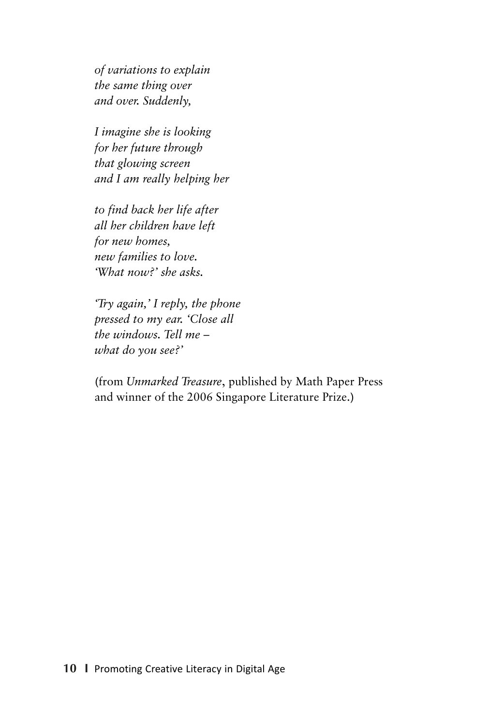*of variations to explain the same thing over and over. Suddenly,*

*I imagine she is looking for her future through that glowing screen and I am really helping her*

*to find back her life after all her children have left for new homes, new families to love. 'What now?' she asks.*

*'Try again,' I reply, the phone pressed to my ear. 'Close all the windows. Tell me – what do you see?'*

(from *Unmarked Treasure*, published by Math Paper Press and winner of the 2006 Singapore Literature Prize.)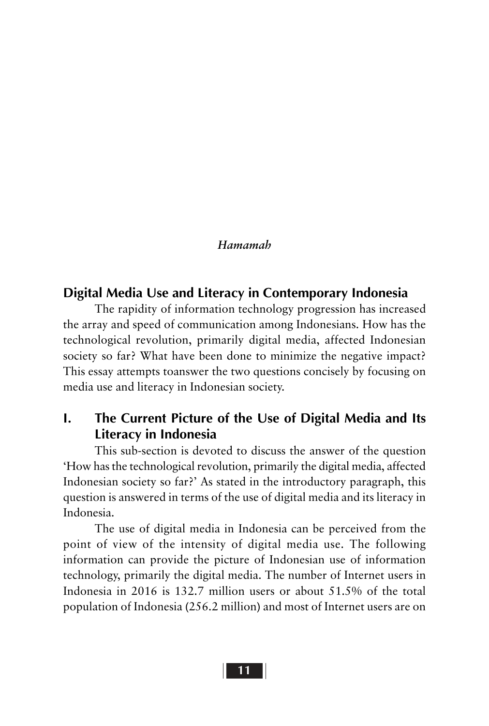#### *Hamamah*

### **Digital Media Use and Literacy in Contemporary Indonesia**

The rapidity of information technology progression has increased the array and speed of communication among Indonesians. How has the technological revolution, primarily digital media, affected Indonesian society so far? What have been done to minimize the negative impact? This essay attempts toanswer the two questions concisely by focusing on media use and literacy in Indonesian society.

### **I. The Current Picture of the Use of Digital Media and Its Literacy in Indonesia**

This sub-section is devoted to discuss the answer of the question 'How has the technological revolution, primarily the digital media, affected Indonesian society so far?' As stated in the introductory paragraph, this question is answered in terms of the use of digital media and its literacy in Indonesia.

The use of digital media in Indonesia can be perceived from the point of view of the intensity of digital media use. The following information can provide the picture of Indonesian use of information technology, primarily the digital media. The number of Internet users in Indonesia in 2016 is 132.7 million users or about 51.5% of the total population of Indonesia (256.2 million) and most of Internet users are on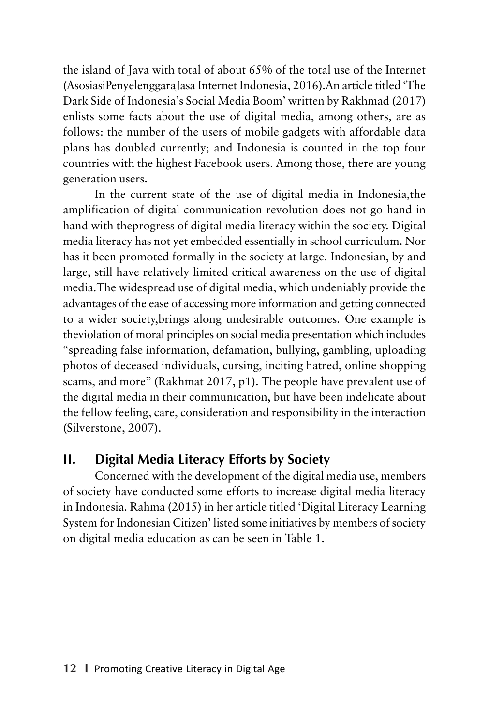the island of Java with total of about 65% of the total use of the Internet (AsosiasiPenyelenggaraJasa Internet Indonesia, 2016).An article titled 'The Dark Side of Indonesia's Social Media Boom' written by Rakhmad (2017) enlists some facts about the use of digital media, among others, are as follows: the number of the users of mobile gadgets with affordable data plans has doubled currently; and Indonesia is counted in the top four countries with the highest Facebook users. Among those, there are young generation users.

In the current state of the use of digital media in Indonesia,the amplification of digital communication revolution does not go hand in hand with theprogress of digital media literacy within the society. Digital media literacy has not yet embedded essentially in school curriculum. Nor has it been promoted formally in the society at large. Indonesian, by and large, still have relatively limited critical awareness on the use of digital media.The widespread use of digital media, which undeniably provide the advantages of the ease of accessing more information and getting connected to a wider society,brings along undesirable outcomes. One example is theviolation of moral principles on social media presentation which includes "spreading false information, defamation, bullying, gambling, uploading photos of deceased individuals, cursing, inciting hatred, online shopping scams, and more" (Rakhmat 2017, p1). The people have prevalent use of the digital media in their communication, but have been indelicate about the fellow feeling, care, consideration and responsibility in the interaction (Silverstone, 2007).

### **II. Digital Media Literacy Efforts by Society**

Concerned with the development of the digital media use, members of society have conducted some efforts to increase digital media literacy in Indonesia. Rahma (2015) in her article titled 'Digital Literacy Learning System for Indonesian Citizen' listed some initiatives by members of society on digital media education as can be seen in Table 1.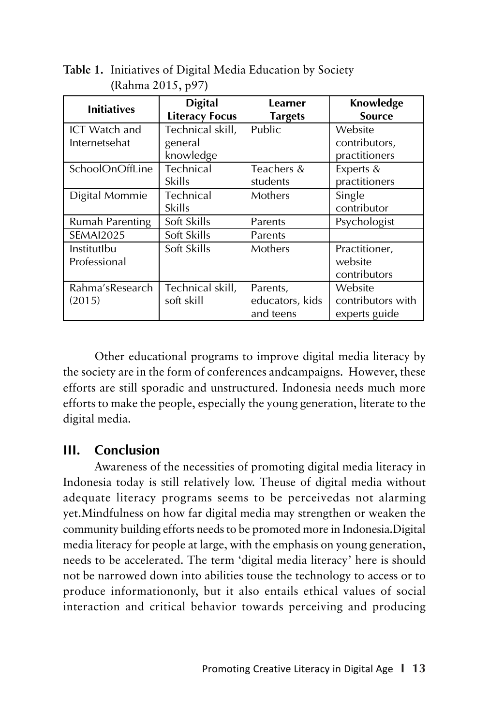| <b>Initiatives</b>                    | <b>Digital</b><br><b>Literacy Focus</b>  | Learner<br><b>Targets</b>                | Knowledge<br><b>Source</b>                    |  |
|---------------------------------------|------------------------------------------|------------------------------------------|-----------------------------------------------|--|
| <b>ICT</b> Watch and<br>Internetsehat | Technical skill,<br>general<br>knowledge | Public                                   | Website<br>contributors,<br>practitioners     |  |
| SchoolOnOffLine                       | Technical<br>Skills                      | Teachers &<br>students                   | Experts &<br>practitioners                    |  |
| Digital Mommie                        | Technical<br>Skills                      | Mothers                                  | Single<br>contributor                         |  |
| Rumah Parenting                       | Soft Skills                              | Parents                                  | Psychologist                                  |  |
| <b>SEMAI2025</b>                      | Soft Skills                              | Parents                                  |                                               |  |
| InstitutIbu<br>Professional           | Soft Skills                              | Mothers                                  | Practitioner,<br>website<br>contributors      |  |
| Rahma'sResearch<br>(2015)             | Technical skill,<br>soft skill           | Parents,<br>educators, kids<br>and teens | Website<br>contributors with<br>experts guide |  |

**Table 1.** Initiatives of Digital Media Education by Society (Rahma 2015, p97)

Other educational programs to improve digital media literacy by the society are in the form of conferences andcampaigns. However, these efforts are still sporadic and unstructured. Indonesia needs much more efforts to make the people, especially the young generation, literate to the digital media.

### **III. Conclusion**

Awareness of the necessities of promoting digital media literacy in Indonesia today is still relatively low. Theuse of digital media without adequate literacy programs seems to be perceivedas not alarming yet.Mindfulness on how far digital media may strengthen or weaken the community building efforts needs to be promoted more in Indonesia.Digital media literacy for people at large, with the emphasis on young generation, needs to be accelerated. The term 'digital media literacy' here is should not be narrowed down into abilities touse the technology to access or to produce informationonly, but it also entails ethical values of social interaction and critical behavior towards perceiving and producing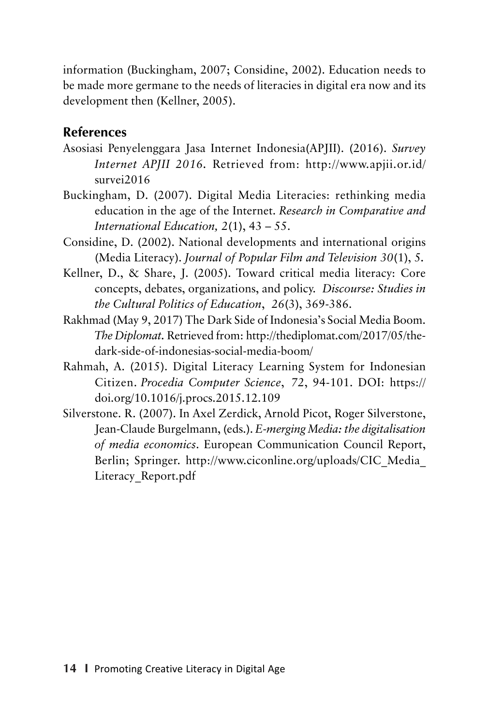information (Buckingham, 2007; Considine, 2002). Education needs to be made more germane to the needs of literacies in digital era now and its development then (Kellner, 2005).

### **References**

- Asosiasi Penyelenggara Jasa Internet Indonesia(APJII). (2016). *Survey Internet APJII 2016.* Retrieved from: http://www.apjii.or.id/ survei2016
- Buckingham, D. (2007). Digital Media Literacies: rethinking media education in the age of the Internet. *Research in Comparative and International Education, 2*(1), 43 – 55.
- Considine, D. (2002). National developments and international origins (Media Literacy). *Journal of Popular Film and Television 30*(1), 5*.*
- Kellner, D., & Share, J. (2005). Toward critical media literacy: Core concepts, debates, organizations, and policy. *Discourse: Studies in the Cultural Politics of Education*, *26*(3), 369-386.
- Rakhmad (May 9, 2017) The Dark Side of Indonesia's Social Media Boom. *The Diplomat.* Retrieved from: http://thediplomat.com/2017/05/thedark-side-of-indonesias-social-media-boom/
- Rahmah, A. (2015). Digital Literacy Learning System for Indonesian Citizen. *Procedia Computer Science*, *72*, 94-101. DOI: https:// doi.org/10.1016/j.procs.2015.12.109
- Silverstone. R. (2007). In Axel Zerdick, Arnold Picot, Roger Silverstone, Jean-Claude Burgelmann, (eds.). *E-merging Media: the digitalisation of media economics*. European Communication Council Report, Berlin; Springer. http://www.ciconline.org/uploads/CIC\_Media\_ Literacy\_Report.pdf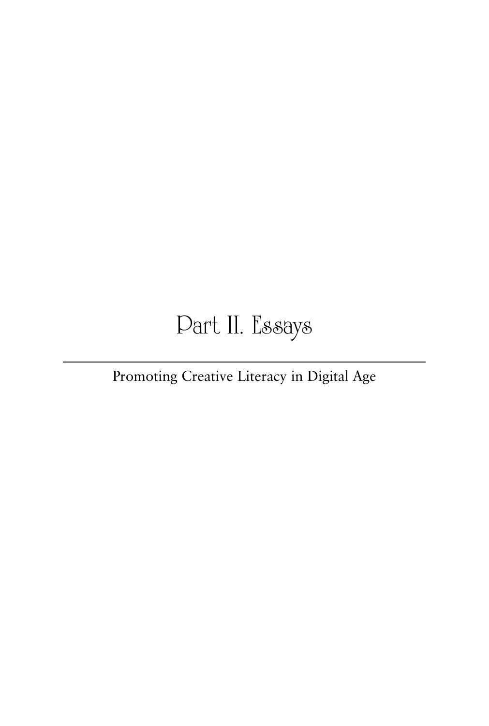# Part II. Essays

### Promoting Creative Literacy in Digital Age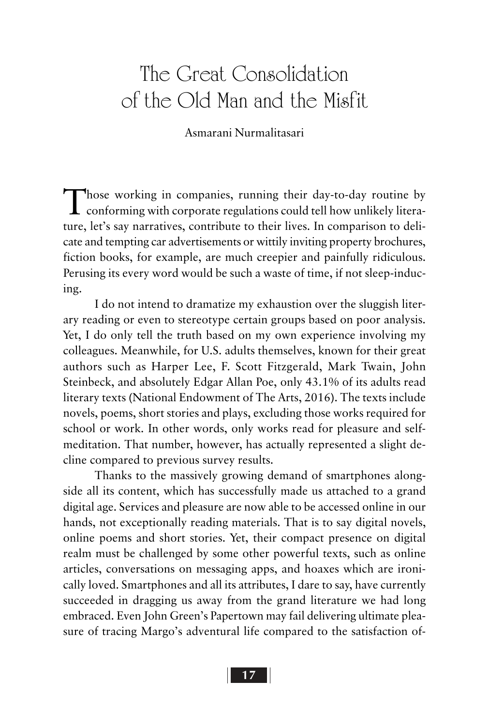# The Great Consolidation of the Old Man and the Misfit

### Asmarani Nurmalitasari

Those working in companies, running their day-to-day routine by<br>conforming with corporate regulations could tell how unlikely literature, let's say narratives, contribute to their lives. In comparison to delicate and tempting car advertisements or wittily inviting property brochures, fiction books, for example, are much creepier and painfully ridiculous. Perusing its every word would be such a waste of time, if not sleep-inducing.

I do not intend to dramatize my exhaustion over the sluggish literary reading or even to stereotype certain groups based on poor analysis. Yet, I do only tell the truth based on my own experience involving my colleagues. Meanwhile, for U.S. adults themselves, known for their great authors such as Harper Lee, F. Scott Fitzgerald, Mark Twain, John Steinbeck, and absolutely Edgar Allan Poe, only 43.1% of its adults read literary texts (National Endowment of The Arts, 2016). The texts include novels, poems, short stories and plays, excluding those works required for school or work. In other words, only works read for pleasure and selfmeditation. That number, however, has actually represented a slight decline compared to previous survey results.

Thanks to the massively growing demand of smartphones alongside all its content, which has successfully made us attached to a grand digital age. Services and pleasure are now able to be accessed online in our hands, not exceptionally reading materials. That is to say digital novels, online poems and short stories. Yet, their compact presence on digital realm must be challenged by some other powerful texts, such as online articles, conversations on messaging apps, and hoaxes which are ironically loved. Smartphones and all its attributes, I dare to say, have currently succeeded in dragging us away from the grand literature we had long embraced. Even John Green's Papertown may fail delivering ultimate pleasure of tracing Margo's adventural life compared to the satisfaction of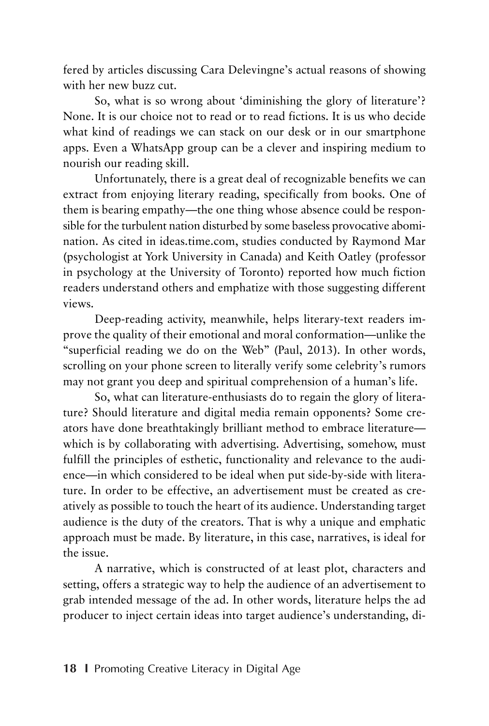fered by articles discussing Cara Delevingne's actual reasons of showing with her new buzz cut.

So, what is so wrong about 'diminishing the glory of literature'? None. It is our choice not to read or to read fictions. It is us who decide what kind of readings we can stack on our desk or in our smartphone apps. Even a WhatsApp group can be a clever and inspiring medium to nourish our reading skill.

Unfortunately, there is a great deal of recognizable benefits we can extract from enjoying literary reading, specifically from books. One of them is bearing empathy—the one thing whose absence could be responsible for the turbulent nation disturbed by some baseless provocative abomination. As cited in ideas.time.com, studies conducted by Raymond Mar (psychologist at York University in Canada) and Keith Oatley (professor in psychology at the University of Toronto) reported how much fiction readers understand others and emphatize with those suggesting different views.

Deep-reading activity, meanwhile, helps literary-text readers improve the quality of their emotional and moral conformation—unlike the "superficial reading we do on the Web" (Paul, 2013). In other words, scrolling on your phone screen to literally verify some celebrity's rumors may not grant you deep and spiritual comprehension of a human's life.

So, what can literature-enthusiasts do to regain the glory of literature? Should literature and digital media remain opponents? Some creators have done breathtakingly brilliant method to embrace literature which is by collaborating with advertising. Advertising, somehow, must fulfill the principles of esthetic, functionality and relevance to the audience—in which considered to be ideal when put side-by-side with literature. In order to be effective, an advertisement must be created as creatively as possible to touch the heart of its audience. Understanding target audience is the duty of the creators. That is why a unique and emphatic approach must be made. By literature, in this case, narratives, is ideal for the issue.

A narrative, which is constructed of at least plot, characters and setting, offers a strategic way to help the audience of an advertisement to grab intended message of the ad. In other words, literature helps the ad producer to inject certain ideas into target audience's understanding, di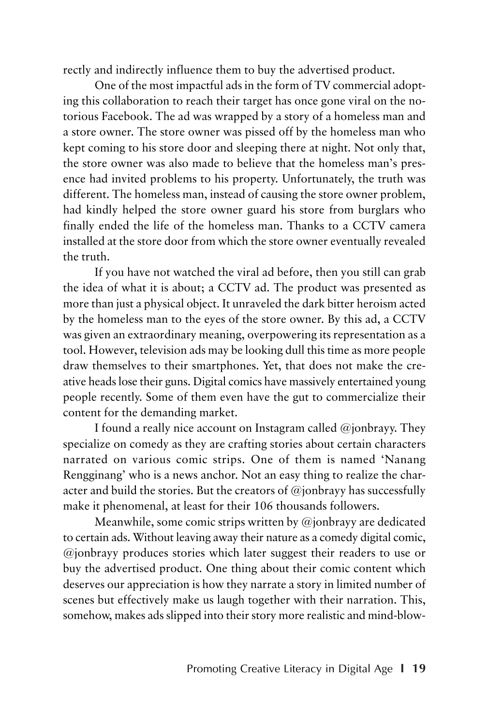rectly and indirectly influence them to buy the advertised product.

One of the most impactful ads in the form of TV commercial adopting this collaboration to reach their target has once gone viral on the notorious Facebook. The ad was wrapped by a story of a homeless man and a store owner. The store owner was pissed off by the homeless man who kept coming to his store door and sleeping there at night. Not only that, the store owner was also made to believe that the homeless man's presence had invited problems to his property. Unfortunately, the truth was different. The homeless man, instead of causing the store owner problem, had kindly helped the store owner guard his store from burglars who finally ended the life of the homeless man. Thanks to a CCTV camera installed at the store door from which the store owner eventually revealed the truth.

If you have not watched the viral ad before, then you still can grab the idea of what it is about; a CCTV ad. The product was presented as more than just a physical object. It unraveled the dark bitter heroism acted by the homeless man to the eyes of the store owner. By this ad, a CCTV was given an extraordinary meaning, overpowering its representation as a tool. However, television ads may be looking dull this time as more people draw themselves to their smartphones. Yet, that does not make the creative heads lose their guns. Digital comics have massively entertained young people recently. Some of them even have the gut to commercialize their content for the demanding market.

I found a really nice account on Instagram called  $@j$  on  $P$ ippy. They specialize on comedy as they are crafting stories about certain characters narrated on various comic strips. One of them is named 'Nanang Rengginang' who is a news anchor. Not an easy thing to realize the character and build the stories. But the creators of  $\omega$  jonbrayy has successfully make it phenomenal, at least for their 106 thousands followers.

Meanwhile, some comic strips written by @jonbrayy are dedicated to certain ads. Without leaving away their nature as a comedy digital comic, @jonbrayy produces stories which later suggest their readers to use or buy the advertised product. One thing about their comic content which deserves our appreciation is how they narrate a story in limited number of scenes but effectively make us laugh together with their narration. This, somehow, makes ads slipped into their story more realistic and mind-blow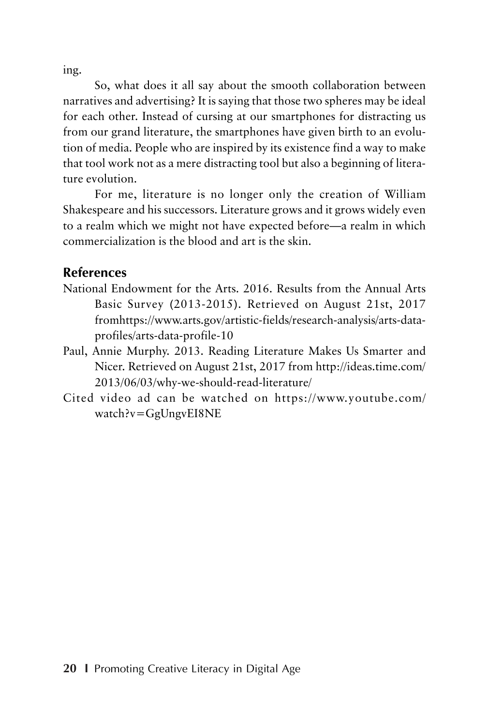ing.

So, what does it all say about the smooth collaboration between narratives and advertising? It is saying that those two spheres may be ideal for each other. Instead of cursing at our smartphones for distracting us from our grand literature, the smartphones have given birth to an evolution of media. People who are inspired by its existence find a way to make that tool work not as a mere distracting tool but also a beginning of literature evolution.

For me, literature is no longer only the creation of William Shakespeare and his successors. Literature grows and it grows widely even to a realm which we might not have expected before—a realm in which commercialization is the blood and art is the skin.

### **References**

- National Endowment for the Arts. 2016. Results from the Annual Arts Basic Survey (2013-2015). Retrieved on August 21st, 2017 fromhttps://www.arts.gov/artistic-fields/research-analysis/arts-dataprofiles/arts-data-profile-10
- Paul, Annie Murphy. 2013. Reading Literature Makes Us Smarter and Nicer. Retrieved on August 21st, 2017 from http://ideas.time.com/ 2013/06/03/why-we-should-read-literature/
- Cited video ad can be watched on https://www.youtube.com/ watch?v=GgUngvEI8NE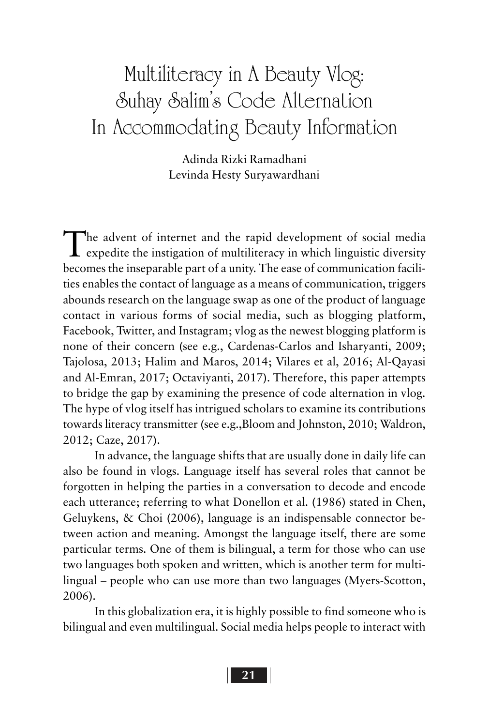# Multiliteracy in A Beauty Vlog: Suhay Salim's Code Alternation In Accommodating Beauty Information

Adinda Rizki Ramadhani Levinda Hesty Suryawardhani

The advent of internet and the rapid development of social media<br>expedite the instigation of multiliteracy in which linguistic diversity becomes the inseparable part of a unity. The ease of communication facilities enables the contact of language as a means of communication, triggers abounds research on the language swap as one of the product of language contact in various forms of social media, such as blogging platform, Facebook, Twitter, and Instagram; vlog as the newest blogging platform is none of their concern (see e.g., Cardenas-Carlos and Isharyanti, 2009; Tajolosa, 2013; Halim and Maros, 2014; Vilares et al, 2016; Al-Qayasi and Al-Emran, 2017; Octaviyanti, 2017). Therefore, this paper attempts to bridge the gap by examining the presence of code alternation in vlog. The hype of vlog itself has intrigued scholars to examine its contributions towards literacy transmitter (see e.g.,Bloom and Johnston, 2010; Waldron, 2012; Caze, 2017).

In advance, the language shifts that are usually done in daily life can also be found in vlogs. Language itself has several roles that cannot be forgotten in helping the parties in a conversation to decode and encode each utterance; referring to what Donellon et al. (1986) stated in Chen, Geluykens, & Choi (2006), language is an indispensable connector between action and meaning. Amongst the language itself, there are some particular terms. One of them is bilingual, a term for those who can use two languages both spoken and written, which is another term for multilingual – people who can use more than two languages (Myers-Scotton, 2006).

In this globalization era, it is highly possible to find someone who is bilingual and even multilingual. Social media helps people to interact with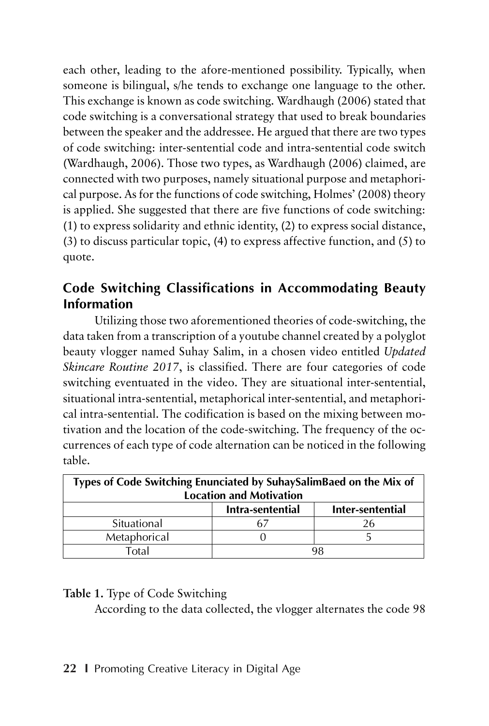each other, leading to the afore-mentioned possibility. Typically, when someone is bilingual, s/he tends to exchange one language to the other. This exchange is known as code switching. Wardhaugh (2006) stated that code switching is a conversational strategy that used to break boundaries between the speaker and the addressee. He argued that there are two types of code switching: inter-sentential code and intra-sentential code switch (Wardhaugh, 2006). Those two types, as Wardhaugh (2006) claimed, are connected with two purposes, namely situational purpose and metaphorical purpose. As for the functions of code switching, Holmes' (2008) theory is applied. She suggested that there are five functions of code switching: (1) to express solidarity and ethnic identity, (2) to express social distance, (3) to discuss particular topic, (4) to express affective function, and (5) to quote.

### **Code Switching Classifications in Accommodating Beauty Information**

Utilizing those two aforementioned theories of code-switching, the data taken from a transcription of a youtube channel created by a polyglot beauty vlogger named Suhay Salim, in a chosen video entitled *Updated Skincare Routine 2017*, is classified. There are four categories of code switching eventuated in the video. They are situational inter-sentential, situational intra-sentential, metaphorical inter-sentential, and metaphorical intra-sentential. The codification is based on the mixing between motivation and the location of the code-switching. The frequency of the occurrences of each type of code alternation can be noticed in the following table.

| Types of Code Switching Enunciated by SuhaySalimBaed on the Mix of<br><b>Location and Motivation</b> |                  |                  |  |  |  |
|------------------------------------------------------------------------------------------------------|------------------|------------------|--|--|--|
|                                                                                                      | Intra-sentential | Inter-sentential |  |  |  |
| Situational                                                                                          |                  |                  |  |  |  |
| Metaphorical                                                                                         |                  |                  |  |  |  |
| Total                                                                                                | 98               |                  |  |  |  |

### **Table 1.** Type of Code Switching

According to the data collected, the vlogger alternates the code 98

### **22 I** Promoting Creative Literacy in Digital Age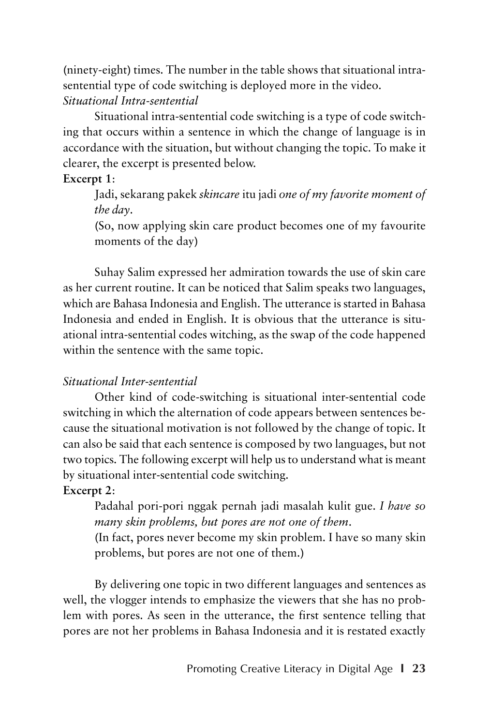(ninety-eight) times. The number in the table shows that situational intrasentential type of code switching is deployed more in the video. *Situational Intra-sentential*

Situational intra-sentential code switching is a type of code switching that occurs within a sentence in which the change of language is in accordance with the situation, but without changing the topic. To make it clearer, the excerpt is presented below.

### **Excerpt 1**:

Jadi, sekarang pakek *skincare* itu jadi *one of my favorite moment of the day*.

(So, now applying skin care product becomes one of my favourite moments of the day)

Suhay Salim expressed her admiration towards the use of skin care as her current routine. It can be noticed that Salim speaks two languages, which are Bahasa Indonesia and English. The utterance is started in Bahasa Indonesia and ended in English. It is obvious that the utterance is situational intra-sentential codes witching, as the swap of the code happened within the sentence with the same topic.

### *Situational Inter-sentential*

Other kind of code-switching is situational inter-sentential code switching in which the alternation of code appears between sentences because the situational motivation is not followed by the change of topic. It can also be said that each sentence is composed by two languages, but not two topics. The following excerpt will help us to understand what is meant by situational inter-sentential code switching.

### **Excerpt 2**:

Padahal pori-pori nggak pernah jadi masalah kulit gue. *I have so many skin problems, but pores are not one of them*.

(In fact, pores never become my skin problem. I have so many skin problems, but pores are not one of them.)

By delivering one topic in two different languages and sentences as well, the vlogger intends to emphasize the viewers that she has no problem with pores. As seen in the utterance, the first sentence telling that pores are not her problems in Bahasa Indonesia and it is restated exactly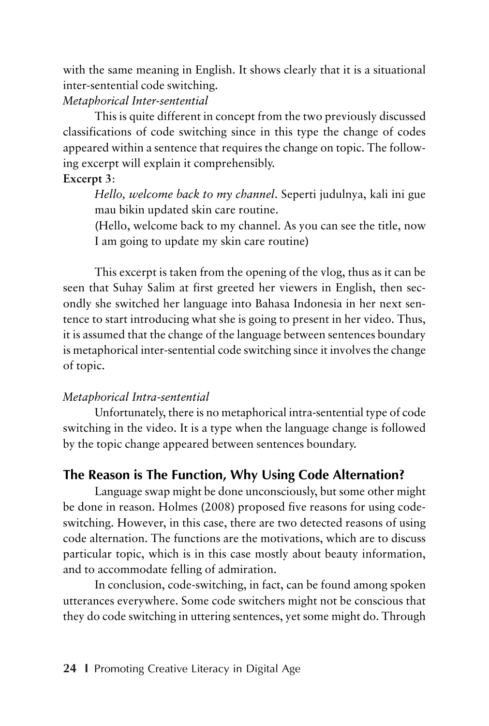with the same meaning in English. It shows clearly that it is a situational inter-sentential code switching.

### *Metaphorical Inter-sentential*

This is quite different in concept from the two previously discussed classifications of code switching since in this type the change of codes appeared within a sentence that requires the change on topic. The following excerpt will explain it comprehensibly.

### **Excerpt 3**:

*Hello, welcome back to my channel*. Seperti judulnya, kali ini gue mau bikin updated skin care routine.

(Hello, welcome back to my channel. As you can see the title, now I am going to update my skin care routine)

This excerpt is taken from the opening of the vlog, thus as it can be seen that Suhay Salim at first greeted her viewers in English, then secondly she switched her language into Bahasa Indonesia in her next sentence to start introducing what she is going to present in her video. Thus, it is assumed that the change of the language between sentences boundary is metaphorical inter-sentential code switching since it involves the change of topic.

### *Metaphorical Intra-sentential*

Unfortunately, there is no metaphorical intra-sentential type of code switching in the video. It is a type when the language change is followed by the topic change appeared between sentences boundary.

### **The Reason is The Function, Why Using Code Alternation?**

Language swap might be done unconsciously, but some other might be done in reason. Holmes (2008) proposed five reasons for using codeswitching. However, in this case, there are two detected reasons of using code alternation. The functions are the motivations, which are to discuss particular topic, which is in this case mostly about beauty information, and to accommodate felling of admiration.

In conclusion, code-switching, in fact, can be found among spoken utterances everywhere. Some code switchers might not be conscious that they do code switching in uttering sentences, yet some might do. Through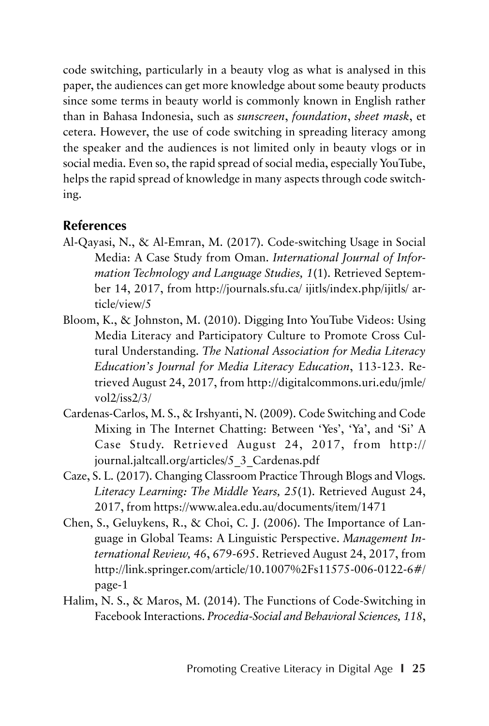code switching, particularly in a beauty vlog as what is analysed in this paper, the audiences can get more knowledge about some beauty products since some terms in beauty world is commonly known in English rather than in Bahasa Indonesia, such as *sunscreen*, *foundation*, *sheet mask*, et cetera. However, the use of code switching in spreading literacy among the speaker and the audiences is not limited only in beauty vlogs or in social media. Even so, the rapid spread of social media, especially YouTube, helps the rapid spread of knowledge in many aspects through code switching.

### **References**

- Al-Qayasi, N., & Al-Emran, M. (2017). Code-switching Usage in Social Media: A Case Study from Oman. *International Journal of Information Technology and Language Studies, 1*(1). Retrieved September 14, 2017, from http://journals.sfu.ca/ ijitls/index.php/ijitls/ article/view/5
- Bloom, K., & Johnston, M. (2010). Digging Into YouTube Videos: Using Media Literacy and Participatory Culture to Promote Cross Cultural Understanding. *The National Association for Media Literacy Education's Journal for Media Literacy Education*, 113-123. Retrieved August 24, 2017, from http://digitalcommons.uri.edu/jmle/ vol2/iss2/3/
- Cardenas-Carlos, M. S., & Irshyanti, N. (2009). Code Switching and Code Mixing in The Internet Chatting: Between 'Yes', 'Ya', and 'Si' A Case Study. Retrieved August 24, 2017, from http:// journal.jaltcall.org/articles/5\_3\_Cardenas.pdf
- Caze, S. L. (2017). Changing Classroom Practice Through Blogs and Vlogs. *Literacy Learning: The Middle Years, 25*(1). Retrieved August 24, 2017, from https://www.alea.edu.au/documents/item/1471
- Chen, S., Geluykens, R., & Choi, C. J. (2006). The Importance of Language in Global Teams: A Linguistic Perspective. *Management International Review, 46*, 679-695. Retrieved August 24, 2017, from http://link.springer.com/article/10.1007%2Fs11575-006-0122-6#/ page-1
- Halim, N. S., & Maros, M. (2014). The Functions of Code-Switching in Facebook Interactions. *Procedia-Social and Behavioral Sciences, 118*,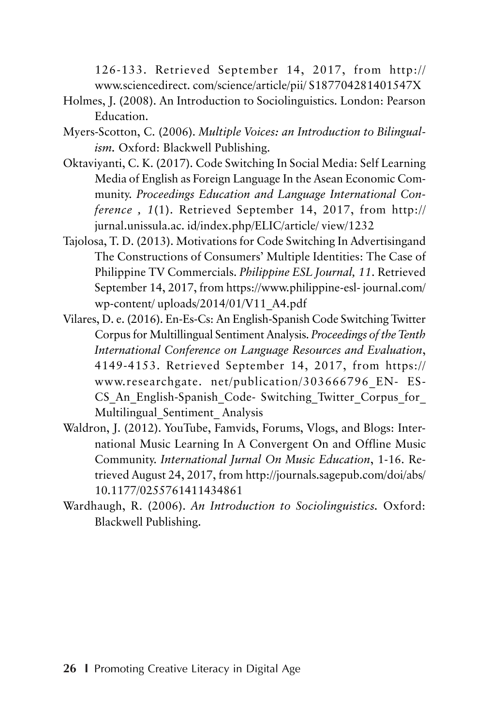126-133. Retrieved September 14, 2017, from http:// www.sciencedirect. com/science/article/pii/ S187704281401547X

- Holmes, J. (2008). An Introduction to Sociolinguistics. London: Pearson Education.
- Myers-Scotton, C. (2006). *Multiple Voices: an Introduction to Bilingualism.* Oxford: Blackwell Publishing.
- Oktaviyanti, C. K. (2017). Code Switching In Social Media: Self Learning Media of English as Foreign Language In the Asean Economic Community. *Proceedings Education and Language International Conference , 1*(1). Retrieved September 14, 2017, from http:// jurnal.unissula.ac. id/index.php/ELIC/article/ view/1232
- Tajolosa, T. D. (2013). Motivations for Code Switching In Advertisingand The Constructions of Consumers' Multiple Identities: The Case of Philippine TV Commercials. *Philippine ESL Journal, 11*. Retrieved September 14, 2017, from https://www.philippine-esl- journal.com/ wp-content/ uploads/2014/01/V11\_A4.pdf
- Vilares, D. e. (2016). En-Es-Cs: An English-Spanish Code Switching Twitter Corpus for Multillingual Sentiment Analysis. *Proceedings of the Tenth International Conference on Language Resources and Evaluation*, 4149-4153. Retrieved September 14, 2017, from https:// www.researchgate. net/publication/303666796\_EN- ES-CS An English-Spanish Code- Switching Twitter Corpus for Multilingual\_Sentiment\_ Analysis
- Waldron, J. (2012). YouTube, Famvids, Forums, Vlogs, and Blogs: International Music Learning In A Convergent On and Offline Music Community. *International Jurnal On Music Education*, 1-16. Retrieved August 24, 2017, from http://journals.sagepub.com/doi/abs/ 10.1177/0255761411434861
- Wardhaugh, R. (2006). *An Introduction to Sociolinguistics.* Oxford: Blackwell Publishing.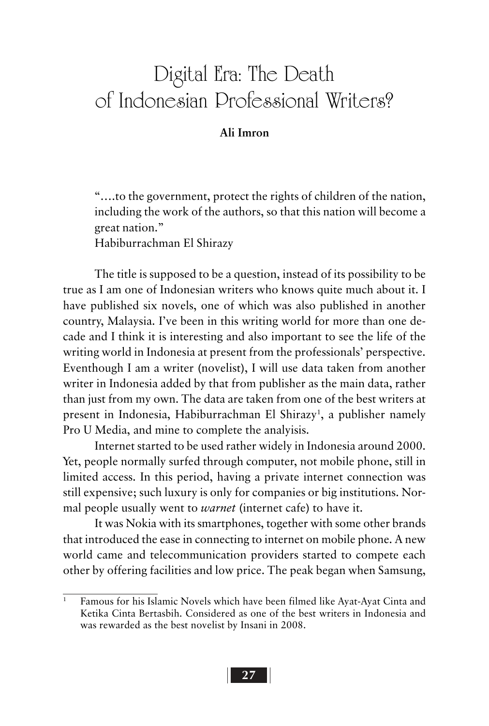## Digital Era: The Death of Indonesian Professional Writers?

### **Ali Imron**

"….to the government, protect the rights of children of the nation, including the work of the authors, so that this nation will become a great nation."

Habiburrachman El Shirazy

The title is supposed to be a question, instead of its possibility to be true as I am one of Indonesian writers who knows quite much about it. I have published six novels, one of which was also published in another country, Malaysia. I've been in this writing world for more than one decade and I think it is interesting and also important to see the life of the writing world in Indonesia at present from the professionals' perspective. Eventhough I am a writer (novelist), I will use data taken from another writer in Indonesia added by that from publisher as the main data, rather than just from my own. The data are taken from one of the best writers at present in Indonesia, Habiburrachman El Shirazy<sup>1</sup>, a publisher namely Pro U Media, and mine to complete the analyisis.

Internet started to be used rather widely in Indonesia around 2000. Yet, people normally surfed through computer, not mobile phone, still in limited access. In this period, having a private internet connection was still expensive; such luxury is only for companies or big institutions. Normal people usually went to *warnet* (internet cafe) to have it.

It was Nokia with its smartphones, together with some other brands that introduced the ease in connecting to internet on mobile phone. A new world came and telecommunication providers started to compete each other by offering facilities and low price. The peak began when Samsung,

Famous for his Islamic Novels which have been filmed like Ayat-Ayat Cinta and Ketika Cinta Bertasbih. Considered as one of the best writers in Indonesia and was rewarded as the best novelist by Insani in 2008.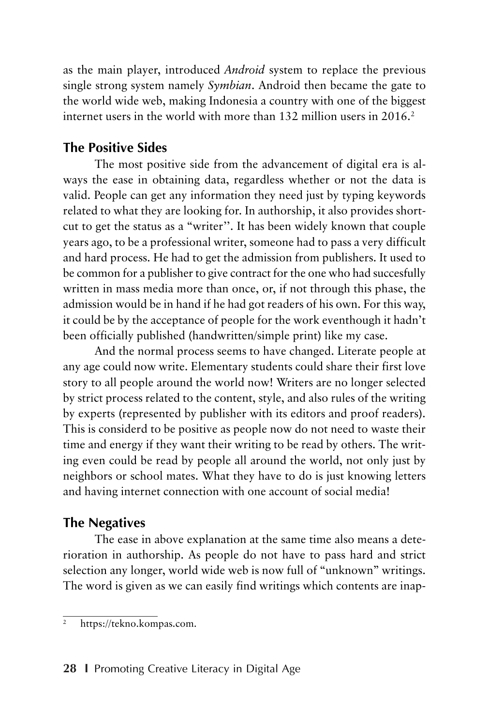as the main player, introduced *Android* system to replace the previous single strong system namely *Symbian*. Android then became the gate to the world wide web, making Indonesia a country with one of the biggest internet users in the world with more than 132 million users in 2016.2

## **The Positive Sides**

The most positive side from the advancement of digital era is always the ease in obtaining data, regardless whether or not the data is valid. People can get any information they need just by typing keywords related to what they are looking for. In authorship, it also provides shortcut to get the status as a "writer''. It has been widely known that couple years ago, to be a professional writer, someone had to pass a very difficult and hard process. He had to get the admission from publishers. It used to be common for a publisher to give contract for the one who had succesfully written in mass media more than once, or, if not through this phase, the admission would be in hand if he had got readers of his own. For this way, it could be by the acceptance of people for the work eventhough it hadn't been officially published (handwritten/simple print) like my case.

And the normal process seems to have changed. Literate people at any age could now write. Elementary students could share their first love story to all people around the world now! Writers are no longer selected by strict process related to the content, style, and also rules of the writing by experts (represented by publisher with its editors and proof readers). This is considerd to be positive as people now do not need to waste their time and energy if they want their writing to be read by others. The writing even could be read by people all around the world, not only just by neighbors or school mates. What they have to do is just knowing letters and having internet connection with one account of social media!

## **The Negatives**

The ease in above explanation at the same time also means a deterioration in authorship. As people do not have to pass hard and strict selection any longer, world wide web is now full of "unknown" writings. The word is given as we can easily find writings which contents are inap-

<sup>&</sup>lt;sup>2</sup> https://tekno.kompas.com.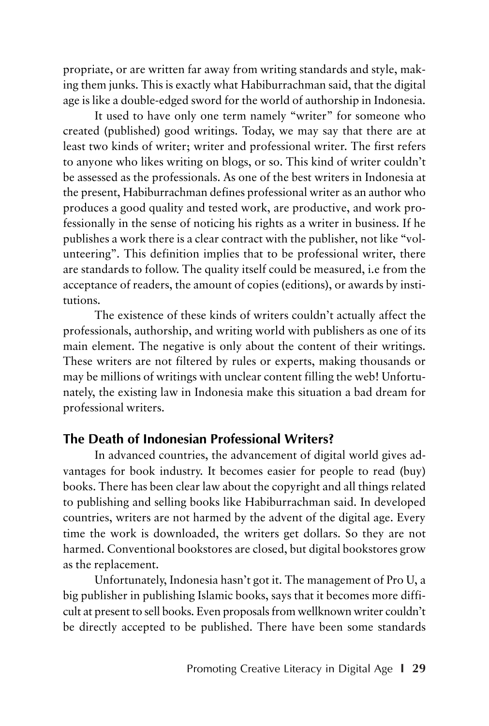propriate, or are written far away from writing standards and style, making them junks. This is exactly what Habiburrachman said, that the digital age is like a double-edged sword for the world of authorship in Indonesia.

It used to have only one term namely "writer" for someone who created (published) good writings. Today, we may say that there are at least two kinds of writer; writer and professional writer. The first refers to anyone who likes writing on blogs, or so. This kind of writer couldn't be assessed as the professionals. As one of the best writers in Indonesia at the present, Habiburrachman defines professional writer as an author who produces a good quality and tested work, are productive, and work professionally in the sense of noticing his rights as a writer in business. If he publishes a work there is a clear contract with the publisher, not like "volunteering". This definition implies that to be professional writer, there are standards to follow. The quality itself could be measured, i.e from the acceptance of readers, the amount of copies (editions), or awards by institutions.

The existence of these kinds of writers couldn't actually affect the professionals, authorship, and writing world with publishers as one of its main element. The negative is only about the content of their writings. These writers are not filtered by rules or experts, making thousands or may be millions of writings with unclear content filling the web! Unfortunately, the existing law in Indonesia make this situation a bad dream for professional writers.

#### **The Death of Indonesian Professional Writers?**

In advanced countries, the advancement of digital world gives advantages for book industry. It becomes easier for people to read (buy) books. There has been clear law about the copyright and all things related to publishing and selling books like Habiburrachman said. In developed countries, writers are not harmed by the advent of the digital age. Every time the work is downloaded, the writers get dollars. So they are not harmed. Conventional bookstores are closed, but digital bookstores grow as the replacement.

Unfortunately, Indonesia hasn't got it. The management of Pro U, a big publisher in publishing Islamic books, says that it becomes more difficult at present to sell books. Even proposals from wellknown writer couldn't be directly accepted to be published. There have been some standards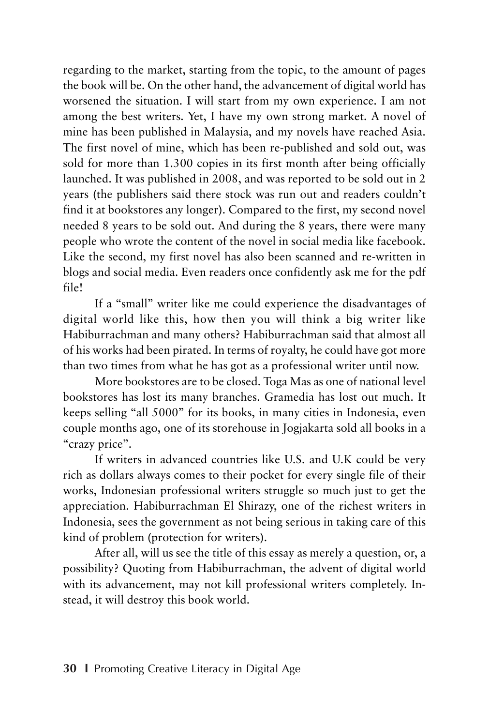regarding to the market, starting from the topic, to the amount of pages the book will be. On the other hand, the advancement of digital world has worsened the situation. I will start from my own experience. I am not among the best writers. Yet, I have my own strong market. A novel of mine has been published in Malaysia, and my novels have reached Asia. The first novel of mine, which has been re-published and sold out, was sold for more than 1.300 copies in its first month after being officially launched. It was published in 2008, and was reported to be sold out in 2 years (the publishers said there stock was run out and readers couldn't find it at bookstores any longer). Compared to the first, my second novel needed 8 years to be sold out. And during the 8 years, there were many people who wrote the content of the novel in social media like facebook. Like the second, my first novel has also been scanned and re-written in blogs and social media. Even readers once confidently ask me for the pdf file!

If a "small" writer like me could experience the disadvantages of digital world like this, how then you will think a big writer like Habiburrachman and many others? Habiburrachman said that almost all of his works had been pirated. In terms of royalty, he could have got more than two times from what he has got as a professional writer until now.

More bookstores are to be closed. Toga Mas as one of national level bookstores has lost its many branches. Gramedia has lost out much. It keeps selling "all 5000" for its books, in many cities in Indonesia, even couple months ago, one of its storehouse in Jogjakarta sold all books in a "crazy price".

If writers in advanced countries like U.S. and U.K could be very rich as dollars always comes to their pocket for every single file of their works, Indonesian professional writers struggle so much just to get the appreciation. Habiburrachman El Shirazy, one of the richest writers in Indonesia, sees the government as not being serious in taking care of this kind of problem (protection for writers).

After all, will us see the title of this essay as merely a question, or, a possibility? Quoting from Habiburrachman, the advent of digital world with its advancement, may not kill professional writers completely. Instead, it will destroy this book world.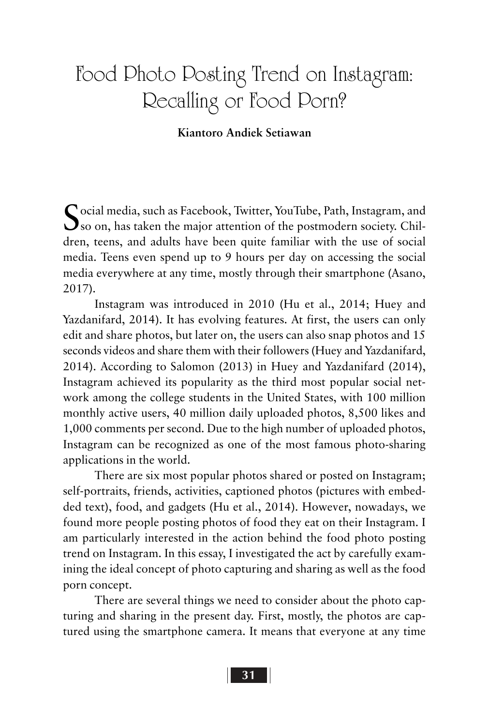# Food Photo Posting Trend on Instagram: Recalling or Food Porn?

#### **Kiantoro Andiek Setiawan**

Social media, such as Facebook, Twitter, YouTube, Path, Instagram, and<br>So on, has taken the major attention of the postmodern society. Children, teens, and adults have been quite familiar with the use of social media. Teens even spend up to 9 hours per day on accessing the social media everywhere at any time, mostly through their smartphone (Asano, 2017).

Instagram was introduced in 2010 (Hu et al., 2014; Huey and Yazdanifard, 2014). It has evolving features. At first, the users can only edit and share photos, but later on, the users can also snap photos and 15 seconds videos and share them with their followers (Huey and Yazdanifard, 2014). According to Salomon (2013) in Huey and Yazdanifard (2014), Instagram achieved its popularity as the third most popular social network among the college students in the United States, with 100 million monthly active users, 40 million daily uploaded photos, 8,500 likes and 1,000 comments per second. Due to the high number of uploaded photos, Instagram can be recognized as one of the most famous photo-sharing applications in the world.

There are six most popular photos shared or posted on Instagram; self-portraits, friends, activities, captioned photos (pictures with embedded text), food, and gadgets (Hu et al., 2014). However, nowadays, we found more people posting photos of food they eat on their Instagram. I am particularly interested in the action behind the food photo posting trend on Instagram. In this essay, I investigated the act by carefully examining the ideal concept of photo capturing and sharing as well as the food porn concept.

There are several things we need to consider about the photo capturing and sharing in the present day. First, mostly, the photos are captured using the smartphone camera. It means that everyone at any time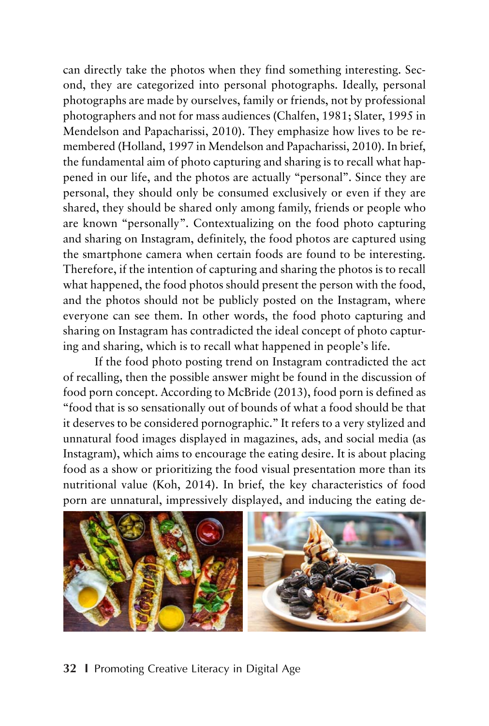can directly take the photos when they find something interesting. Second, they are categorized into personal photographs. Ideally, personal photographs are made by ourselves, family or friends, not by professional photographers and not for mass audiences (Chalfen, 1981; Slater, 1995 in Mendelson and Papacharissi, 2010). They emphasize how lives to be remembered (Holland, 1997 in Mendelson and Papacharissi, 2010). In brief, the fundamental aim of photo capturing and sharing is to recall what happened in our life, and the photos are actually "personal". Since they are personal, they should only be consumed exclusively or even if they are shared, they should be shared only among family, friends or people who are known "personally". Contextualizing on the food photo capturing and sharing on Instagram, definitely, the food photos are captured using the smartphone camera when certain foods are found to be interesting. Therefore, if the intention of capturing and sharing the photos is to recall what happened, the food photos should present the person with the food, and the photos should not be publicly posted on the Instagram, where everyone can see them. In other words, the food photo capturing and sharing on Instagram has contradicted the ideal concept of photo capturing and sharing, which is to recall what happened in people's life.

If the food photo posting trend on Instagram contradicted the act of recalling, then the possible answer might be found in the discussion of food porn concept. According to McBride (2013), food porn is defined as "food that is so sensationally out of bounds of what a food should be that it deserves to be considered pornographic." It refers to a very stylized and unnatural food images displayed in magazines, ads, and social media (as Instagram), which aims to encourage the eating desire. It is about placing food as a show or prioritizing the food visual presentation more than its nutritional value (Koh, 2014). In brief, the key characteristics of food porn are unnatural, impressively displayed, and inducing the eating de-



#### **32 I** Promoting Creative Literacy in Digital Age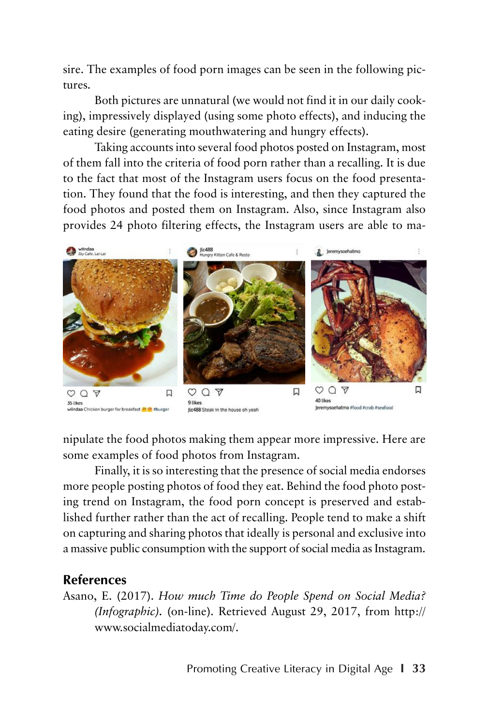sire. The examples of food porn images can be seen in the following pictures.

Both pictures are unnatural (we would not find it in our daily cooking), impressively displayed (using some photo effects), and inducing the eating desire (generating mouthwatering and hungry effects).

Taking accounts into several food photos posted on Instagram, most of them fall into the criteria of food porn rather than a recalling. It is due to the fact that most of the Instagram users focus on the food presentation. They found that the food is interesting, and then they captured the food photos and posted them on Instagram. Also, since Instagram also provides 24 photo filtering effects, the Instagram users are able to ma-



nipulate the food photos making them appear more impressive. Here are some examples of food photos from Instagram.

Finally, it is so interesting that the presence of social media endorses more people posting photos of food they eat. Behind the food photo posting trend on Instagram, the food porn concept is preserved and established further rather than the act of recalling. People tend to make a shift on capturing and sharing photos that ideally is personal and exclusive into a massive public consumption with the support of social media as Instagram.

#### **References**

Asano, E. (2017). *How much Time do People Spend on Social Media? (Infographic).* (on-line). Retrieved August 29, 2017, from http:// www.socialmediatoday.com/.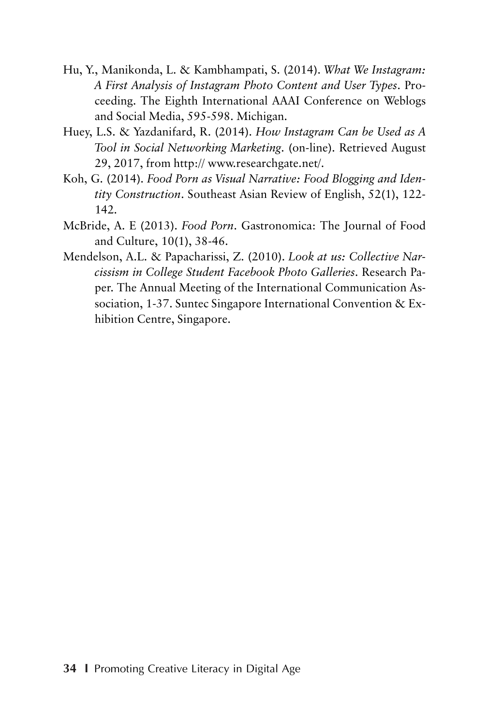- Hu, Y., Manikonda, L. & Kambhampati, S. (2014). *What We Instagram: A First Analysis of Instagram Photo Content and User Types*. Proceeding. The Eighth International AAAI Conference on Weblogs and Social Media, 595-598. Michigan.
- Huey, L.S. & Yazdanifard, R. (2014). *How Instagram Can be Used as A Tool in Social Networking Marketing*. (on-line). Retrieved August 29, 2017, from http:// www.researchgate.net/.
- Koh, G. (2014). *Food Porn as Visual Narrative: Food Blogging and Identity Construction*. Southeast Asian Review of English, 52(1), 122- 142.
- McBride, A. E (2013). *Food Porn*. Gastronomica: The Journal of Food and Culture, 10(1), 38-46.
- Mendelson, A.L. & Papacharissi, Z. (2010). *Look at us: Collective Narcissism in College Student Facebook Photo Galleries*. Research Paper. The Annual Meeting of the International Communication Association, 1-37. Suntec Singapore International Convention & Exhibition Centre, Singapore.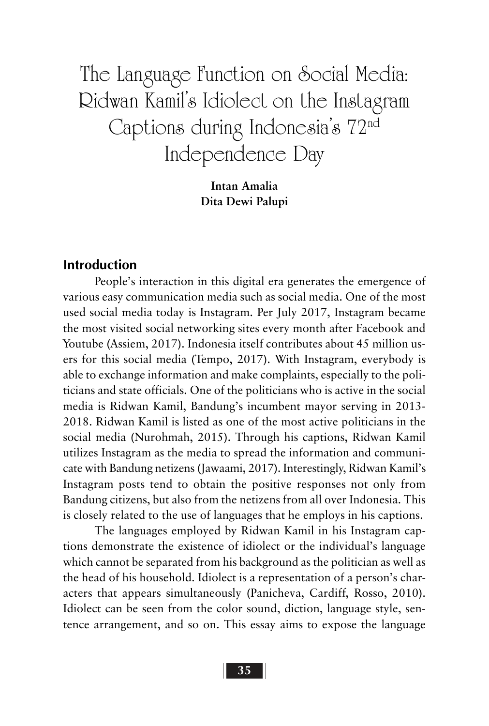The Language Function on Social Media: Ridwan Kamil's Idiolect on the Instagram Captions during Indonesia's 72nd Independence Day

> **Intan Amalia Dita Dewi Palupi**

#### **Introduction**

People's interaction in this digital era generates the emergence of various easy communication media such as social media. One of the most used social media today is Instagram. Per July 2017, Instagram became the most visited social networking sites every month after Facebook and Youtube (Assiem, 2017). Indonesia itself contributes about 45 million users for this social media (Tempo, 2017). With Instagram, everybody is able to exchange information and make complaints, especially to the politicians and state officials. One of the politicians who is active in the social media is Ridwan Kamil, Bandung's incumbent mayor serving in 2013- 2018. Ridwan Kamil is listed as one of the most active politicians in the social media (Nurohmah, 2015). Through his captions, Ridwan Kamil utilizes Instagram as the media to spread the information and communicate with Bandung netizens (Jawaami, 2017). Interestingly, Ridwan Kamil's Instagram posts tend to obtain the positive responses not only from Bandung citizens, but also from the netizens from all over Indonesia. This is closely related to the use of languages that he employs in his captions.

The languages employed by Ridwan Kamil in his Instagram captions demonstrate the existence of idiolect or the individual's language which cannot be separated from his background as the politician as well as the head of his household. Idiolect is a representation of a person's characters that appears simultaneously (Panicheva, Cardiff, Rosso, 2010). Idiolect can be seen from the color sound, diction, language style, sentence arrangement, and so on. This essay aims to expose the language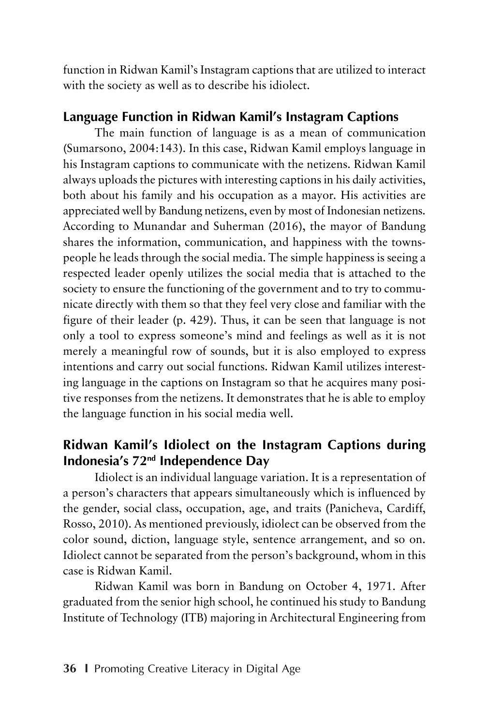function in Ridwan Kamil's Instagram captions that are utilized to interact with the society as well as to describe his idiolect.

## **Language Function in Ridwan Kamil's Instagram Captions**

The main function of language is as a mean of communication (Sumarsono, 2004:143). In this case, Ridwan Kamil employs language in his Instagram captions to communicate with the netizens. Ridwan Kamil always uploads the pictures with interesting captions in his daily activities, both about his family and his occupation as a mayor. His activities are appreciated well by Bandung netizens, even by most of Indonesian netizens. According to Munandar and Suherman (2016), the mayor of Bandung shares the information, communication, and happiness with the townspeople he leads through the social media. The simple happiness is seeing a respected leader openly utilizes the social media that is attached to the society to ensure the functioning of the government and to try to communicate directly with them so that they feel very close and familiar with the figure of their leader (p. 429). Thus, it can be seen that language is not only a tool to express someone's mind and feelings as well as it is not merely a meaningful row of sounds, but it is also employed to express intentions and carry out social functions. Ridwan Kamil utilizes interesting language in the captions on Instagram so that he acquires many positive responses from the netizens. It demonstrates that he is able to employ the language function in his social media well.

# **Ridwan Kamil's Idiolect on the Instagram Captions during Indonesia's 72nd Independence Day**

Idiolect is an individual language variation. It is a representation of a person's characters that appears simultaneously which is influenced by the gender, social class, occupation, age, and traits (Panicheva, Cardiff, Rosso, 2010). As mentioned previously, idiolect can be observed from the color sound, diction, language style, sentence arrangement, and so on. Idiolect cannot be separated from the person's background, whom in this case is Ridwan Kamil.

Ridwan Kamil was born in Bandung on October 4, 1971. After graduated from the senior high school, he continued his study to Bandung Institute of Technology (ITB) majoring in Architectural Engineering from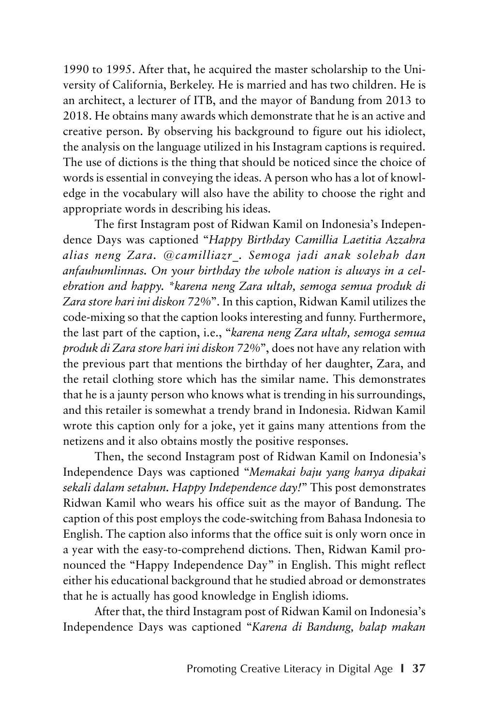1990 to 1995. After that, he acquired the master scholarship to the University of California, Berkeley. He is married and has two children. He is an architect, a lecturer of ITB, and the mayor of Bandung from 2013 to 2018. He obtains many awards which demonstrate that he is an active and creative person. By observing his background to figure out his idiolect, the analysis on the language utilized in his Instagram captions is required. The use of dictions is the thing that should be noticed since the choice of words is essential in conveying the ideas. A person who has a lot of knowledge in the vocabulary will also have the ability to choose the right and appropriate words in describing his ideas.

The first Instagram post of Ridwan Kamil on Indonesia's Independence Days was captioned "*Happy Birthday Camillia Laetitia Azzahra alias neng Zara. @camilliazr\_. Semoga jadi anak solehah dan anfauhumlinnas. On your birthday the whole nation is always in a celebration and happy. \*karena neng Zara ultah, semoga semua produk di Zara store hari ini diskon 72%*". In this caption, Ridwan Kamil utilizes the code-mixing so that the caption looks interesting and funny. Furthermore, the last part of the caption, i.e., "*karena neng Zara ultah, semoga semua produk di Zara store hari ini diskon 72%*", does not have any relation with the previous part that mentions the birthday of her daughter, Zara, and the retail clothing store which has the similar name. This demonstrates that he is a jaunty person who knows what is trending in his surroundings, and this retailer is somewhat a trendy brand in Indonesia. Ridwan Kamil wrote this caption only for a joke, yet it gains many attentions from the netizens and it also obtains mostly the positive responses.

Then, the second Instagram post of Ridwan Kamil on Indonesia's Independence Days was captioned "*Memakai baju yang hanya dipakai sekali dalam setahun. Happy Independence day!*" This post demonstrates Ridwan Kamil who wears his office suit as the mayor of Bandung. The caption of this post employs the code-switching from Bahasa Indonesia to English. The caption also informs that the office suit is only worn once in a year with the easy-to-comprehend dictions. Then, Ridwan Kamil pronounced the "Happy Independence Day" in English. This might reflect either his educational background that he studied abroad or demonstrates that he is actually has good knowledge in English idioms.

After that, the third Instagram post of Ridwan Kamil on Indonesia's Independence Days was captioned "*Karena di Bandung, balap makan*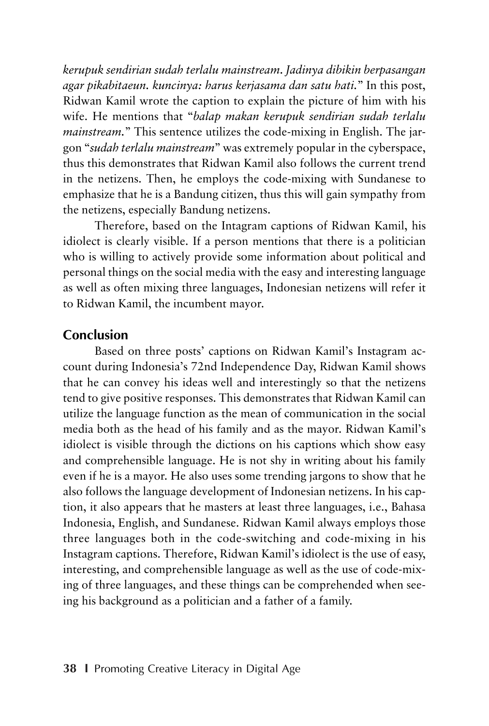*kerupuk sendirian sudah terlalu mainstream. Jadinya dibikin berpasangan agar pikabitaeun. kuncinya: harus kerjasama dan satu hati.*" In this post, Ridwan Kamil wrote the caption to explain the picture of him with his wife. He mentions that "*balap makan kerupuk sendirian sudah terlalu mainstream.*" This sentence utilizes the code-mixing in English. The jargon "*sudah terlalu mainstream*" was extremely popular in the cyberspace, thus this demonstrates that Ridwan Kamil also follows the current trend in the netizens. Then, he employs the code-mixing with Sundanese to emphasize that he is a Bandung citizen, thus this will gain sympathy from the netizens, especially Bandung netizens.

Therefore, based on the Intagram captions of Ridwan Kamil, his idiolect is clearly visible. If a person mentions that there is a politician who is willing to actively provide some information about political and personal things on the social media with the easy and interesting language as well as often mixing three languages, Indonesian netizens will refer it to Ridwan Kamil, the incumbent mayor.

#### **Conclusion**

Based on three posts' captions on Ridwan Kamil's Instagram account during Indonesia's 72nd Independence Day, Ridwan Kamil shows that he can convey his ideas well and interestingly so that the netizens tend to give positive responses. This demonstrates that Ridwan Kamil can utilize the language function as the mean of communication in the social media both as the head of his family and as the mayor. Ridwan Kamil's idiolect is visible through the dictions on his captions which show easy and comprehensible language. He is not shy in writing about his family even if he is a mayor. He also uses some trending jargons to show that he also follows the language development of Indonesian netizens. In his caption, it also appears that he masters at least three languages, i.e., Bahasa Indonesia, English, and Sundanese. Ridwan Kamil always employs those three languages both in the code-switching and code-mixing in his Instagram captions. Therefore, Ridwan Kamil's idiolect is the use of easy, interesting, and comprehensible language as well as the use of code-mixing of three languages, and these things can be comprehended when seeing his background as a politician and a father of a family.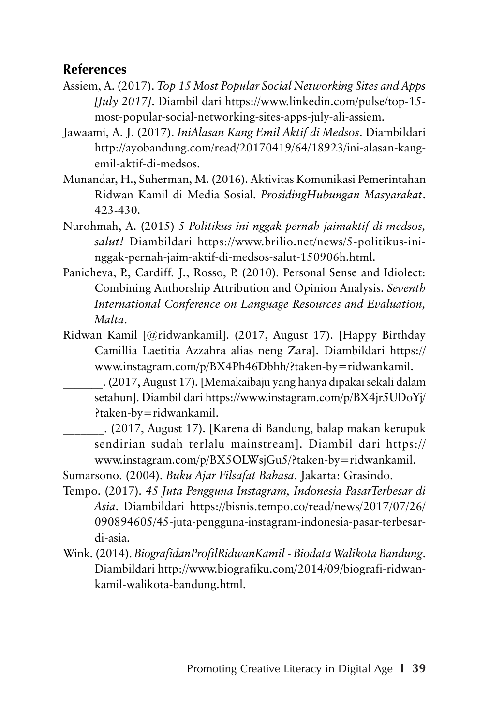### **References**

- Assiem, A. (2017). *Top 15 Most Popular Social Networking Sites and Apps [July 2017]*. Diambil dari https://www.linkedin.com/pulse/top-15 most-popular-social-networking-sites-apps-july-ali-assiem.
- Jawaami, A. J. (2017). *IniAlasan Kang Emil Aktif di Medsos*. Diambildari http://ayobandung.com/read/20170419/64/18923/ini-alasan-kangemil-aktif-di-medsos.
- Munandar, H., Suherman, M. (2016). Aktivitas Komunikasi Pemerintahan Ridwan Kamil di Media Sosial. *ProsidingHubungan Masyarakat*. 423-430.
- Nurohmah, A. (2015) *5 Politikus ini nggak pernah jaimaktif di medsos, salut!* Diambildari https://www.brilio.net/news/5-politikus-ininggak-pernah-jaim-aktif-di-medsos-salut-150906h.html.
- Panicheva, P., Cardiff. J., Rosso, P. (2010). Personal Sense and Idiolect: Combining Authorship Attribution and Opinion Analysis. *Seventh International Conference on Language Resources and Evaluation, Malta*.
- Ridwan Kamil [@ridwankamil]. (2017, August 17). [Happy Birthday Camillia Laetitia Azzahra alias neng Zara]. Diambildari https:// www.instagram.com/p/BX4Ph46Dbhh/?taken-by=ridwankamil.
	- \_\_\_\_\_\_\_. (2017, August 17). [Memakaibaju yang hanya dipakai sekali dalam setahun]. Diambil dari https://www.instagram.com/p/BX4jr5UDoYj/ ?taken-by=ridwankamil.

\_\_\_\_\_\_\_. (2017, August 17). [Karena di Bandung, balap makan kerupuk sendirian sudah terlalu mainstream]. Diambil dari https:// www.instagram.com/p/BX5OLWsjGu5/?taken-by=ridwankamil.

Sumarsono. (2004). *Buku Ajar Filsafat Bahasa*. Jakarta: Grasindo.

- Tempo. (2017). *45 Juta Pengguna Instagram, Indonesia PasarTerbesar di Asia*. Diambildari https://bisnis.tempo.co/read/news/2017/07/26/ 090894605/45-juta-pengguna-instagram-indonesia-pasar-terbesardi-asia.
- Wink. (2014). *BiografidanProfilRidwanKamil Biodata Walikota Bandung*. Diambildari http://www.biografiku.com/2014/09/biografi-ridwankamil-walikota-bandung.html.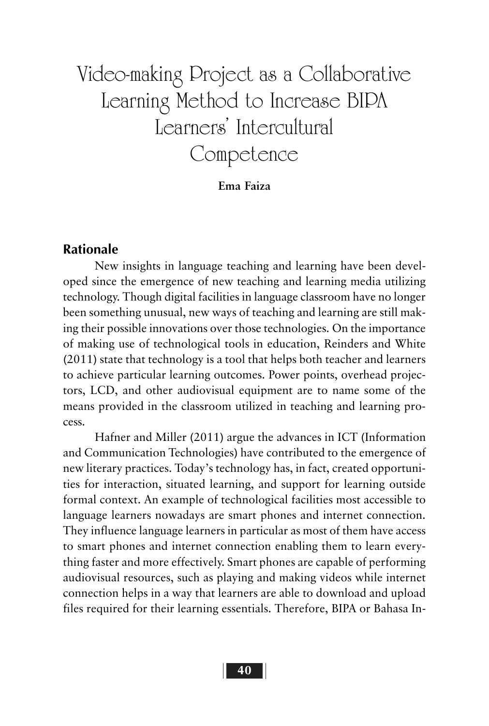# Video-making Project as a Collaborative Learning Method to Increase BIPA Learners' Intercultural Competence

**Ema Faiza**

#### **Rationale**

New insights in language teaching and learning have been developed since the emergence of new teaching and learning media utilizing technology. Though digital facilities in language classroom have no longer been something unusual, new ways of teaching and learning are still making their possible innovations over those technologies. On the importance of making use of technological tools in education, Reinders and White (2011) state that technology is a tool that helps both teacher and learners to achieve particular learning outcomes. Power points, overhead projectors, LCD, and other audiovisual equipment are to name some of the means provided in the classroom utilized in teaching and learning process.

Hafner and Miller (2011) argue the advances in ICT (Information and Communication Technologies) have contributed to the emergence of new literary practices. Today's technology has, in fact, created opportunities for interaction, situated learning, and support for learning outside formal context. An example of technological facilities most accessible to language learners nowadays are smart phones and internet connection. They influence language learners in particular as most of them have access to smart phones and internet connection enabling them to learn everything faster and more effectively. Smart phones are capable of performing audiovisual resources, such as playing and making videos while internet connection helps in a way that learners are able to download and upload files required for their learning essentials. Therefore, BIPA or Bahasa In-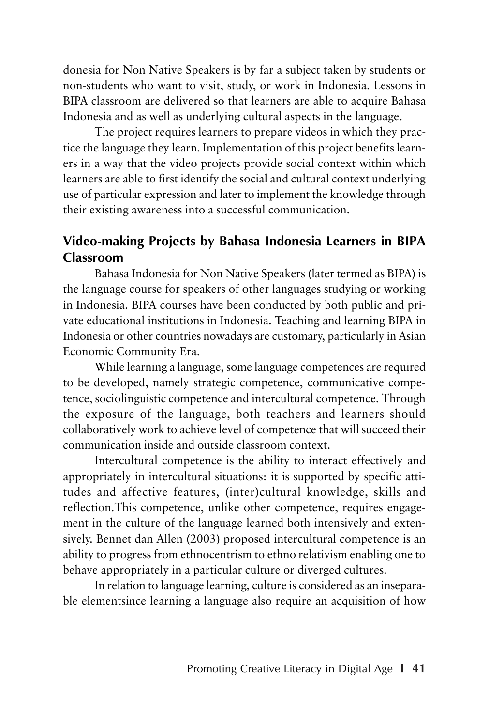donesia for Non Native Speakers is by far a subject taken by students or non-students who want to visit, study, or work in Indonesia. Lessons in BIPA classroom are delivered so that learners are able to acquire Bahasa Indonesia and as well as underlying cultural aspects in the language.

The project requires learners to prepare videos in which they practice the language they learn. Implementation of this project benefits learners in a way that the video projects provide social context within which learners are able to first identify the social and cultural context underlying use of particular expression and later to implement the knowledge through their existing awareness into a successful communication.

## **Video-making Projects by Bahasa Indonesia Learners in BIPA Classroom**

Bahasa Indonesia for Non Native Speakers (later termed as BIPA) is the language course for speakers of other languages studying or working in Indonesia. BIPA courses have been conducted by both public and private educational institutions in Indonesia. Teaching and learning BIPA in Indonesia or other countries nowadays are customary, particularly in Asian Economic Community Era.

While learning a language, some language competences are required to be developed, namely strategic competence, communicative competence, sociolinguistic competence and intercultural competence. Through the exposure of the language, both teachers and learners should collaboratively work to achieve level of competence that will succeed their communication inside and outside classroom context.

Intercultural competence is the ability to interact effectively and appropriately in intercultural situations: it is supported by specific attitudes and affective features, (inter)cultural knowledge, skills and reflection.This competence, unlike other competence, requires engagement in the culture of the language learned both intensively and extensively. Bennet dan Allen (2003) proposed intercultural competence is an ability to progress from ethnocentrism to ethno relativism enabling one to behave appropriately in a particular culture or diverged cultures.

In relation to language learning, culture is considered as an inseparable elementsince learning a language also require an acquisition of how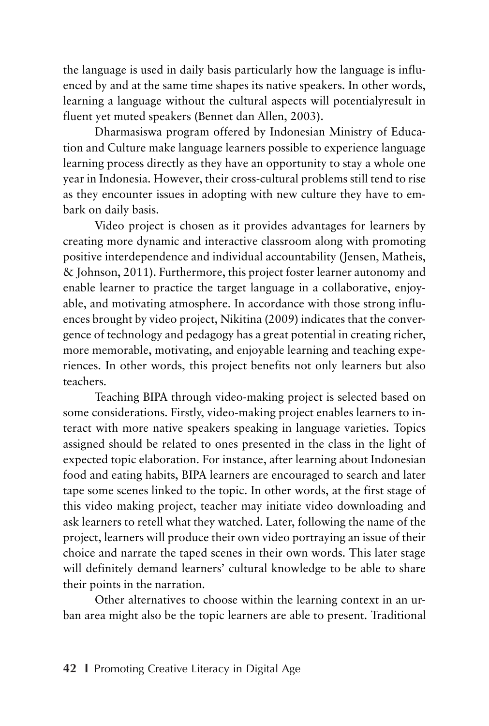the language is used in daily basis particularly how the language is influenced by and at the same time shapes its native speakers. In other words, learning a language without the cultural aspects will potentialyresult in fluent yet muted speakers (Bennet dan Allen, 2003).

Dharmasiswa program offered by Indonesian Ministry of Education and Culture make language learners possible to experience language learning process directly as they have an opportunity to stay a whole one year in Indonesia. However, their cross-cultural problems still tend to rise as they encounter issues in adopting with new culture they have to embark on daily basis.

Video project is chosen as it provides advantages for learners by creating more dynamic and interactive classroom along with promoting positive interdependence and individual accountability (Jensen, Matheis, & Johnson, 2011). Furthermore, this project foster learner autonomy and enable learner to practice the target language in a collaborative, enjoyable, and motivating atmosphere. In accordance with those strong influences brought by video project, Nikitina (2009) indicates that the convergence of technology and pedagogy has a great potential in creating richer, more memorable, motivating, and enjoyable learning and teaching experiences. In other words, this project benefits not only learners but also teachers.

Teaching BIPA through video-making project is selected based on some considerations. Firstly, video-making project enables learners to interact with more native speakers speaking in language varieties. Topics assigned should be related to ones presented in the class in the light of expected topic elaboration. For instance, after learning about Indonesian food and eating habits, BIPA learners are encouraged to search and later tape some scenes linked to the topic. In other words, at the first stage of this video making project, teacher may initiate video downloading and ask learners to retell what they watched. Later, following the name of the project, learners will produce their own video portraying an issue of their choice and narrate the taped scenes in their own words. This later stage will definitely demand learners' cultural knowledge to be able to share their points in the narration.

Other alternatives to choose within the learning context in an urban area might also be the topic learners are able to present. Traditional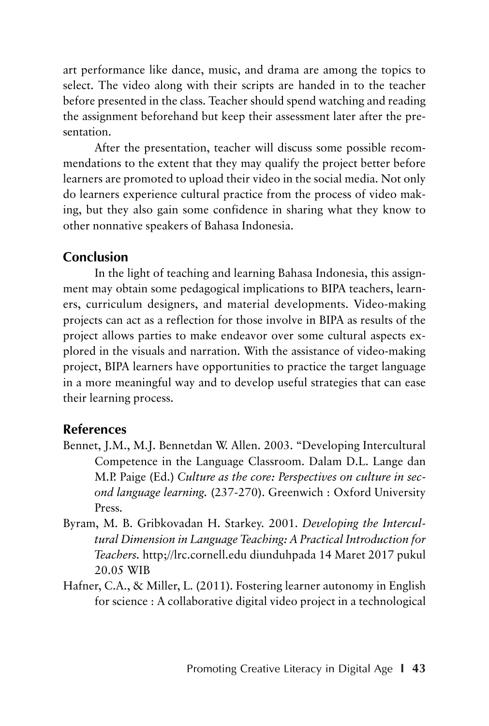art performance like dance, music, and drama are among the topics to select. The video along with their scripts are handed in to the teacher before presented in the class. Teacher should spend watching and reading the assignment beforehand but keep their assessment later after the presentation.

After the presentation, teacher will discuss some possible recommendations to the extent that they may qualify the project better before learners are promoted to upload their video in the social media. Not only do learners experience cultural practice from the process of video making, but they also gain some confidence in sharing what they know to other nonnative speakers of Bahasa Indonesia.

## **Conclusion**

In the light of teaching and learning Bahasa Indonesia, this assignment may obtain some pedagogical implications to BIPA teachers, learners, curriculum designers, and material developments. Video-making projects can act as a reflection for those involve in BIPA as results of the project allows parties to make endeavor over some cultural aspects explored in the visuals and narration. With the assistance of video-making project, BIPA learners have opportunities to practice the target language in a more meaningful way and to develop useful strategies that can ease their learning process.

## **References**

- Bennet, J.M., M.J. Bennetdan W. Allen. 2003. "Developing Intercultural Competence in the Language Classroom. Dalam D.L. Lange dan M.P. Paige (Ed.) *Culture as the core: Perspectives on culture in second language learning.* (237-270). Greenwich : Oxford University Press.
- Byram, M. B. Gribkovadan H. Starkey. 2001. *Developing the Intercultural Dimension in Language Teaching: A Practical Introduction for Teachers.* http;//lrc.cornell.edu diunduhpada 14 Maret 2017 pukul 20.05 WIB
- Hafner, C.A., & Miller, L. (2011). Fostering learner autonomy in English for science : A collaborative digital video project in a technological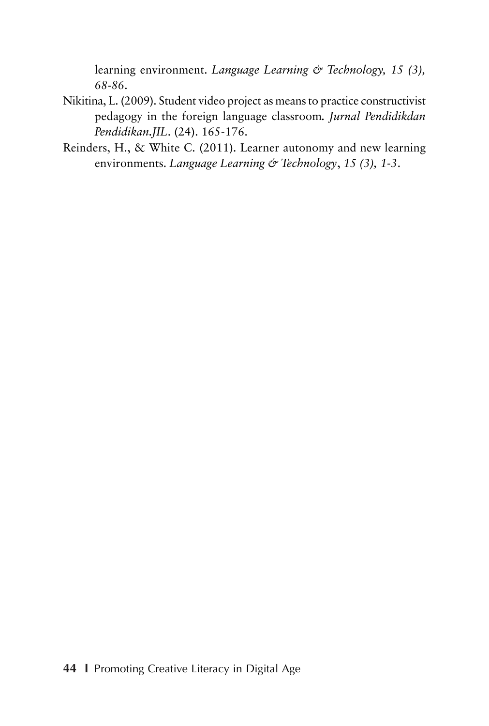learning environment. *Language Learning & Technology, 15 (3), 68-86*.

- Nikitina, L. (2009). Student video project as means to practice constructivist pedagogy in the foreign language classroom*. Jurnal Pendidikdan Pendidikan.JIL*. (24). 165-176.
- Reinders, H., & White C. (2011). Learner autonomy and new learning environments. *Language Learning & Technology*, *15 (3), 1-3*.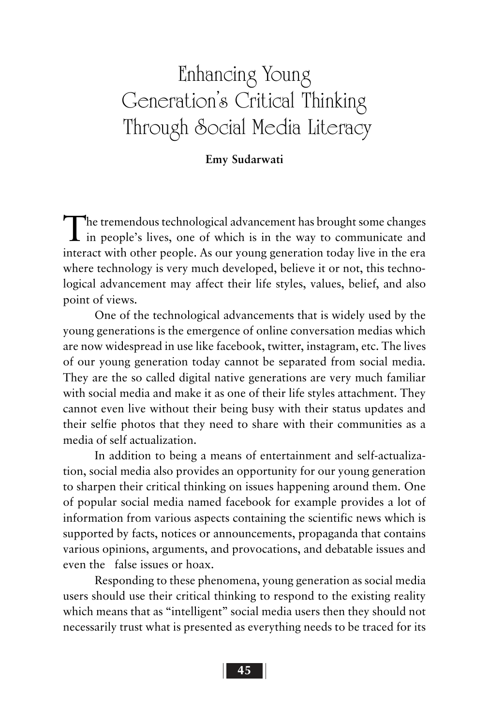# Enhancing Young Generation's Critical Thinking Through Social Media Literacy

#### **Emy Sudarwati**

The tremendous technological advancement has brought some changes in people's lives, one of which is in the way to communicate and interact with other people. As our young generation today live in the era where technology is very much developed, believe it or not, this technological advancement may affect their life styles, values, belief, and also point of views.

One of the technological advancements that is widely used by the young generations is the emergence of online conversation medias which are now widespread in use like facebook, twitter, instagram, etc. The lives of our young generation today cannot be separated from social media. They are the so called digital native generations are very much familiar with social media and make it as one of their life styles attachment. They cannot even live without their being busy with their status updates and their selfie photos that they need to share with their communities as a media of self actualization.

In addition to being a means of entertainment and self-actualization, social media also provides an opportunity for our young generation to sharpen their critical thinking on issues happening around them. One of popular social media named facebook for example provides a lot of information from various aspects containing the scientific news which is supported by facts, notices or announcements, propaganda that contains various opinions, arguments, and provocations, and debatable issues and even the false issues or hoax.

Responding to these phenomena, young generation as social media users should use their critical thinking to respond to the existing reality which means that as "intelligent" social media users then they should not necessarily trust what is presented as everything needs to be traced for its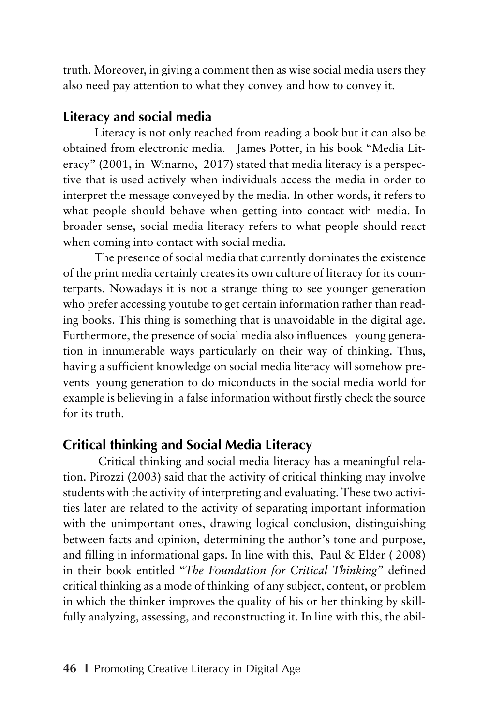truth. Moreover, in giving a comment then as wise social media users they also need pay attention to what they convey and how to convey it.

## **Literacy and social media**

Literacy is not only reached from reading a book but it can also be obtained from electronic media. James Potter, in his book "Media Literacy" (2001, in Winarno, 2017) stated that media literacy is a perspective that is used actively when individuals access the media in order to interpret the message conveyed by the media. In other words, it refers to what people should behave when getting into contact with media. In broader sense, social media literacy refers to what people should react when coming into contact with social media.

The presence of social media that currently dominates the existence of the print media certainly creates its own culture of literacy for its counterparts. Nowadays it is not a strange thing to see younger generation who prefer accessing youtube to get certain information rather than reading books. This thing is something that is unavoidable in the digital age. Furthermore, the presence of social media also influences young generation in innumerable ways particularly on their way of thinking. Thus, having a sufficient knowledge on social media literacy will somehow prevents young generation to do miconducts in the social media world for example is believing in a false information without firstly check the source for its truth.

# **Critical thinking and Social Media Literacy**

 Critical thinking and social media literacy has a meaningful relation. Pirozzi (2003) said that the activity of critical thinking may involve students with the activity of interpreting and evaluating. These two activities later are related to the activity of separating important information with the unimportant ones, drawing logical conclusion, distinguishing between facts and opinion, determining the author's tone and purpose, and filling in informational gaps. In line with this, Paul & Elder ( 2008) in their book entitled "*The Foundation for Critical Thinking"* defined critical thinking as a mode of thinking of any subject, content, or problem in which the thinker improves the quality of his or her thinking by skillfully analyzing, assessing, and reconstructing it. In line with this, the abil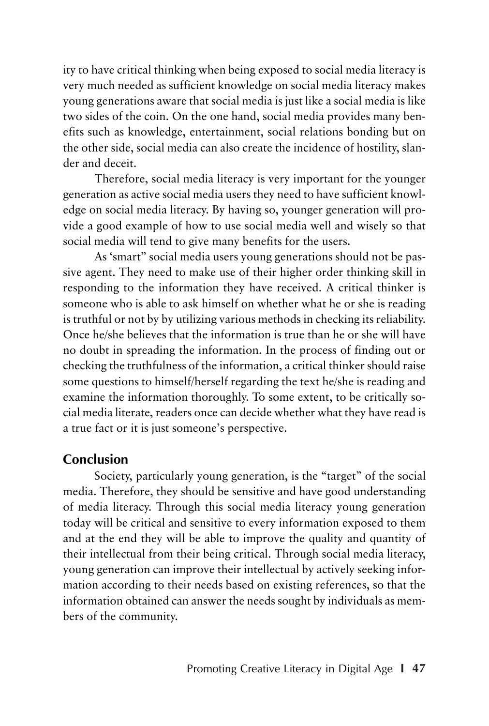ity to have critical thinking when being exposed to social media literacy is very much needed as sufficient knowledge on social media literacy makes young generations aware that social media is just like a social media is like two sides of the coin. On the one hand, social media provides many benefits such as knowledge, entertainment, social relations bonding but on the other side, social media can also create the incidence of hostility, slander and deceit.

Therefore, social media literacy is very important for the younger generation as active social media users they need to have sufficient knowledge on social media literacy. By having so, younger generation will provide a good example of how to use social media well and wisely so that social media will tend to give many benefits for the users.

As 'smart" social media users young generations should not be passive agent. They need to make use of their higher order thinking skill in responding to the information they have received. A critical thinker is someone who is able to ask himself on whether what he or she is reading is truthful or not by by utilizing various methods in checking its reliability. Once he/she believes that the information is true than he or she will have no doubt in spreading the information. In the process of finding out or checking the truthfulness of the information, a critical thinker should raise some questions to himself/herself regarding the text he/she is reading and examine the information thoroughly. To some extent, to be critically social media literate, readers once can decide whether what they have read is a true fact or it is just someone's perspective.

#### **Conclusion**

Society, particularly young generation, is the "target" of the social media. Therefore, they should be sensitive and have good understanding of media literacy. Through this social media literacy young generation today will be critical and sensitive to every information exposed to them and at the end they will be able to improve the quality and quantity of their intellectual from their being critical. Through social media literacy, young generation can improve their intellectual by actively seeking information according to their needs based on existing references, so that the information obtained can answer the needs sought by individuals as members of the community.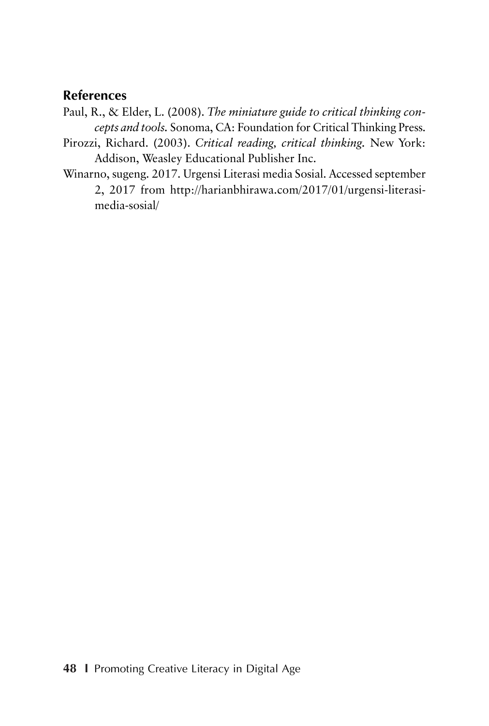### **References**

- Paul, R., & Elder, L. (2008). *The miniature guide to critical thinking concepts and tools.* Sonoma, CA: Foundation for Critical Thinking Press.
- Pirozzi, Richard. (2003). *Critical reading, critical thinking.* New York: Addison, Weasley Educational Publisher Inc.
- Winarno, sugeng. 2017. Urgensi Literasi media Sosial. Accessed september 2, 2017 from http://harianbhirawa.com/2017/01/urgensi-literasimedia-sosial/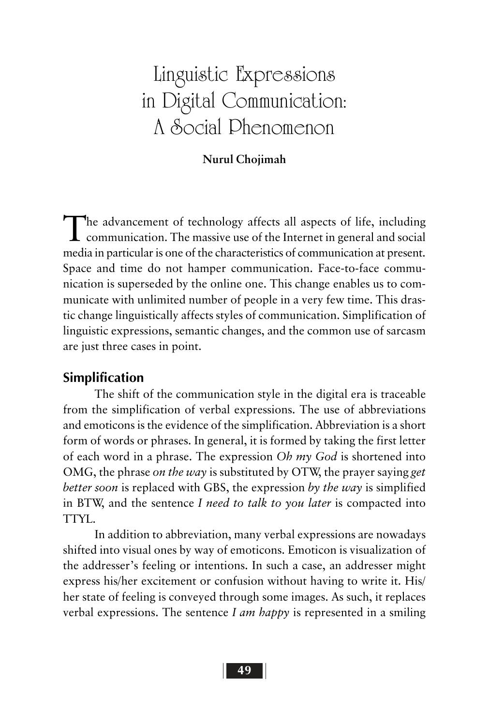# Linguistic Expressions in Digital Communication: A Social Phenomenon

#### **Nurul Chojimah**

The advancement of technology affects all aspects of life, including communication. The massive use of the Internet in general and social media in particular is one of the characteristics of communication at present. Space and time do not hamper communication. Face-to-face communication is superseded by the online one. This change enables us to communicate with unlimited number of people in a very few time. This drastic change linguistically affects styles of communication. Simplification of linguistic expressions, semantic changes, and the common use of sarcasm are just three cases in point.

#### **Simplification**

The shift of the communication style in the digital era is traceable from the simplification of verbal expressions. The use of abbreviations and emoticons is the evidence of the simplification. Abbreviation is a short form of words or phrases. In general, it is formed by taking the first letter of each word in a phrase. The expression *Oh my God* is shortened into OMG, the phrase *on the way* is substituted by OTW, the prayer saying *get better soon* is replaced with GBS, the expression *by the way* is simplified in BTW, and the sentence *I need to talk to you later* is compacted into TTYL.

In addition to abbreviation, many verbal expressions are nowadays shifted into visual ones by way of emoticons. Emoticon is visualization of the addresser's feeling or intentions. In such a case, an addresser might express his/her excitement or confusion without having to write it. His/ her state of feeling is conveyed through some images. As such, it replaces verbal expressions. The sentence *I am happy* is represented in a smiling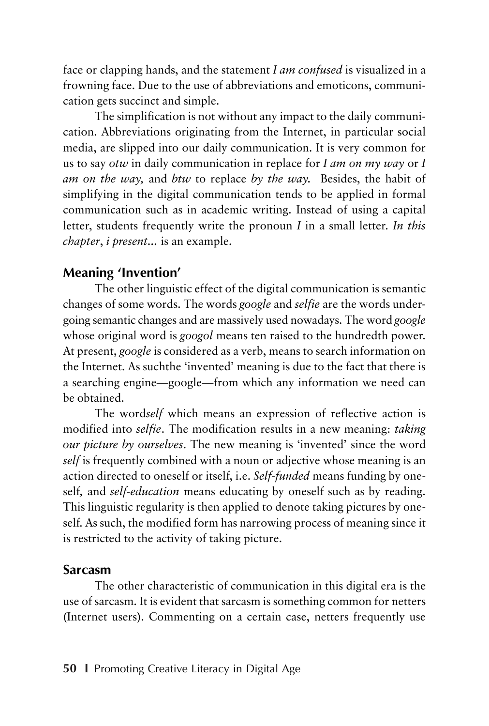face or clapping hands, and the statement *I am confused* is visualized in a frowning face. Due to the use of abbreviations and emoticons, communication gets succinct and simple.

The simplification is not without any impact to the daily communication. Abbreviations originating from the Internet, in particular social media, are slipped into our daily communication. It is very common for us to say *otw* in daily communication in replace for *I am on my way* or *I am on the way,* and *btw* to replace *by the way.* Besides, the habit of simplifying in the digital communication tends to be applied in formal communication such as in academic writing. Instead of using a capital letter, students frequently write the pronoun *I* in a small letter. *In this chapter*, *i present...* is an example.

### **Meaning 'Invention'**

The other linguistic effect of the digital communication is semantic changes of some words. The words *google* and *selfie* are the words undergoing semantic changes and are massively used nowadays. The word *google* whose original word is *googol* means ten raised to the hundredth power. At present, *google* is considered as a verb, means to search information on the Internet. As suchthe 'invented' meaning is due to the fact that there is a searching engine—google—from which any information we need can be obtained.

The word*self* which means an expression of reflective action is modified into *selfie*. The modification results in a new meaning: *taking our picture by ourselves*. The new meaning is 'invented' since the word *self* is frequently combined with a noun or adjective whose meaning is an action directed to oneself or itself, i.e. *Self-funded* means funding by oneself*,* and *self-education* means educating by oneself such as by reading. This linguistic regularity is then applied to denote taking pictures by oneself. As such, the modified form has narrowing process of meaning since it is restricted to the activity of taking picture.

#### **Sarcasm**

The other characteristic of communication in this digital era is the use of sarcasm. It is evident that sarcasm is something common for netters (Internet users). Commenting on a certain case, netters frequently use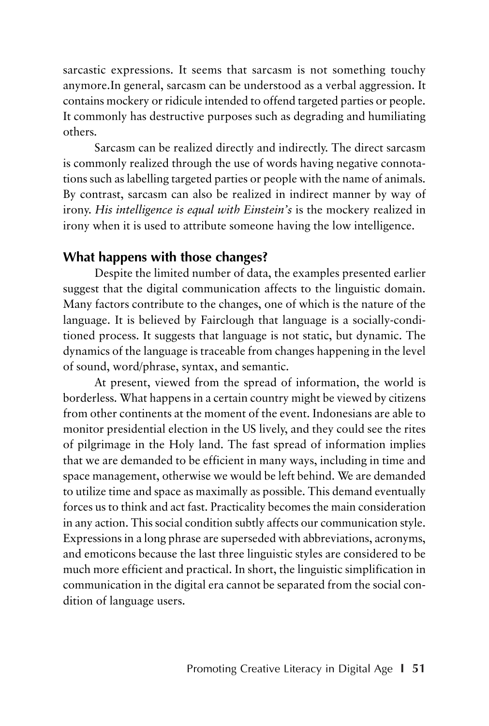sarcastic expressions. It seems that sarcasm is not something touchy anymore.In general, sarcasm can be understood as a verbal aggression. It contains mockery or ridicule intended to offend targeted parties or people. It commonly has destructive purposes such as degrading and humiliating others.

Sarcasm can be realized directly and indirectly. The direct sarcasm is commonly realized through the use of words having negative connotations such as labelling targeted parties or people with the name of animals. By contrast, sarcasm can also be realized in indirect manner by way of irony. *His intelligence is equal with Einstein's* is the mockery realized in irony when it is used to attribute someone having the low intelligence.

### **What happens with those changes?**

Despite the limited number of data, the examples presented earlier suggest that the digital communication affects to the linguistic domain. Many factors contribute to the changes, one of which is the nature of the language. It is believed by Fairclough that language is a socially-conditioned process. It suggests that language is not static, but dynamic. The dynamics of the language is traceable from changes happening in the level of sound, word/phrase, syntax, and semantic.

At present, viewed from the spread of information, the world is borderless. What happens in a certain country might be viewed by citizens from other continents at the moment of the event. Indonesians are able to monitor presidential election in the US lively, and they could see the rites of pilgrimage in the Holy land. The fast spread of information implies that we are demanded to be efficient in many ways, including in time and space management, otherwise we would be left behind. We are demanded to utilize time and space as maximally as possible. This demand eventually forces us to think and act fast. Practicality becomes the main consideration in any action. This social condition subtly affects our communication style. Expressions in a long phrase are superseded with abbreviations, acronyms, and emoticons because the last three linguistic styles are considered to be much more efficient and practical. In short, the linguistic simplification in communication in the digital era cannot be separated from the social condition of language users.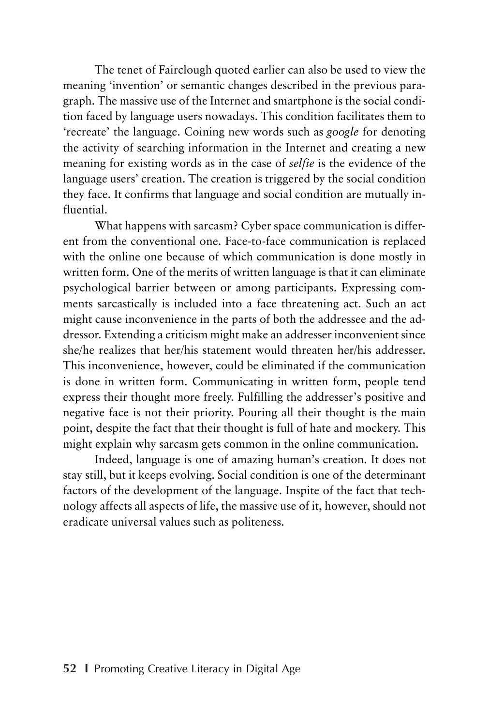The tenet of Fairclough quoted earlier can also be used to view the meaning 'invention' or semantic changes described in the previous paragraph. The massive use of the Internet and smartphone is the social condition faced by language users nowadays. This condition facilitates them to 'recreate' the language. Coining new words such as *google* for denoting the activity of searching information in the Internet and creating a new meaning for existing words as in the case of *selfie* is the evidence of the language users' creation. The creation is triggered by the social condition they face. It confirms that language and social condition are mutually influential.

What happens with sarcasm? Cyber space communication is different from the conventional one. Face-to-face communication is replaced with the online one because of which communication is done mostly in written form. One of the merits of written language is that it can eliminate psychological barrier between or among participants. Expressing comments sarcastically is included into a face threatening act. Such an act might cause inconvenience in the parts of both the addressee and the addressor. Extending a criticism might make an addresser inconvenient since she/he realizes that her/his statement would threaten her/his addresser. This inconvenience, however, could be eliminated if the communication is done in written form. Communicating in written form, people tend express their thought more freely. Fulfilling the addresser's positive and negative face is not their priority. Pouring all their thought is the main point, despite the fact that their thought is full of hate and mockery. This might explain why sarcasm gets common in the online communication.

Indeed, language is one of amazing human's creation. It does not stay still, but it keeps evolving. Social condition is one of the determinant factors of the development of the language. Inspite of the fact that technology affects all aspects of life, the massive use of it, however, should not eradicate universal values such as politeness.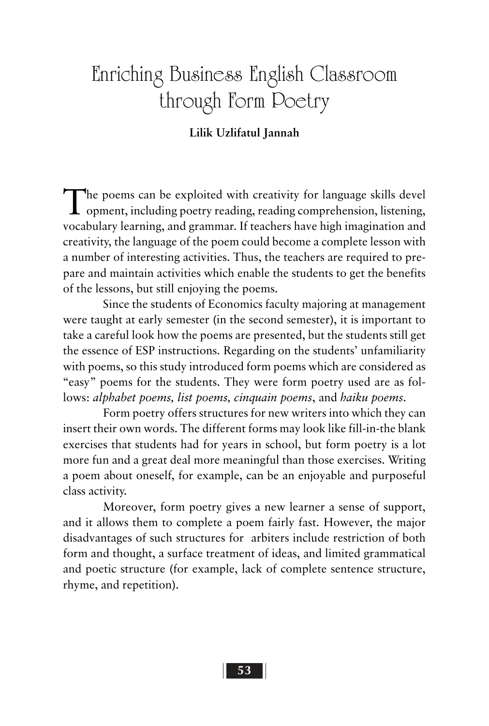# Enriching Business English Classroom through Form Poetry

#### **Lilik Uzlifatul Jannah**

The poems can be exploited with creativity for language skills devel opment, including poetry reading, reading comprehension, listening, vocabulary learning, and grammar. If teachers have high imagination and creativity, the language of the poem could become a complete lesson with a number of interesting activities. Thus, the teachers are required to prepare and maintain activities which enable the students to get the benefits of the lessons, but still enjoying the poems.

Since the students of Economics faculty majoring at management were taught at early semester (in the second semester), it is important to take a careful look how the poems are presented, but the students still get the essence of ESP instructions. Regarding on the students' unfamiliarity with poems, so this study introduced form poems which are considered as "easy" poems for the students. They were form poetry used are as follows: *alphabet poems, list poems, cinquain poems*, and *haiku poems*.

Form poetry offers structures for new writers into which they can insert their own words. The different forms may look like fill-in-the blank exercises that students had for years in school, but form poetry is a lot more fun and a great deal more meaningful than those exercises. Writing a poem about oneself, for example, can be an enjoyable and purposeful class activity.

Moreover, form poetry gives a new learner a sense of support, and it allows them to complete a poem fairly fast. However, the major disadvantages of such structures for arbiters include restriction of both form and thought, a surface treatment of ideas, and limited grammatical and poetic structure (for example, lack of complete sentence structure, rhyme, and repetition).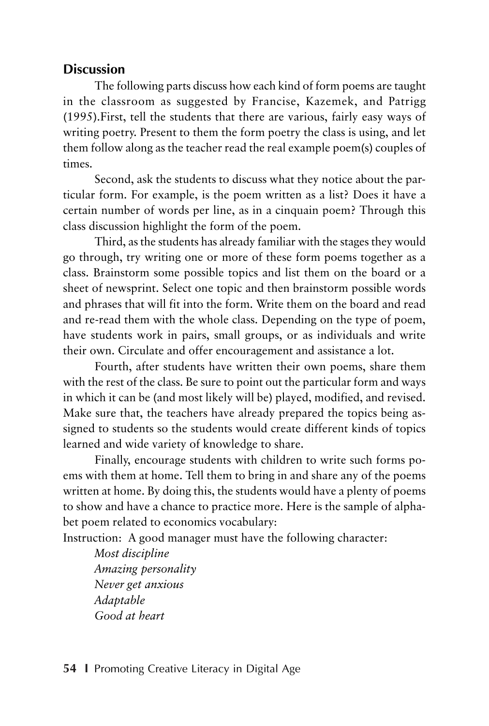### **Discussion**

The following parts discuss how each kind of form poems are taught in the classroom as suggested by Francise, Kazemek, and Patrigg (1995).First, tell the students that there are various, fairly easy ways of writing poetry. Present to them the form poetry the class is using, and let them follow along as the teacher read the real example poem(s) couples of times.

Second, ask the students to discuss what they notice about the particular form. For example, is the poem written as a list? Does it have a certain number of words per line, as in a cinquain poem? Through this class discussion highlight the form of the poem.

Third, as the students has already familiar with the stages they would go through, try writing one or more of these form poems together as a class. Brainstorm some possible topics and list them on the board or a sheet of newsprint. Select one topic and then brainstorm possible words and phrases that will fit into the form. Write them on the board and read and re-read them with the whole class. Depending on the type of poem, have students work in pairs, small groups, or as individuals and write their own. Circulate and offer encouragement and assistance a lot.

Fourth, after students have written their own poems, share them with the rest of the class. Be sure to point out the particular form and ways in which it can be (and most likely will be) played, modified, and revised. Make sure that, the teachers have already prepared the topics being assigned to students so the students would create different kinds of topics learned and wide variety of knowledge to share.

Finally, encourage students with children to write such forms poems with them at home. Tell them to bring in and share any of the poems written at home. By doing this, the students would have a plenty of poems to show and have a chance to practice more. Here is the sample of alphabet poem related to economics vocabulary:

Instruction: A good manager must have the following character:

*Most discipline Amazing personality Never get anxious Adaptable Good at heart*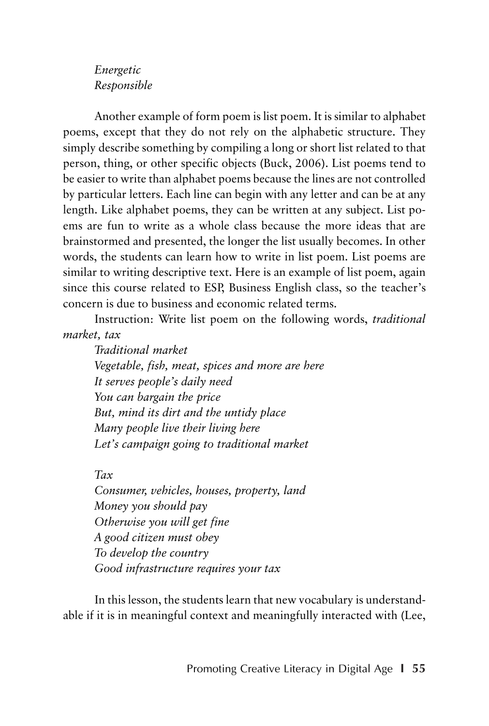#### *Energetic Responsible*

Another example of form poem is list poem. It is similar to alphabet poems, except that they do not rely on the alphabetic structure. They simply describe something by compiling a long or short list related to that person, thing, or other specific objects (Buck, 2006). List poems tend to be easier to write than alphabet poems because the lines are not controlled by particular letters. Each line can begin with any letter and can be at any length. Like alphabet poems, they can be written at any subject. List poems are fun to write as a whole class because the more ideas that are brainstormed and presented, the longer the list usually becomes. In other words, the students can learn how to write in list poem. List poems are similar to writing descriptive text. Here is an example of list poem, again since this course related to ESP, Business English class, so the teacher's concern is due to business and economic related terms.

Instruction: Write list poem on the following words, *traditional market, tax*

*Traditional market Vegetable, fish, meat, spices and more are here It serves people's daily need You can bargain the price But, mind its dirt and the untidy place Many people live their living here Let's campaign going to traditional market*

*Tax*

*Consumer, vehicles, houses, property, land Money you should pay Otherwise you will get fine A good citizen must obey To develop the country Good infrastructure requires your tax*

In this lesson, the students learn that new vocabulary is understandable if it is in meaningful context and meaningfully interacted with (Lee,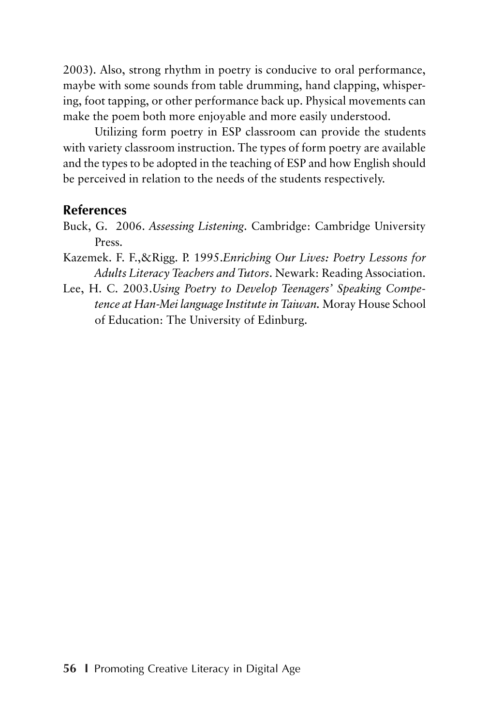2003). Also, strong rhythm in poetry is conducive to oral performance, maybe with some sounds from table drumming, hand clapping, whispering, foot tapping, or other performance back up. Physical movements can make the poem both more enjoyable and more easily understood.

Utilizing form poetry in ESP classroom can provide the students with variety classroom instruction. The types of form poetry are available and the types to be adopted in the teaching of ESP and how English should be perceived in relation to the needs of the students respectively.

#### **References**

- Buck, G. 2006. *Assessing Listening*. Cambridge: Cambridge University Press.
- Kazemek. F. F.,&Rigg. P. 1995.*Enriching Our Lives: Poetry Lessons for Adults Literacy Teachers and Tutors*. Newark: Reading Association.
- Lee, H. C. 2003.*Using Poetry to Develop Teenagers' Speaking Competence at Han-Mei language Institute in Taiwan.* Moray House School of Education: The University of Edinburg.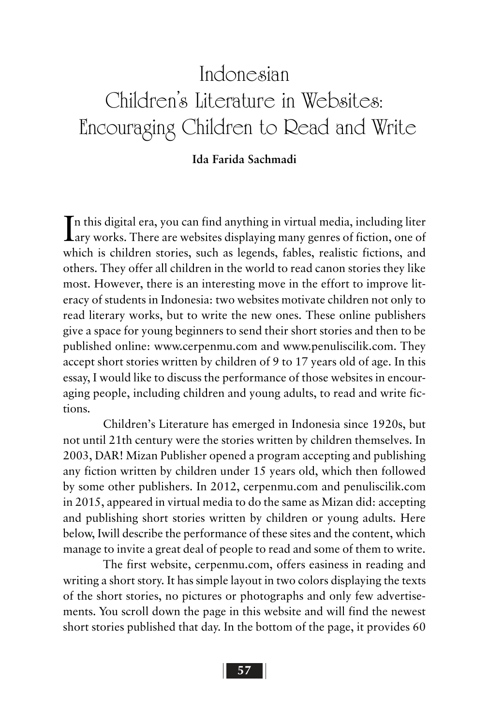# Indonesian Children's Literature in Websites: Encouraging Children to Read and Write

#### **Ida Farida Sachmadi**

In this digital era, you can find anything in virtual media, including liter<br>Lary works. There are websites displaying many genres of fiction, one of  $\mathbf{T}$ n this digital era, you can find anything in virtual media, including liter which is children stories, such as legends, fables, realistic fictions, and others. They offer all children in the world to read canon stories they like most. However, there is an interesting move in the effort to improve literacy of students in Indonesia: two websites motivate children not only to read literary works, but to write the new ones. These online publishers give a space for young beginners to send their short stories and then to be published online: www.cerpenmu.com and www.penuliscilik.com. They accept short stories written by children of 9 to 17 years old of age. In this essay, I would like to discuss the performance of those websites in encouraging people, including children and young adults, to read and write fictions.

Children's Literature has emerged in Indonesia since 1920s, but not until 21th century were the stories written by children themselves. In 2003, DAR! Mizan Publisher opened a program accepting and publishing any fiction written by children under 15 years old, which then followed by some other publishers. In 2012, cerpenmu.com and penuliscilik.com in 2015, appeared in virtual media to do the same as Mizan did: accepting and publishing short stories written by children or young adults. Here below, Iwill describe the performance of these sites and the content, which manage to invite a great deal of people to read and some of them to write.

The first website, cerpenmu.com, offers easiness in reading and writing a short story. It has simple layout in two colors displaying the texts of the short stories, no pictures or photographs and only few advertisements. You scroll down the page in this website and will find the newest short stories published that day. In the bottom of the page, it provides 60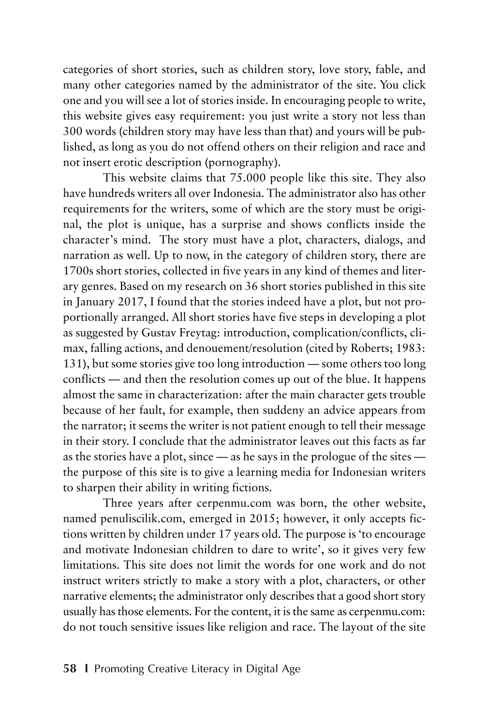categories of short stories, such as children story, love story, fable, and many other categories named by the administrator of the site. You click one and you will see a lot of stories inside. In encouraging people to write, this website gives easy requirement: you just write a story not less than 300 words (children story may have less than that) and yours will be published, as long as you do not offend others on their religion and race and not insert erotic description (pornography).

This website claims that 75.000 people like this site. They also have hundreds writers all over Indonesia. The administrator also has other requirements for the writers, some of which are the story must be original, the plot is unique, has a surprise and shows conflicts inside the character's mind. The story must have a plot, characters, dialogs, and narration as well. Up to now, in the category of children story, there are 1700s short stories, collected in five years in any kind of themes and literary genres. Based on my research on 36 short stories published in this site in January 2017, I found that the stories indeed have a plot, but not proportionally arranged. All short stories have five steps in developing a plot as suggested by Gustav Freytag: introduction, complication/conflicts, climax, falling actions, and denouement/resolution (cited by Roberts; 1983: 131), but some stories give too long introduction — some others too long conflicts — and then the resolution comes up out of the blue. It happens almost the same in characterization: after the main character gets trouble because of her fault, for example, then suddeny an advice appears from the narrator; it seems the writer is not patient enough to tell their message in their story. I conclude that the administrator leaves out this facts as far as the stories have a plot, since — as he says in the prologue of the sites the purpose of this site is to give a learning media for Indonesian writers to sharpen their ability in writing fictions.

Three years after cerpenmu.com was born, the other website, named penuliscilik.com, emerged in 2015; however, it only accepts fictions written by children under 17 years old. The purpose is 'to encourage and motivate Indonesian children to dare to write', so it gives very few limitations. This site does not limit the words for one work and do not instruct writers strictly to make a story with a plot, characters, or other narrative elements; the administrator only describes that a good short story usually has those elements. For the content, it is the same as cerpenmu.com: do not touch sensitive issues like religion and race. The layout of the site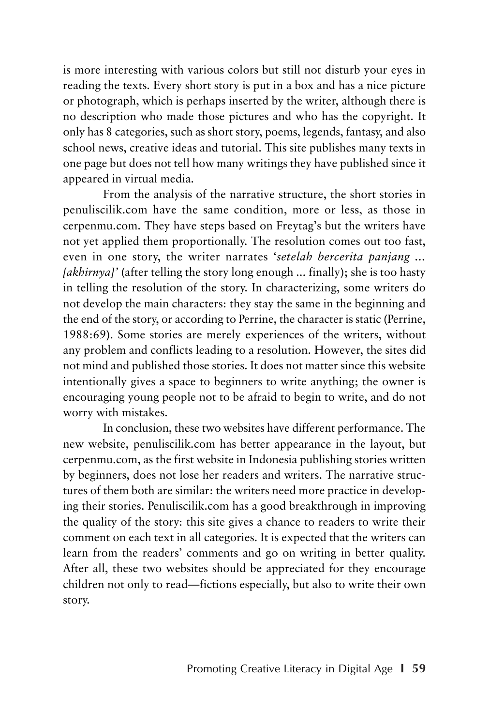is more interesting with various colors but still not disturb your eyes in reading the texts. Every short story is put in a box and has a nice picture or photograph, which is perhaps inserted by the writer, although there is no description who made those pictures and who has the copyright. It only has 8 categories, such as short story, poems, legends, fantasy, and also school news, creative ideas and tutorial. This site publishes many texts in one page but does not tell how many writings they have published since it appeared in virtual media.

From the analysis of the narrative structure, the short stories in penuliscilik.com have the same condition, more or less, as those in cerpenmu.com. They have steps based on Freytag's but the writers have not yet applied them proportionally. The resolution comes out too fast, even in one story, the writer narrates '*setelah bercerita panjang ... [akhirnya]'* (after telling the story long enough ... finally); she is too hasty in telling the resolution of the story. In characterizing, some writers do not develop the main characters: they stay the same in the beginning and the end of the story, or according to Perrine, the character is static (Perrine, 1988:69). Some stories are merely experiences of the writers, without any problem and conflicts leading to a resolution. However, the sites did not mind and published those stories. It does not matter since this website intentionally gives a space to beginners to write anything; the owner is encouraging young people not to be afraid to begin to write, and do not worry with mistakes.

In conclusion, these two websites have different performance. The new website, penuliscilik.com has better appearance in the layout, but cerpenmu.com, as the first website in Indonesia publishing stories written by beginners, does not lose her readers and writers. The narrative structures of them both are similar: the writers need more practice in developing their stories. Penuliscilik.com has a good breakthrough in improving the quality of the story: this site gives a chance to readers to write their comment on each text in all categories. It is expected that the writers can learn from the readers' comments and go on writing in better quality. After all, these two websites should be appreciated for they encourage children not only to read—fictions especially, but also to write their own story.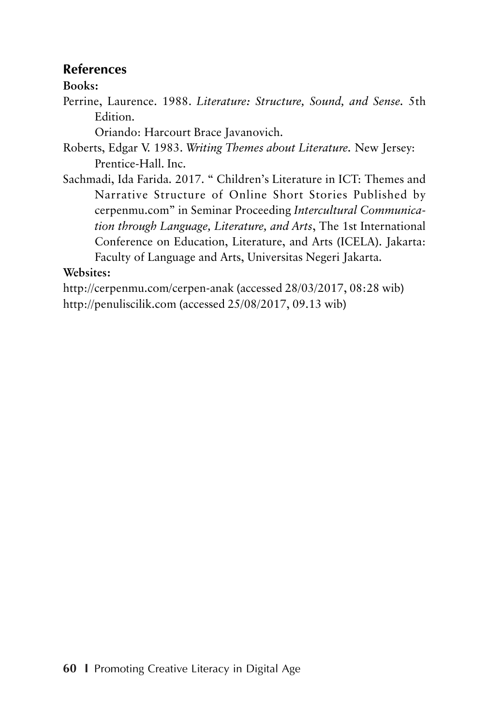### **References**

### **Books:**

Perrine, Laurence. 1988. *Literature: Structure, Sound, and Sense.* 5th Edition.

Oriando: Harcourt Brace Javanovich.

- Roberts, Edgar V. 1983. *Writing Themes about Literature.* New Jersey: Prentice-Hall. Inc.
- Sachmadi, Ida Farida. 2017. " Children's Literature in ICT: Themes and Narrative Structure of Online Short Stories Published by cerpenmu.com" in Seminar Proceeding *Intercultural Communication through Language, Literature, and Arts*, The 1st International Conference on Education, Literature, and Arts (ICELA). Jakarta: Faculty of Language and Arts, Universitas Negeri Jakarta.

### **Websites:**

http://cerpenmu.com/cerpen-anak (accessed 28/03/2017, 08:28 wib) http://penuliscilik.com (accessed 25/08/2017, 09.13 wib)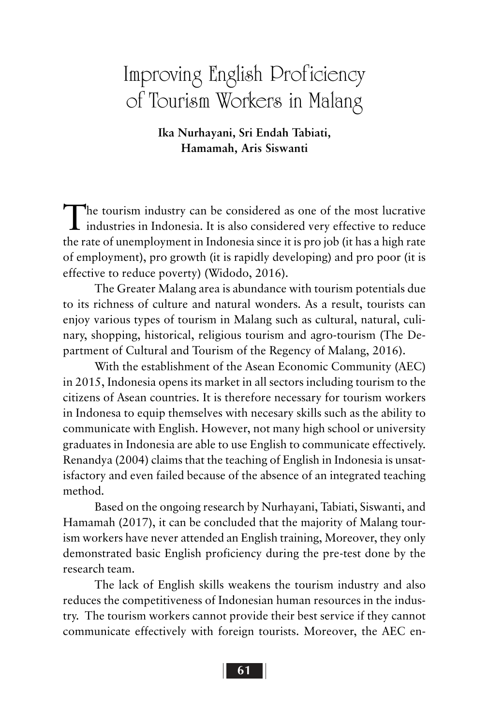# Improving English Proficiency of Tourism Workers in Malang

**Ika Nurhayani, Sri Endah Tabiati, Hamamah, Aris Siswanti**

The tourism industry can be considered as one of the most lucrative industries in Indonesia. It is also considered very effective to reduce the rate of unemployment in Indonesia since it is pro job (it has a high rate of employment), pro growth (it is rapidly developing) and pro poor (it is effective to reduce poverty) (Widodo, 2016).

The Greater Malang area is abundance with tourism potentials due to its richness of culture and natural wonders. As a result, tourists can enjoy various types of tourism in Malang such as cultural, natural, culinary, shopping, historical, religious tourism and agro-tourism (The Department of Cultural and Tourism of the Regency of Malang, 2016).

With the establishment of the Asean Economic Community (AEC) in 2015, Indonesia opens its market in all sectors including tourism to the citizens of Asean countries. It is therefore necessary for tourism workers in Indonesa to equip themselves with necesary skills such as the ability to communicate with English. However, not many high school or university graduates in Indonesia are able to use English to communicate effectively. Renandya (2004) claims that the teaching of English in Indonesia is unsatisfactory and even failed because of the absence of an integrated teaching method.

Based on the ongoing research by Nurhayani, Tabiati, Siswanti, and Hamamah (2017), it can be concluded that the majority of Malang tourism workers have never attended an English training, Moreover, they only demonstrated basic English proficiency during the pre-test done by the research team.

The lack of English skills weakens the tourism industry and also reduces the competitiveness of Indonesian human resources in the industry. The tourism workers cannot provide their best service if they cannot communicate effectively with foreign tourists. Moreover, the AEC en-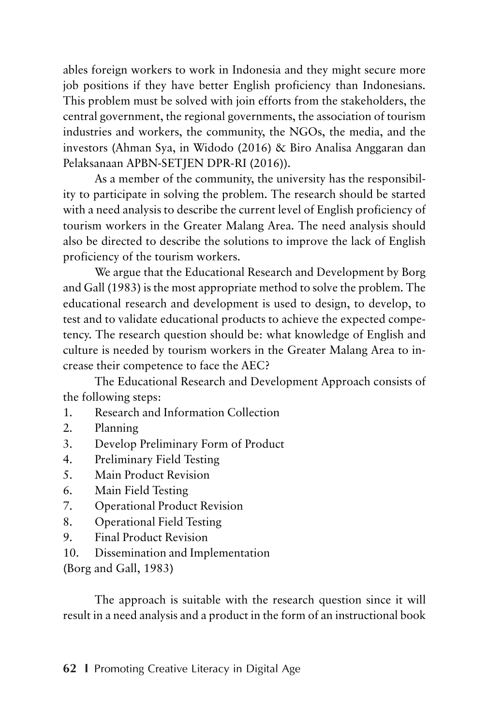ables foreign workers to work in Indonesia and they might secure more job positions if they have better English proficiency than Indonesians. This problem must be solved with join efforts from the stakeholders, the central government, the regional governments, the association of tourism industries and workers, the community, the NGOs, the media, and the investors (Ahman Sya, in Widodo (2016) & Biro Analisa Anggaran dan Pelaksanaan APBN-SETJEN DPR-RI (2016)).

As a member of the community, the university has the responsibility to participate in solving the problem. The research should be started with a need analysis to describe the current level of English proficiency of tourism workers in the Greater Malang Area. The need analysis should also be directed to describe the solutions to improve the lack of English proficiency of the tourism workers.

We argue that the Educational Research and Development by Borg and Gall (1983) is the most appropriate method to solve the problem. The educational research and development is used to design, to develop, to test and to validate educational products to achieve the expected competency. The research question should be: what knowledge of English and culture is needed by tourism workers in the Greater Malang Area to increase their competence to face the AEC?

The Educational Research and Development Approach consists of the following steps:

- 1. Research and Information Collection
- 2. Planning
- 3. Develop Preliminary Form of Product
- 4. Preliminary Field Testing
- 5. Main Product Revision
- 6. Main Field Testing
- 7. Operational Product Revision
- 8. Operational Field Testing
- 9. Final Product Revision
- 10. Dissemination and Implementation

(Borg and Gall, 1983)

The approach is suitable with the research question since it will result in a need analysis and a product in the form of an instructional book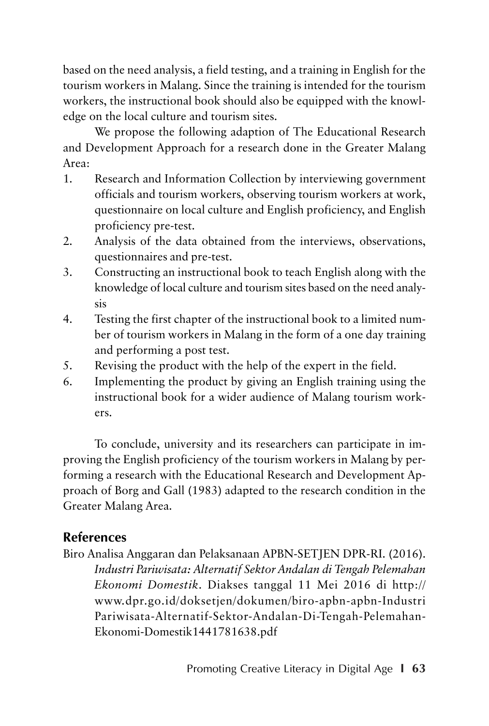based on the need analysis, a field testing, and a training in English for the tourism workers in Malang. Since the training is intended for the tourism workers, the instructional book should also be equipped with the knowledge on the local culture and tourism sites.

We propose the following adaption of The Educational Research and Development Approach for a research done in the Greater Malang Area:

- 1. Research and Information Collection by interviewing government officials and tourism workers, observing tourism workers at work, questionnaire on local culture and English proficiency, and English proficiency pre-test.
- 2. Analysis of the data obtained from the interviews, observations, questionnaires and pre-test.
- 3. Constructing an instructional book to teach English along with the knowledge of local culture and tourism sites based on the need analysis
- 4. Testing the first chapter of the instructional book to a limited number of tourism workers in Malang in the form of a one day training and performing a post test.
- 5. Revising the product with the help of the expert in the field.
- 6. Implementing the product by giving an English training using the instructional book for a wider audience of Malang tourism workers.

To conclude, university and its researchers can participate in improving the English proficiency of the tourism workers in Malang by performing a research with the Educational Research and Development Approach of Borg and Gall (1983) adapted to the research condition in the Greater Malang Area.

## **References**

Biro Analisa Anggaran dan Pelaksanaan APBN-SETJEN DPR-RI. (2016). *Industri Pariwisata: Alternatif Sektor Andalan di Tengah Pelemahan Ekonomi Domestik*. Diakses tanggal 11 Mei 2016 di http:// www.dpr.go.id/doksetjen/dokumen/biro-apbn-apbn-Industri Pariwisata-Alternatif-Sektor-Andalan-Di-Tengah-Pelemahan-Ekonomi-Domestik1441781638.pdf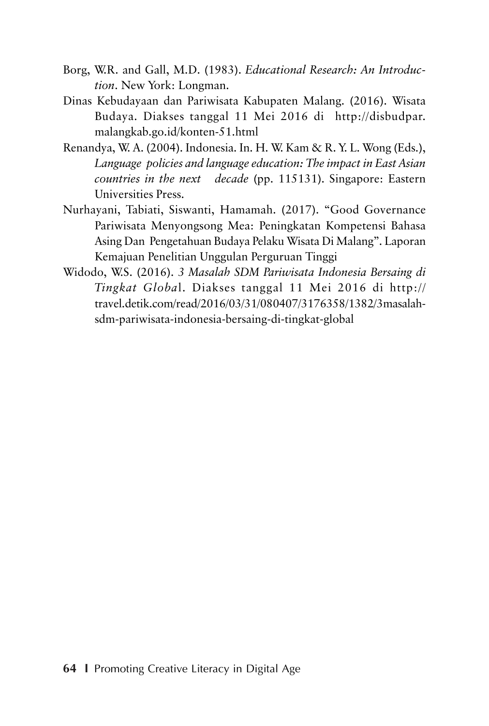- Borg, W.R. and Gall, M.D. (1983). *Educational Research: An Introduction*. New York: Longman.
- Dinas Kebudayaan dan Pariwisata Kabupaten Malang. (2016). Wisata Budaya. Diakses tanggal 11 Mei 2016 di http://disbudpar. malangkab.go.id/konten-51.html
- Renandya, W. A. (2004). Indonesia. In. H. W. Kam & R. Y. L. Wong (Eds.), *Language policies and language education: The impact in East Asian countries in the next decade* (pp. 115131). Singapore: Eastern Universities Press.
- Nurhayani, Tabiati, Siswanti, Hamamah. (2017). "Good Governance Pariwisata Menyongsong Mea: Peningkatan Kompetensi Bahasa Asing Dan Pengetahuan Budaya Pelaku Wisata Di Malang". Laporan Kemajuan Penelitian Unggulan Perguruan Tinggi
- Widodo, W.S. (2016). *3 Masalah SDM Pariwisata Indonesia Bersaing di Tingkat Globa*l. Diakses tanggal 11 Mei 2016 di http:// travel.detik.com/read/2016/03/31/080407/3176358/1382/3masalahsdm-pariwisata-indonesia-bersaing-di-tingkat-global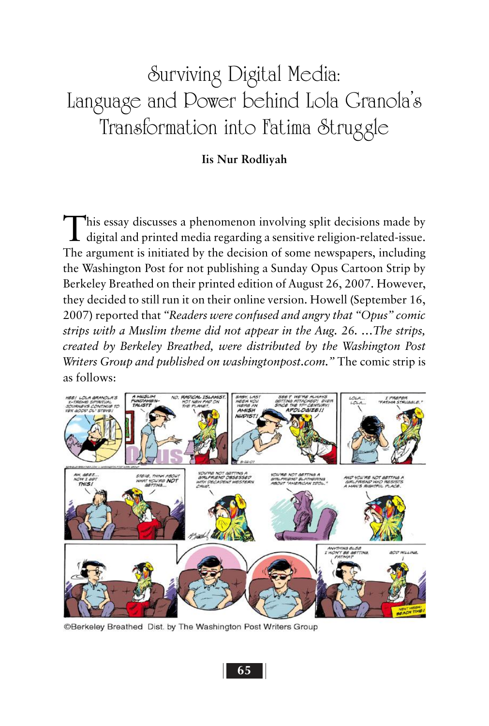# Surviving Digital Media: Language and Power behind Lola Granola's Transformation into Fatima Struggle

#### **Iis Nur Rodliyah**

This essay discusses a phenomenon involving split decisions made by digital and printed media regarding a sensitive religion-related-issue. The argument is initiated by the decision of some newspapers, including the Washington Post for not publishing a Sunday Opus Cartoon Strip by Berkeley Breathed on their printed edition of August 26, 2007. However, they decided to still run it on their online version. Howell (September 16, 2007) reported that *"Readers were confused and angry that "Opus" comic strips with a Muslim theme did not appear in the Aug. 26. …The strips, created by Berkeley Breathed, were distributed by the Washington Post Writers Group and published on washingtonpost.com."* The comic strip is as follows:



@Berkeley Breathed Dist. by The Washington Post Writers Group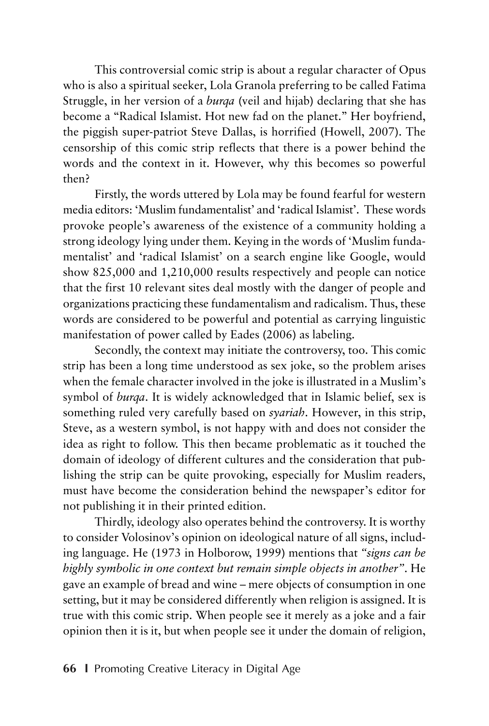This controversial comic strip is about a regular character of Opus who is also a spiritual seeker, Lola Granola preferring to be called Fatima Struggle, in her version of a *burqa* (veil and hijab) declaring that she has become a "Radical Islamist. Hot new fad on the planet." Her boyfriend, the piggish super-patriot Steve Dallas, is horrified (Howell, 2007). The censorship of this comic strip reflects that there is a power behind the words and the context in it. However, why this becomes so powerful then?

Firstly, the words uttered by Lola may be found fearful for western media editors: 'Muslim fundamentalist' and 'radical Islamist'. These words provoke people's awareness of the existence of a community holding a strong ideology lying under them. Keying in the words of 'Muslim fundamentalist' and 'radical Islamist' on a search engine like Google, would show 825,000 and 1,210,000 results respectively and people can notice that the first 10 relevant sites deal mostly with the danger of people and organizations practicing these fundamentalism and radicalism. Thus, these words are considered to be powerful and potential as carrying linguistic manifestation of power called by Eades (2006) as labeling.

Secondly, the context may initiate the controversy, too. This comic strip has been a long time understood as sex joke, so the problem arises when the female character involved in the joke is illustrated in a Muslim's symbol of *burqa*. It is widely acknowledged that in Islamic belief, sex is something ruled very carefully based on *syariah*. However, in this strip, Steve, as a western symbol, is not happy with and does not consider the idea as right to follow. This then became problematic as it touched the domain of ideology of different cultures and the consideration that publishing the strip can be quite provoking, especially for Muslim readers, must have become the consideration behind the newspaper's editor for not publishing it in their printed edition.

Thirdly, ideology also operates behind the controversy. It is worthy to consider Volosinov's opinion on ideological nature of all signs, including language. He (1973 in Holborow, 1999) mentions that *"signs can be highly symbolic in one context but remain simple objects in another"*. He gave an example of bread and wine – mere objects of consumption in one setting, but it may be considered differently when religion is assigned. It is true with this comic strip. When people see it merely as a joke and a fair opinion then it is it, but when people see it under the domain of religion,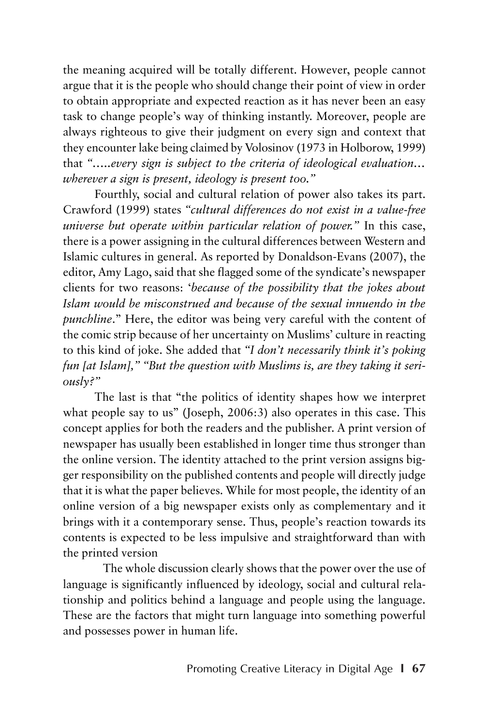the meaning acquired will be totally different. However, people cannot argue that it is the people who should change their point of view in order to obtain appropriate and expected reaction as it has never been an easy task to change people's way of thinking instantly. Moreover, people are always righteous to give their judgment on every sign and context that they encounter lake being claimed by Volosinov (1973 in Holborow, 1999) that *"…..every sign is subject to the criteria of ideological evaluation… wherever a sign is present, ideology is present too."*

Fourthly, social and cultural relation of power also takes its part. Crawford (1999) states *"cultural differences do not exist in a value-free universe but operate within particular relation of power."* In this case, there is a power assigning in the cultural differences between Western and Islamic cultures in general. As reported by Donaldson-Evans (2007), the editor, Amy Lago, said that she flagged some of the syndicate's newspaper clients for two reasons: '*because of the possibility that the jokes about Islam would be misconstrued and because of the sexual innuendo in the punchline*." Here, the editor was being very careful with the content of the comic strip because of her uncertainty on Muslims' culture in reacting to this kind of joke. She added that *"I don't necessarily think it's poking fun [at Islam]," "But the question with Muslims is, are they taking it seriously?"*

The last is that "the politics of identity shapes how we interpret what people say to us" (Joseph, 2006:3) also operates in this case. This concept applies for both the readers and the publisher. A print version of newspaper has usually been established in longer time thus stronger than the online version. The identity attached to the print version assigns bigger responsibility on the published contents and people will directly judge that it is what the paper believes. While for most people, the identity of an online version of a big newspaper exists only as complementary and it brings with it a contemporary sense. Thus, people's reaction towards its contents is expected to be less impulsive and straightforward than with the printed version

The whole discussion clearly shows that the power over the use of language is significantly influenced by ideology, social and cultural relationship and politics behind a language and people using the language. These are the factors that might turn language into something powerful and possesses power in human life.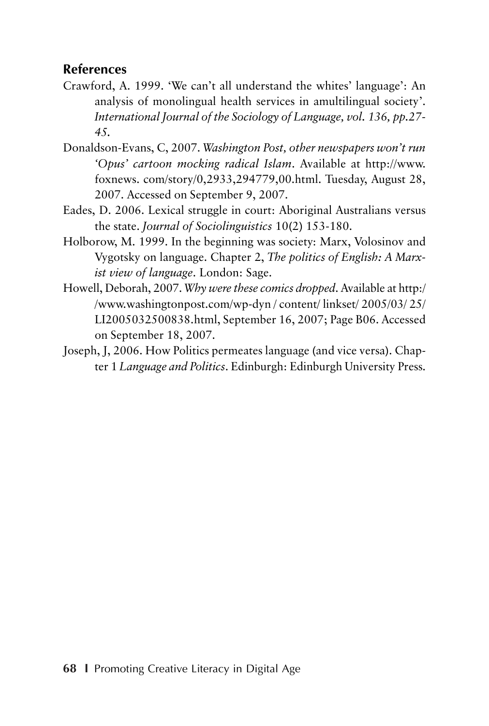### **References**

- Crawford, A. 1999. 'We can't all understand the whites' language': An analysis of monolingual health services in amultilingual society'. *International Journal of the Sociology of Language, vol. 136, pp.27- 45.*
- Donaldson-Evans, C, 2007. *Washington Post, other newspapers won't run 'Opus' cartoon mocking radical Islam*. Available at http://www. foxnews. com/story/0,2933,294779,00.html. Tuesday, August 28, 2007. Accessed on September 9, 2007.
- Eades, D. 2006. Lexical struggle in court: Aboriginal Australians versus the state. *Journal of Sociolinguistics* 10(2) 153-180.
- Holborow, M. 1999. In the beginning was society: Marx, Volosinov and Vygotsky on language. Chapter 2, *The politics of English: A Marxist view of language*. London: Sage.
- Howell, Deborah, 2007. *Why were these comics dropped*. Available at http:/ /www.washingtonpost.com/wp-dyn / content/ linkset/ 2005/03/ 25/ LI2005032500838.html, September 16, 2007; Page B06. Accessed on September 18, 2007.
- Joseph, J, 2006. How Politics permeates language (and vice versa). Chapter 1 *Language and Politics*. Edinburgh: Edinburgh University Press.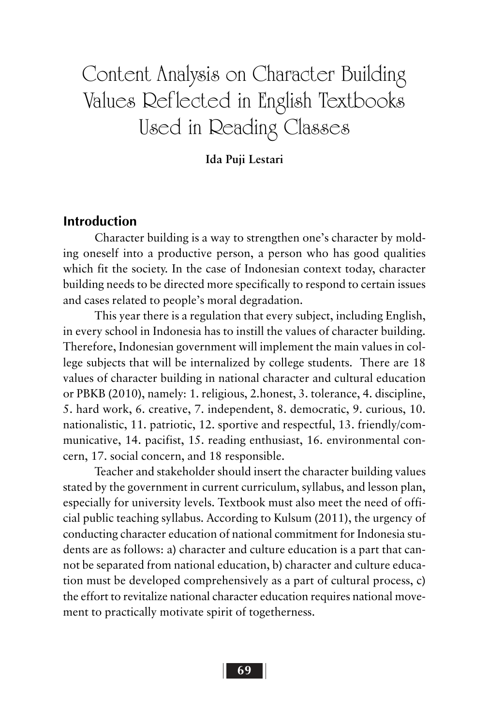# Content Analysis on Character Building Values Reflected in English Textbooks Used in Reading Classes

#### **Ida Puji Lestari**

### **Introduction**

Character building is a way to strengthen one's character by molding oneself into a productive person, a person who has good qualities which fit the society. In the case of Indonesian context today, character building needs to be directed more specifically to respond to certain issues and cases related to people's moral degradation.

This year there is a regulation that every subject, including English, in every school in Indonesia has to instill the values of character building. Therefore, Indonesian government will implement the main values in college subjects that will be internalized by college students. There are 18 values of character building in national character and cultural education or PBKB (2010), namely: 1. religious, 2.honest, 3. tolerance, 4. discipline, 5. hard work, 6. creative, 7. independent, 8. democratic, 9. curious, 10. nationalistic, 11. patriotic, 12. sportive and respectful, 13. friendly/communicative, 14. pacifist, 15. reading enthusiast, 16. environmental concern, 17. social concern, and 18 responsible.

Teacher and stakeholder should insert the character building values stated by the government in current curriculum, syllabus, and lesson plan, especially for university levels. Textbook must also meet the need of official public teaching syllabus. According to Kulsum (2011), the urgency of conducting character education of national commitment for Indonesia students are as follows: a) character and culture education is a part that cannot be separated from national education, b) character and culture education must be developed comprehensively as a part of cultural process, c) the effort to revitalize national character education requires national movement to practically motivate spirit of togetherness.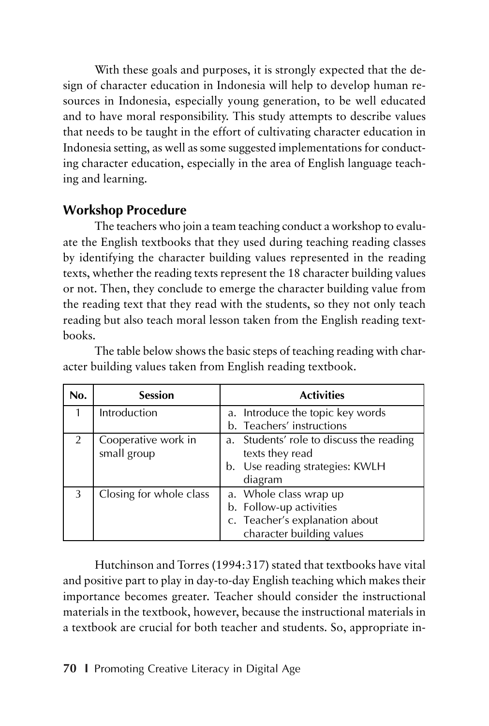With these goals and purposes, it is strongly expected that the design of character education in Indonesia will help to develop human resources in Indonesia, especially young generation, to be well educated and to have moral responsibility. This study attempts to describe values that needs to be taught in the effort of cultivating character education in Indonesia setting, as well as some suggested implementations for conducting character education, especially in the area of English language teaching and learning.

### **Workshop Procedure**

The teachers who join a team teaching conduct a workshop to evaluate the English textbooks that they used during teaching reading classes by identifying the character building values represented in the reading texts, whether the reading texts represent the 18 character building values or not. Then, they conclude to emerge the character building value from the reading text that they read with the students, so they not only teach reading but also teach moral lesson taken from the English reading textbooks.

| No. | <b>Session</b>                     | <b>Activities</b>                                           |
|-----|------------------------------------|-------------------------------------------------------------|
|     | Introduction                       | a. Introduce the topic key words                            |
|     |                                    | b. Teachers' instructions                                   |
|     | Cooperative work in<br>small group | a. Students' role to discuss the reading<br>texts they read |
|     |                                    | b. Use reading strategies: KWLH                             |
|     |                                    | diagram                                                     |
| 3   | Closing for whole class            | a. Whole class wrap up                                      |
|     |                                    | b. Follow-up activities                                     |
|     |                                    | c. Teacher's explanation about                              |
|     |                                    | character building values                                   |

The table below shows the basic steps of teaching reading with character building values taken from English reading textbook.

Hutchinson and Torres (1994:317) stated that textbooks have vital and positive part to play in day-to-day English teaching which makes their importance becomes greater. Teacher should consider the instructional materials in the textbook, however, because the instructional materials in a textbook are crucial for both teacher and students. So, appropriate in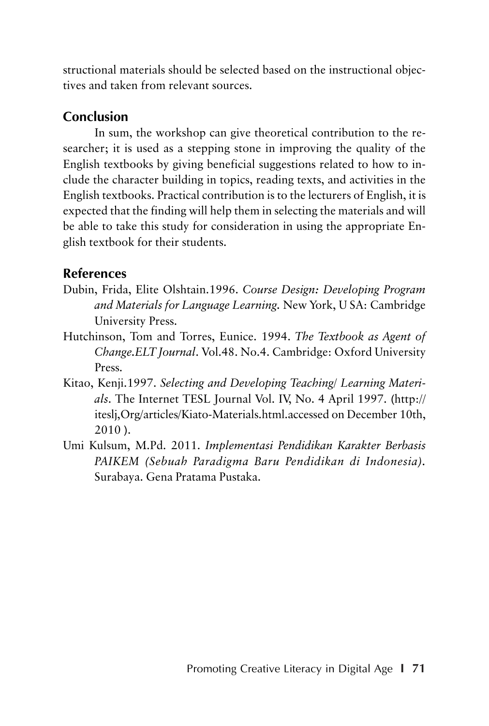structional materials should be selected based on the instructional objectives and taken from relevant sources.

## **Conclusion**

In sum, the workshop can give theoretical contribution to the researcher; it is used as a stepping stone in improving the quality of the English textbooks by giving beneficial suggestions related to how to include the character building in topics, reading texts, and activities in the English textbooks. Practical contribution is to the lecturers of English, it is expected that the finding will help them in selecting the materials and will be able to take this study for consideration in using the appropriate English textbook for their students.

## **References**

- Dubin, Frida, Elite Olshtain.1996. *Course Design: Developing Program and Materials for Language Learning.* New York, U SA: Cambridge University Press.
- Hutchinson, Tom and Torres, Eunice. 1994. *The Textbook as Agent of Change.ELT Journal*. Vol.48. No.4. Cambridge: Oxford University Press.
- Kitao, Kenji.1997. *Selecting and Developing Teaching/ Learning Materials*. The Internet TESL Journal Vol. IV, No. 4 April 1997. (http:// iteslj,Org/articles/Kiato-Materials.html.accessed on December 10th, 2010 ).
- Umi Kulsum, M.Pd. 2011. *Implementasi Pendidikan Karakter Berbasis PAIKEM (Sebuah Paradigma Baru Pendidikan di Indonesia).* Surabaya. Gena Pratama Pustaka.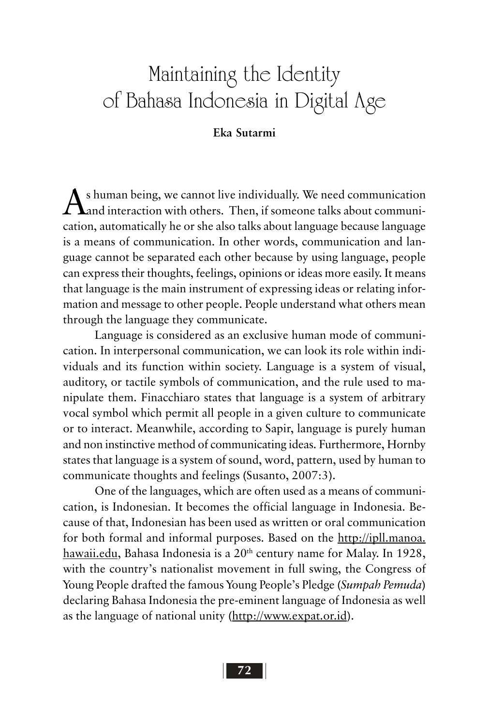# Maintaining the Identity of Bahasa Indonesia in Digital Age

#### **Eka Sutarmi**

 $\bigwedge$ s human being, we cannot live individually. We need communication<br>Aand interaction with others. Then, if someone talks about communication, automatically he or she also talks about language because language is a means of communication. In other words, communication and language cannot be separated each other because by using language, people can express their thoughts, feelings, opinions or ideas more easily. It means that language is the main instrument of expressing ideas or relating information and message to other people. People understand what others mean through the language they communicate.

Language is considered as an exclusive human mode of communication. In interpersonal communication, we can look its role within individuals and its function within society. Language is a system of visual, auditory, or tactile symbols of communication, and the rule used to manipulate them. Finacchiaro states that language is a system of arbitrary vocal symbol which permit all people in a given culture to communicate or to interact. Meanwhile, according to Sapir, language is purely human and non instinctive method of communicating ideas. Furthermore, Hornby states that language is a system of sound, word, pattern, used by human to communicate thoughts and feelings (Susanto, 2007:3).

One of the languages, which are often used as a means of communication, is Indonesian. It becomes the official language in Indonesia. Because of that, Indonesian has been used as written or oral communication for both formal and informal purposes. Based on the http://ipll.manoa. hawaii.edu, Bahasa Indonesia is a 20<sup>th</sup> century name for Malay. In 1928, with the country's nationalist movement in full swing, the Congress of Young People drafted the famous Young People's Pledge (*Sumpah Pemuda*) declaring Bahasa Indonesia the pre-eminent language of Indonesia as well as the language of national unity (http://www.expat.or.id).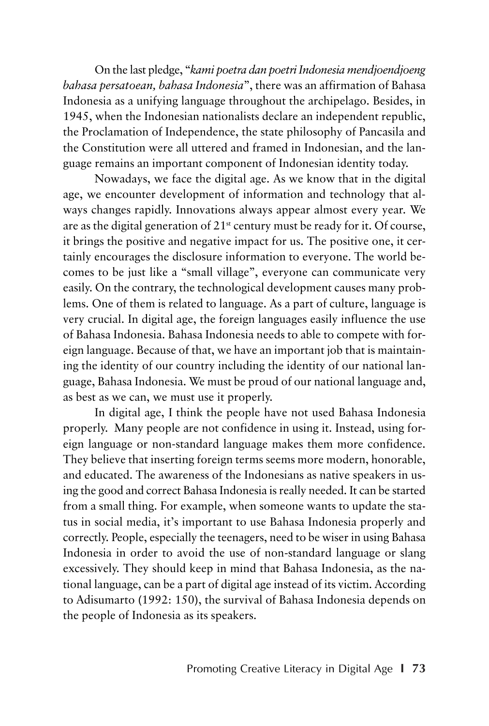On the last pledge, "*kami poetra dan poetri Indonesia mendjoendjoeng bahasa persatoean, bahasa Indonesia*", there was an affirmation of Bahasa Indonesia as a unifying language throughout the archipelago. Besides, in 1945, when the Indonesian nationalists declare an independent republic, the Proclamation of Independence, the state philosophy of Pancasila and the Constitution were all uttered and framed in Indonesian, and the language remains an important component of Indonesian identity today.

Nowadays, we face the digital age. As we know that in the digital age, we encounter development of information and technology that always changes rapidly. Innovations always appear almost every year. We are as the digital generation of  $21<sup>st</sup>$  century must be ready for it. Of course, it brings the positive and negative impact for us. The positive one, it certainly encourages the disclosure information to everyone. The world becomes to be just like a "small village", everyone can communicate very easily. On the contrary, the technological development causes many problems. One of them is related to language. As a part of culture, language is very crucial. In digital age, the foreign languages easily influence the use of Bahasa Indonesia. Bahasa Indonesia needs to able to compete with foreign language. Because of that, we have an important job that is maintaining the identity of our country including the identity of our national language, Bahasa Indonesia. We must be proud of our national language and, as best as we can, we must use it properly.

In digital age, I think the people have not used Bahasa Indonesia properly. Many people are not confidence in using it. Instead, using foreign language or non-standard language makes them more confidence. They believe that inserting foreign terms seems more modern, honorable, and educated. The awareness of the Indonesians as native speakers in using the good and correct Bahasa Indonesia is really needed. It can be started from a small thing. For example, when someone wants to update the status in social media, it's important to use Bahasa Indonesia properly and correctly. People, especially the teenagers, need to be wiser in using Bahasa Indonesia in order to avoid the use of non-standard language or slang excessively. They should keep in mind that Bahasa Indonesia, as the national language, can be a part of digital age instead of its victim. According to Adisumarto (1992: 150), the survival of Bahasa Indonesia depends on the people of Indonesia as its speakers.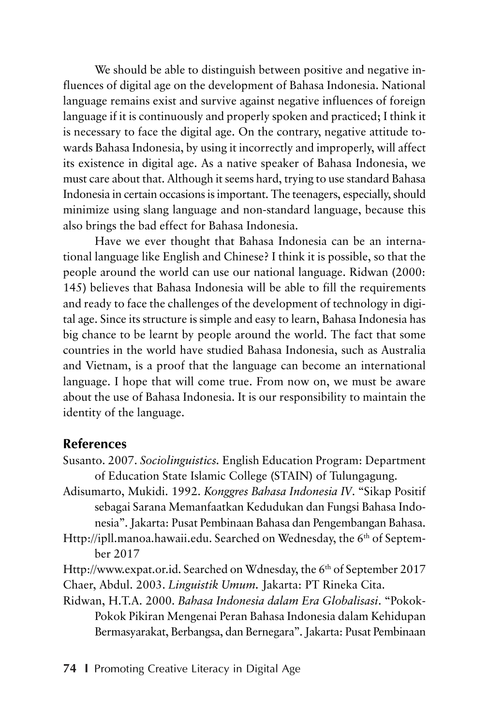We should be able to distinguish between positive and negative influences of digital age on the development of Bahasa Indonesia. National language remains exist and survive against negative influences of foreign language if it is continuously and properly spoken and practiced; I think it is necessary to face the digital age. On the contrary, negative attitude towards Bahasa Indonesia, by using it incorrectly and improperly, will affect its existence in digital age. As a native speaker of Bahasa Indonesia, we must care about that. Although it seems hard, trying to use standard Bahasa Indonesia in certain occasions is important. The teenagers, especially, should minimize using slang language and non-standard language, because this also brings the bad effect for Bahasa Indonesia.

Have we ever thought that Bahasa Indonesia can be an international language like English and Chinese? I think it is possible, so that the people around the world can use our national language. Ridwan (2000: 145) believes that Bahasa Indonesia will be able to fill the requirements and ready to face the challenges of the development of technology in digital age. Since its structure is simple and easy to learn, Bahasa Indonesia has big chance to be learnt by people around the world. The fact that some countries in the world have studied Bahasa Indonesia, such as Australia and Vietnam, is a proof that the language can become an international language. I hope that will come true. From now on, we must be aware about the use of Bahasa Indonesia. It is our responsibility to maintain the identity of the language.

#### **References**

- Susanto. 2007. *Sociolinguistics.* English Education Program: Department of Education State Islamic College (STAIN) of Tulungagung.
- Adisumarto, Mukidi. 1992. *Konggres Bahasa Indonesia IV*. "Sikap Positif sebagai Sarana Memanfaatkan Kedudukan dan Fungsi Bahasa Indonesia". Jakarta: Pusat Pembinaan Bahasa dan Pengembangan Bahasa.
- Http://ipll.manoa.hawaii.edu. Searched on Wednesday, the 6<sup>th</sup> of September 2017
- Http://www.expat.or.id. Searched on Wdnesday, the 6<sup>th</sup> of September 2017 Chaer, Abdul. 2003. *Linguistik Umum.* Jakarta: PT Rineka Cita.
- Ridwan, H.T.A. 2000. *Bahasa Indonesia dalam Era Globalisasi*. "Pokok-Pokok Pikiran Mengenai Peran Bahasa Indonesia dalam Kehidupan Bermasyarakat, Berbangsa, dan Bernegara". Jakarta: Pusat Pembinaan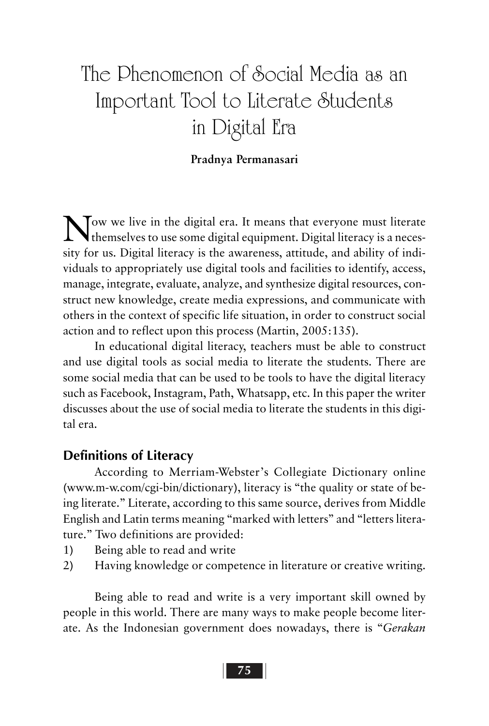# The Phenomenon of Social Media as an Important Tool to Literate Students in Digital Era

#### **Pradnya Permanasari**

Now we live in the digital era. It means that everyone must literate themselves to use some digital equipment. Digital literacy is a necessity for us. Digital literacy is the awareness, attitude, and ability of individuals to appropriately use digital tools and facilities to identify, access, manage, integrate, evaluate, analyze, and synthesize digital resources, construct new knowledge, create media expressions, and communicate with others in the context of specific life situation, in order to construct social action and to reflect upon this process (Martin, 2005:135).

In educational digital literacy, teachers must be able to construct and use digital tools as social media to literate the students. There are some social media that can be used to be tools to have the digital literacy such as Facebook, Instagram, Path, Whatsapp, etc. In this paper the writer discusses about the use of social media to literate the students in this digital era.

#### **Definitions of Literacy**

According to Merriam-Webster's Collegiate Dictionary online (www.m-w.com/cgi-bin/dictionary), literacy is "the quality or state of being literate." Literate, according to this same source, derives from Middle English and Latin terms meaning "marked with letters" and "letters literature." Two definitions are provided:

- 1) Being able to read and write
- 2) Having knowledge or competence in literature or creative writing.

Being able to read and write is a very important skill owned by people in this world. There are many ways to make people become literate. As the Indonesian government does nowadays, there is "*Gerakan*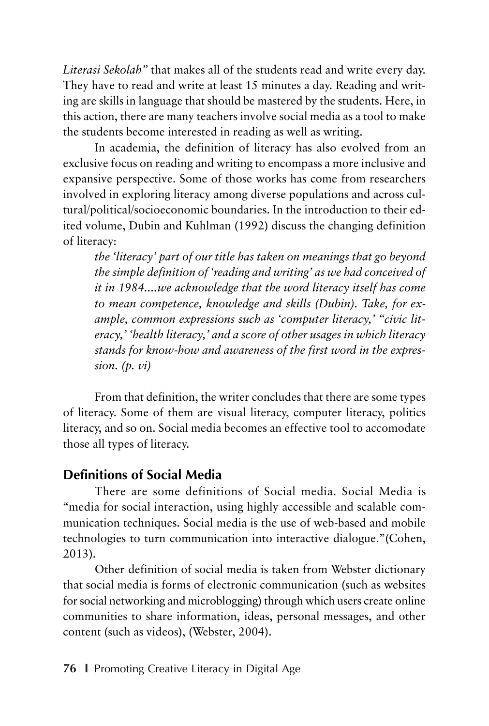*Literasi Sekolah"* that makes all of the students read and write every day. They have to read and write at least 15 minutes a day. Reading and writing are skills in language that should be mastered by the students. Here, in this action, there are many teachers involve social media as a tool to make the students become interested in reading as well as writing.

In academia, the definition of literacy has also evolved from an exclusive focus on reading and writing to encompass a more inclusive and expansive perspective. Some of those works has come from researchers involved in exploring literacy among diverse populations and across cultural/political/socioeconomic boundaries. In the introduction to their edited volume, Dubin and Kuhlman (1992) discuss the changing definition of literacy:

*the 'literacy' part of our title has taken on meanings that go beyond the simple definition of 'reading and writing' as we had conceived of it in 1984....we acknowledge that the word literacy itself has come to mean competence, knowledge and skills (Dubin). Take, for example, common expressions such as 'computer literacy,' "civic literacy,' 'health literacy,' and a score of other usages in which literacy stands for know-how and awareness of the first word in the expression. (p. vi)*

From that definition, the writer concludes that there are some types of literacy. Some of them are visual literacy, computer literacy, politics literacy, and so on. Social media becomes an effective tool to accomodate those all types of literacy.

## **Definitions of Social Media**

There are some definitions of Social media. Social Media is "media for social interaction, using highly accessible and scalable communication techniques. Social media is the use of web-based and mobile technologies to turn communication into interactive dialogue."(Cohen, 2013).

Other definition of social media is taken from Webster dictionary that social media is forms of electronic communication (such as websites for social networking and microblogging) through which users create online communities to share information, ideas, personal messages, and other content (such as videos), (Webster, 2004).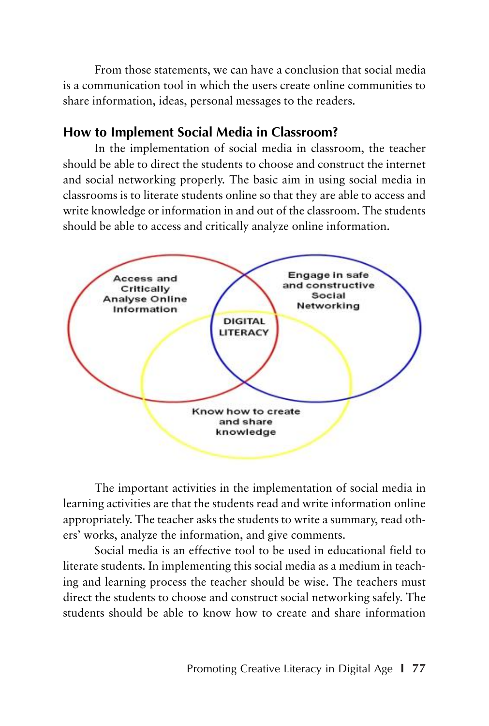From those statements, we can have a conclusion that social media is a communication tool in which the users create online communities to share information, ideas, personal messages to the readers.

## **How to Implement Social Media in Classroom?**

In the implementation of social media in classroom, the teacher should be able to direct the students to choose and construct the internet and social networking properly. The basic aim in using social media in classrooms is to literate students online so that they are able to access and write knowledge or information in and out of the classroom. The students should be able to access and critically analyze online information.



The important activities in the implementation of social media in learning activities are that the students read and write information online appropriately. The teacher asks the students to write a summary, read others' works, analyze the information, and give comments.

Social media is an effective tool to be used in educational field to literate students. In implementing this social media as a medium in teaching and learning process the teacher should be wise. The teachers must direct the students to choose and construct social networking safely. The students should be able to know how to create and share information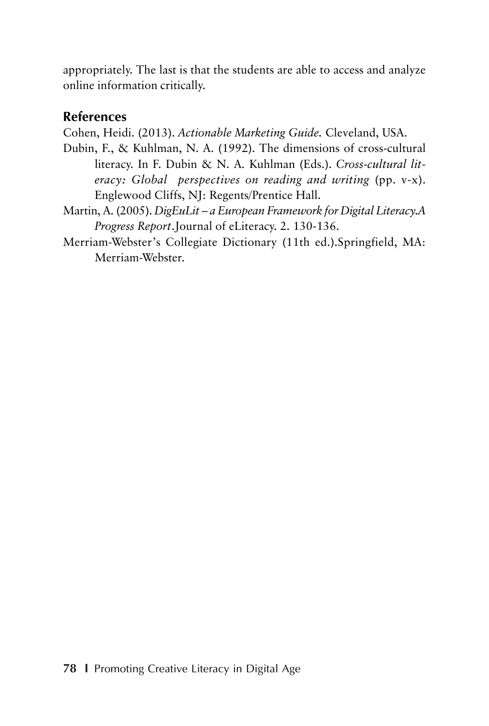appropriately. The last is that the students are able to access and analyze online information critically.

## **References**

Cohen, Heidi. (2013). *Actionable Marketing Guide.* Cleveland, USA.

- Dubin, F., & Kuhlman, N. A. (1992). The dimensions of cross-cultural literacy. In F. Dubin & N. A. Kuhlman (Eds.). *Cross-cultural literacy: Global perspectives on reading and writing* (pp. v-x). Englewood Cliffs, NJ: Regents/Prentice Hall.
- Martin, A. (2005). *DigEuLit a European Framework for Digital Literacy.A Progress Report*.Journal of eLiteracy. 2. 130-136.
- Merriam-Webster's Collegiate Dictionary (11th ed.).Springfield, MA: Merriam-Webster.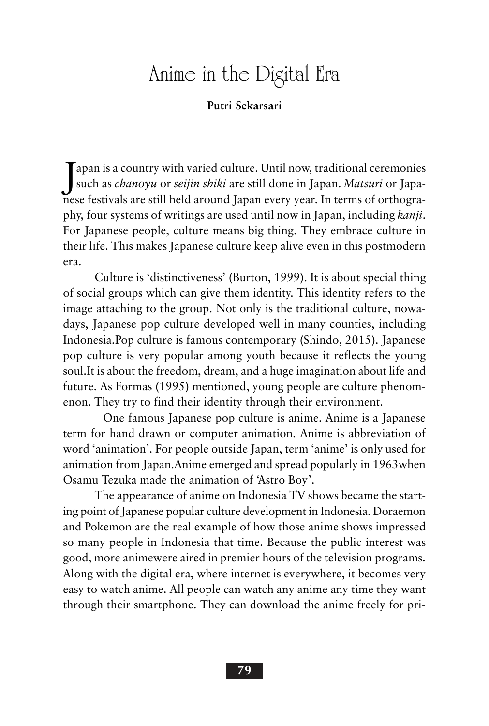## Anime in the Digital Era

#### **Putri Sekarsari**

J such as *chanoyu* or *seijin shiki* are still done in Japan. *Matsuri* or Japa- $\mathsf{T}$ apan is a country with varied culture. Until now, traditional ceremonies nese festivals are still held around Japan every year. In terms of orthography, four systems of writings are used until now in Japan, including *kanji*. For Japanese people, culture means big thing. They embrace culture in their life. This makes Japanese culture keep alive even in this postmodern era.

Culture is 'distinctiveness' (Burton, 1999). It is about special thing of social groups which can give them identity. This identity refers to the image attaching to the group. Not only is the traditional culture, nowadays, Japanese pop culture developed well in many counties, including Indonesia.Pop culture is famous contemporary (Shindo, 2015). Japanese pop culture is very popular among youth because it reflects the young soul.It is about the freedom, dream, and a huge imagination about life and future. As Formas (1995) mentioned, young people are culture phenomenon. They try to find their identity through their environment.

One famous Japanese pop culture is anime. Anime is a Japanese term for hand drawn or computer animation. Anime is abbreviation of word 'animation'. For people outside Japan, term 'anime' is only used for animation from Japan.Anime emerged and spread popularly in 1963when Osamu Tezuka made the animation of 'Astro Boy'.

The appearance of anime on Indonesia TV shows became the starting point of Japanese popular culture development in Indonesia. Doraemon and Pokemon are the real example of how those anime shows impressed so many people in Indonesia that time. Because the public interest was good, more animewere aired in premier hours of the television programs. Along with the digital era, where internet is everywhere, it becomes very easy to watch anime. All people can watch any anime any time they want through their smartphone. They can download the anime freely for pri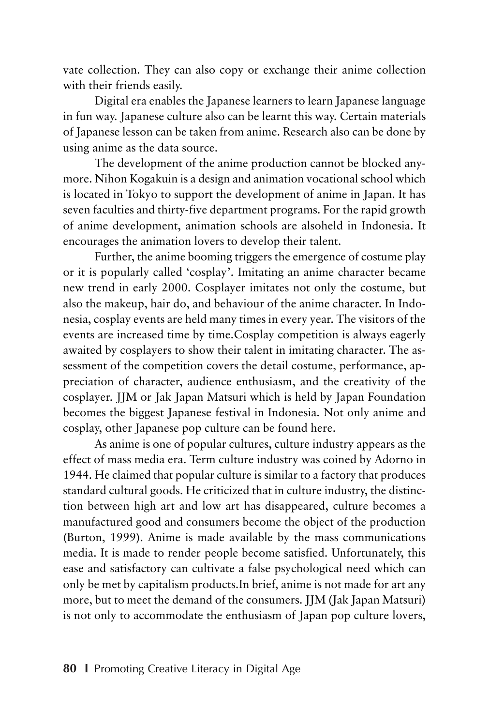vate collection. They can also copy or exchange their anime collection with their friends easily.

Digital era enables the Japanese learners to learn Japanese language in fun way. Japanese culture also can be learnt this way. Certain materials of Japanese lesson can be taken from anime. Research also can be done by using anime as the data source.

The development of the anime production cannot be blocked anymore. Nihon Kogakuin is a design and animation vocational school which is located in Tokyo to support the development of anime in Japan. It has seven faculties and thirty-five department programs. For the rapid growth of anime development, animation schools are alsoheld in Indonesia. It encourages the animation lovers to develop their talent.

Further, the anime booming triggers the emergence of costume play or it is popularly called 'cosplay'. Imitating an anime character became new trend in early 2000. Cosplayer imitates not only the costume, but also the makeup, hair do, and behaviour of the anime character. In Indonesia, cosplay events are held many times in every year. The visitors of the events are increased time by time.Cosplay competition is always eagerly awaited by cosplayers to show their talent in imitating character. The assessment of the competition covers the detail costume, performance, appreciation of character, audience enthusiasm, and the creativity of the cosplayer. JJM or Jak Japan Matsuri which is held by Japan Foundation becomes the biggest Japanese festival in Indonesia. Not only anime and cosplay, other Japanese pop culture can be found here.

As anime is one of popular cultures, culture industry appears as the effect of mass media era. Term culture industry was coined by Adorno in 1944. He claimed that popular culture is similar to a factory that produces standard cultural goods. He criticized that in culture industry, the distinction between high art and low art has disappeared, culture becomes a manufactured good and consumers become the object of the production (Burton, 1999). Anime is made available by the mass communications media. It is made to render people become satisfied. Unfortunately, this ease and satisfactory can cultivate a false psychological need which can only be met by capitalism products.In brief, anime is not made for art any more, but to meet the demand of the consumers. JJM (Jak Japan Matsuri) is not only to accommodate the enthusiasm of Japan pop culture lovers,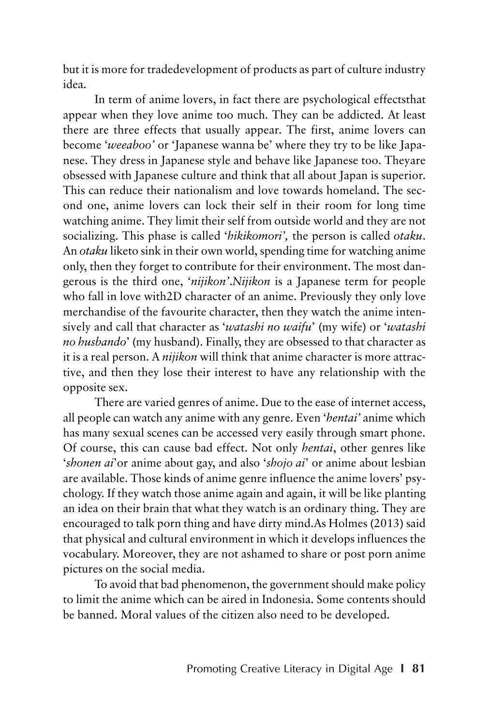but it is more for tradedevelopment of products as part of culture industry idea.

In term of anime lovers, in fact there are psychological effectsthat appear when they love anime too much. They can be addicted. At least there are three effects that usually appear. The first, anime lovers can become '*weeaboo'* or 'Japanese wanna be' where they try to be like Japanese. They dress in Japanese style and behave like Japanese too. Theyare obsessed with Japanese culture and think that all about Japan is superior. This can reduce their nationalism and love towards homeland. The second one, anime lovers can lock their self in their room for long time watching anime. They limit their self from outside world and they are not socializing. This phase is called '*hikikomori',* the person is called *otaku*. An *otaku* liketo sink in their own world, spending time for watching anime only, then they forget to contribute for their environment. The most dangerous is the third one, '*nijikon'*.*Nijikon* is a Japanese term for people who fall in love with2D character of an anime. Previously they only love merchandise of the favourite character, then they watch the anime intensively and call that character as '*watashi no waifu*' (my wife) or '*watashi no husbando*' (my husband). Finally, they are obsessed to that character as it is a real person. A *nijikon* will think that anime character is more attractive, and then they lose their interest to have any relationship with the opposite sex.

There are varied genres of anime. Due to the ease of internet access, all people can watch any anime with any genre. Even '*hentai'* anime which has many sexual scenes can be accessed very easily through smart phone. Of course, this can cause bad effect. Not only *hentai*, other genres like '*shonen ai*'or anime about gay, and also '*shojo ai*' or anime about lesbian are available. Those kinds of anime genre influence the anime lovers' psychology. If they watch those anime again and again, it will be like planting an idea on their brain that what they watch is an ordinary thing. They are encouraged to talk porn thing and have dirty mind.As Holmes (2013) said that physical and cultural environment in which it develops influences the vocabulary. Moreover, they are not ashamed to share or post porn anime pictures on the social media.

To avoid that bad phenomenon, the government should make policy to limit the anime which can be aired in Indonesia. Some contents should be banned. Moral values of the citizen also need to be developed.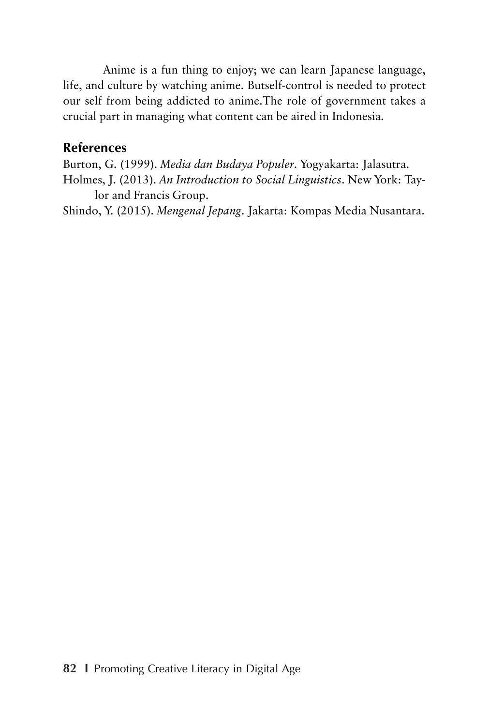Anime is a fun thing to enjoy; we can learn Japanese language, life, and culture by watching anime. Butself-control is needed to protect our self from being addicted to anime.The role of government takes a crucial part in managing what content can be aired in Indonesia.

#### **References**

Burton, G. (1999). *Media dan Budaya Populer*. Yogyakarta: Jalasutra. Holmes, J. (2013). *An Introduction to Social Linguistics*. New York: Taylor and Francis Group.

Shindo, Y. (2015). *Mengenal Jepang*. Jakarta: Kompas Media Nusantara.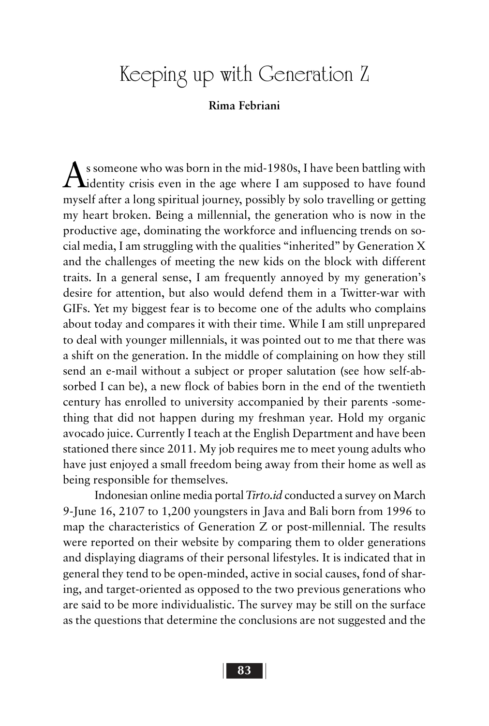# Keeping up with Generation Z

#### **Rima Febriani**

 $\Lambda$  s someone who was born in the mid-1980s, I have been battling with **L**identity crisis even in the age where I am supposed to have found myself after a long spiritual journey, possibly by solo travelling or getting my heart broken. Being a millennial, the generation who is now in the productive age, dominating the workforce and influencing trends on social media, I am struggling with the qualities "inherited" by Generation X and the challenges of meeting the new kids on the block with different traits. In a general sense, I am frequently annoyed by my generation's desire for attention, but also would defend them in a Twitter-war with GIFs. Yet my biggest fear is to become one of the adults who complains about today and compares it with their time. While I am still unprepared to deal with younger millennials, it was pointed out to me that there was a shift on the generation. In the middle of complaining on how they still send an e-mail without a subject or proper salutation (see how self-absorbed I can be), a new flock of babies born in the end of the twentieth century has enrolled to university accompanied by their parents -something that did not happen during my freshman year. Hold my organic avocado juice. Currently I teach at the English Department and have been stationed there since 2011. My job requires me to meet young adults who have just enjoyed a small freedom being away from their home as well as being responsible for themselves.

Indonesian online media portal *Tirto.id* conducted a survey on March 9-June 16, 2107 to 1,200 youngsters in Java and Bali born from 1996 to map the characteristics of Generation Z or post-millennial. The results were reported on their website by comparing them to older generations and displaying diagrams of their personal lifestyles. It is indicated that in general they tend to be open-minded, active in social causes, fond of sharing, and target-oriented as opposed to the two previous generations who are said to be more individualistic. The survey may be still on the surface as the questions that determine the conclusions are not suggested and the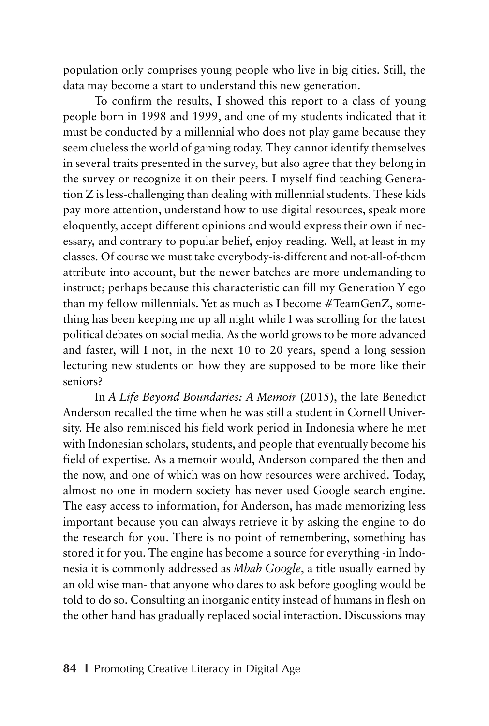population only comprises young people who live in big cities. Still, the data may become a start to understand this new generation.

To confirm the results, I showed this report to a class of young people born in 1998 and 1999, and one of my students indicated that it must be conducted by a millennial who does not play game because they seem clueless the world of gaming today. They cannot identify themselves in several traits presented in the survey, but also agree that they belong in the survey or recognize it on their peers. I myself find teaching Generation Z is less-challenging than dealing with millennial students. These kids pay more attention, understand how to use digital resources, speak more eloquently, accept different opinions and would express their own if necessary, and contrary to popular belief, enjoy reading. Well, at least in my classes. Of course we must take everybody-is-different and not-all-of-them attribute into account, but the newer batches are more undemanding to instruct; perhaps because this characteristic can fill my Generation Y ego than my fellow millennials. Yet as much as I become #TeamGenZ, something has been keeping me up all night while I was scrolling for the latest political debates on social media. As the world grows to be more advanced and faster, will I not, in the next 10 to 20 years, spend a long session lecturing new students on how they are supposed to be more like their seniors?

In *A Life Beyond Boundaries: A Memoir* (2015), the late Benedict Anderson recalled the time when he was still a student in Cornell University. He also reminisced his field work period in Indonesia where he met with Indonesian scholars, students, and people that eventually become his field of expertise. As a memoir would, Anderson compared the then and the now, and one of which was on how resources were archived. Today, almost no one in modern society has never used Google search engine. The easy access to information, for Anderson, has made memorizing less important because you can always retrieve it by asking the engine to do the research for you. There is no point of remembering, something has stored it for you. The engine has become a source for everything -in Indonesia it is commonly addressed as *Mbah Google*, a title usually earned by an old wise man- that anyone who dares to ask before googling would be told to do so. Consulting an inorganic entity instead of humans in flesh on the other hand has gradually replaced social interaction. Discussions may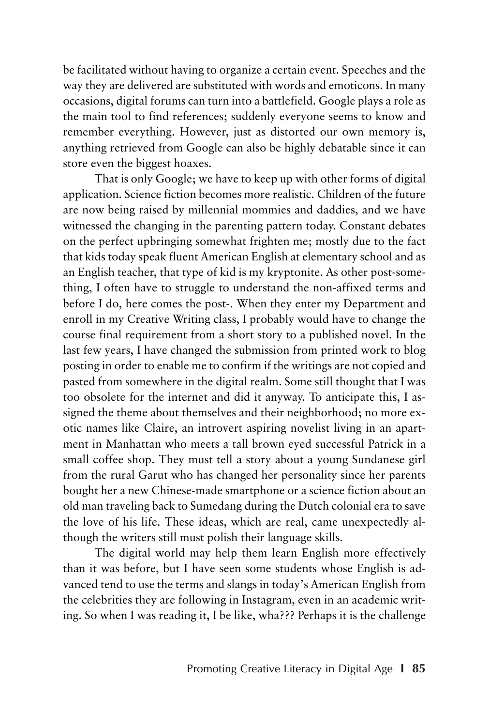be facilitated without having to organize a certain event. Speeches and the way they are delivered are substituted with words and emoticons. In many occasions, digital forums can turn into a battlefield. Google plays a role as the main tool to find references; suddenly everyone seems to know and remember everything. However, just as distorted our own memory is, anything retrieved from Google can also be highly debatable since it can store even the biggest hoaxes.

That is only Google; we have to keep up with other forms of digital application. Science fiction becomes more realistic. Children of the future are now being raised by millennial mommies and daddies, and we have witnessed the changing in the parenting pattern today. Constant debates on the perfect upbringing somewhat frighten me; mostly due to the fact that kids today speak fluent American English at elementary school and as an English teacher, that type of kid is my kryptonite. As other post-something, I often have to struggle to understand the non-affixed terms and before I do, here comes the post-. When they enter my Department and enroll in my Creative Writing class, I probably would have to change the course final requirement from a short story to a published novel. In the last few years, I have changed the submission from printed work to blog posting in order to enable me to confirm if the writings are not copied and pasted from somewhere in the digital realm. Some still thought that I was too obsolete for the internet and did it anyway. To anticipate this, I assigned the theme about themselves and their neighborhood; no more exotic names like Claire, an introvert aspiring novelist living in an apartment in Manhattan who meets a tall brown eyed successful Patrick in a small coffee shop. They must tell a story about a young Sundanese girl from the rural Garut who has changed her personality since her parents bought her a new Chinese-made smartphone or a science fiction about an old man traveling back to Sumedang during the Dutch colonial era to save the love of his life. These ideas, which are real, came unexpectedly although the writers still must polish their language skills.

The digital world may help them learn English more effectively than it was before, but I have seen some students whose English is advanced tend to use the terms and slangs in today's American English from the celebrities they are following in Instagram, even in an academic writing. So when I was reading it, I be like, wha??? Perhaps it is the challenge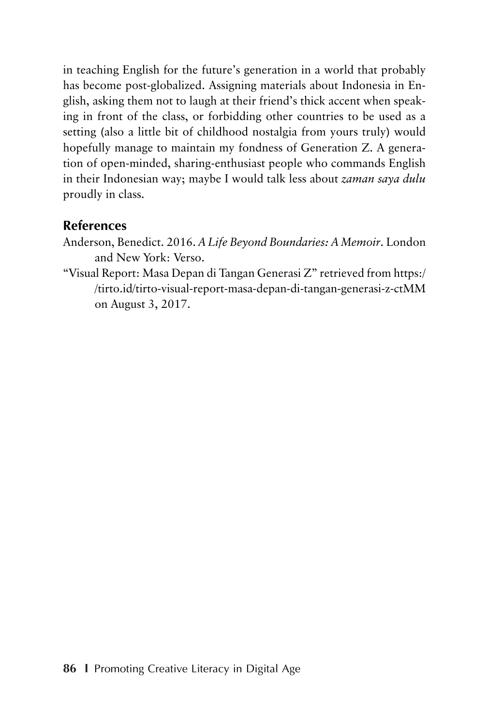in teaching English for the future's generation in a world that probably has become post-globalized. Assigning materials about Indonesia in English, asking them not to laugh at their friend's thick accent when speaking in front of the class, or forbidding other countries to be used as a setting (also a little bit of childhood nostalgia from yours truly) would hopefully manage to maintain my fondness of Generation Z. A generation of open-minded, sharing-enthusiast people who commands English in their Indonesian way; maybe I would talk less about *zaman saya dulu* proudly in class.

### **References**

- Anderson, Benedict. 2016. *A Life Beyond Boundaries: A Memoir*. London and New York: Verso.
- "Visual Report: Masa Depan di Tangan Generasi Z" retrieved from https:/ /tirto.id/tirto-visual-report-masa-depan-di-tangan-generasi-z-ctMM on August 3, 2017.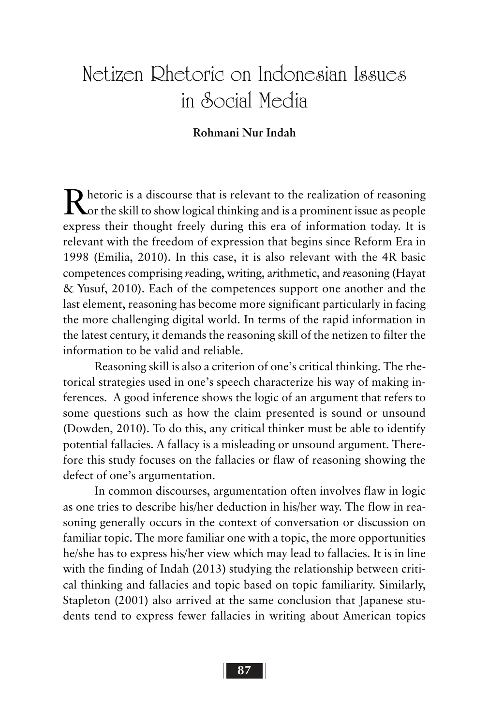# Netizen Rhetoric on Indonesian Issues in Social Media

#### **Rohmani Nur Indah**

Rhetoric is a discourse that is relevant to the realization of reasoning<br>Nor the skill to show logical thinking and is a prominent issue as people express their thought freely during this era of information today. It is relevant with the freedom of expression that begins since Reform Era in 1998 (Emilia, 2010). In this case, it is also relevant with the 4R basic competences comprising *r*eading, w*r*iting, a*r*ithmetic, and *r*easoning (Hayat & Yusuf, 2010). Each of the competences support one another and the last element, reasoning has become more significant particularly in facing the more challenging digital world. In terms of the rapid information in the latest century, it demands the reasoning skill of the netizen to filter the information to be valid and reliable.

Reasoning skill is also a criterion of one's critical thinking. The rhetorical strategies used in one's speech characterize his way of making inferences. A good inference shows the logic of an argument that refers to some questions such as how the claim presented is sound or unsound (Dowden, 2010). To do this, any critical thinker must be able to identify potential fallacies. A fallacy is a misleading or unsound argument. Therefore this study focuses on the fallacies or flaw of reasoning showing the defect of one's argumentation.

In common discourses, argumentation often involves flaw in logic as one tries to describe his/her deduction in his/her way. The flow in reasoning generally occurs in the context of conversation or discussion on familiar topic. The more familiar one with a topic, the more opportunities he/she has to express his/her view which may lead to fallacies. It is in line with the finding of Indah (2013) studying the relationship between critical thinking and fallacies and topic based on topic familiarity. Similarly, Stapleton (2001) also arrived at the same conclusion that Japanese students tend to express fewer fallacies in writing about American topics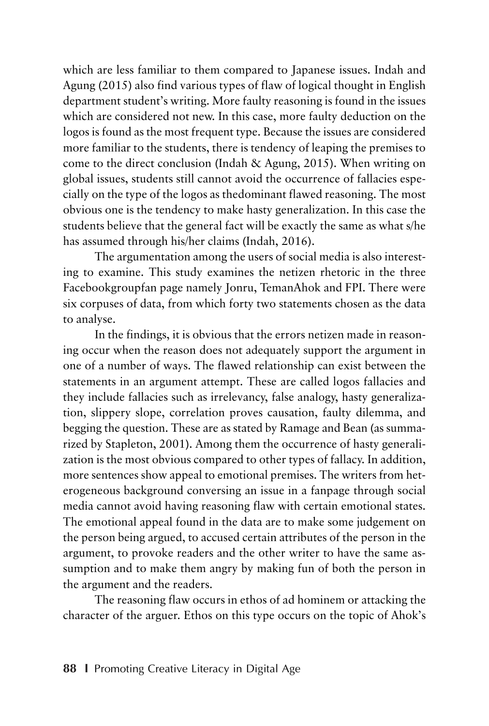which are less familiar to them compared to Japanese issues. Indah and Agung (2015) also find various types of flaw of logical thought in English department student's writing. More faulty reasoning is found in the issues which are considered not new. In this case, more faulty deduction on the logos is found as the most frequent type. Because the issues are considered more familiar to the students, there is tendency of leaping the premises to come to the direct conclusion (Indah & Agung, 2015). When writing on global issues, students still cannot avoid the occurrence of fallacies especially on the type of the logos as thedominant flawed reasoning. The most obvious one is the tendency to make hasty generalization. In this case the students believe that the general fact will be exactly the same as what s/he has assumed through his/her claims (Indah, 2016).

The argumentation among the users of social media is also interesting to examine. This study examines the netizen rhetoric in the three Facebookgroupfan page namely Jonru, TemanAhok and FPI. There were six corpuses of data, from which forty two statements chosen as the data to analyse.

In the findings, it is obvious that the errors netizen made in reasoning occur when the reason does not adequately support the argument in one of a number of ways. The flawed relationship can exist between the statements in an argument attempt. These are called logos fallacies and they include fallacies such as irrelevancy, false analogy, hasty generalization, slippery slope, correlation proves causation, faulty dilemma, and begging the question. These are as stated by Ramage and Bean (as summarized by Stapleton, 2001). Among them the occurrence of hasty generalization is the most obvious compared to other types of fallacy. In addition, more sentences show appeal to emotional premises. The writers from heterogeneous background conversing an issue in a fanpage through social media cannot avoid having reasoning flaw with certain emotional states. The emotional appeal found in the data are to make some judgement on the person being argued, to accused certain attributes of the person in the argument, to provoke readers and the other writer to have the same assumption and to make them angry by making fun of both the person in the argument and the readers.

The reasoning flaw occurs in ethos of ad hominem or attacking the character of the arguer. Ethos on this type occurs on the topic of Ahok's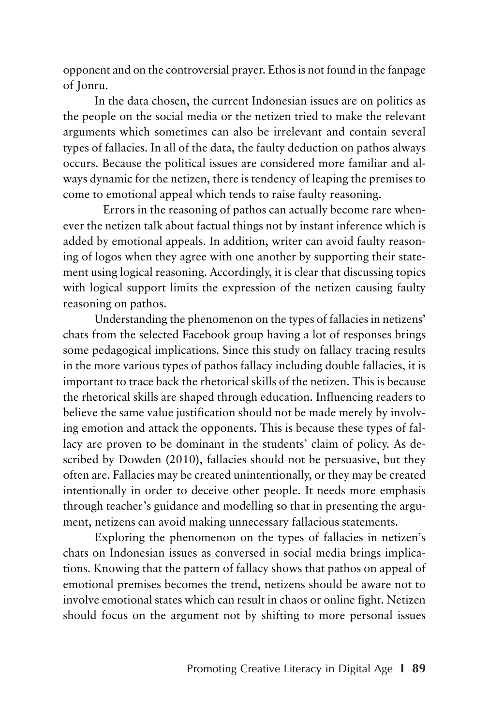opponent and on the controversial prayer. Ethos is not found in the fanpage of Jonru.

In the data chosen, the current Indonesian issues are on politics as the people on the social media or the netizen tried to make the relevant arguments which sometimes can also be irrelevant and contain several types of fallacies. In all of the data, the faulty deduction on pathos always occurs. Because the political issues are considered more familiar and always dynamic for the netizen, there is tendency of leaping the premises to come to emotional appeal which tends to raise faulty reasoning.

Errors in the reasoning of pathos can actually become rare whenever the netizen talk about factual things not by instant inference which is added by emotional appeals. In addition, writer can avoid faulty reasoning of logos when they agree with one another by supporting their statement using logical reasoning. Accordingly, it is clear that discussing topics with logical support limits the expression of the netizen causing faulty reasoning on pathos.

Understanding the phenomenon on the types of fallacies in netizens' chats from the selected Facebook group having a lot of responses brings some pedagogical implications. Since this study on fallacy tracing results in the more various types of pathos fallacy including double fallacies, it is important to trace back the rhetorical skills of the netizen. This is because the rhetorical skills are shaped through education. Influencing readers to believe the same value justification should not be made merely by involving emotion and attack the opponents. This is because these types of fallacy are proven to be dominant in the students' claim of policy. As described by Dowden (2010), fallacies should not be persuasive, but they often are. Fallacies may be created unintentionally, or they may be created intentionally in order to deceive other people. It needs more emphasis through teacher's guidance and modelling so that in presenting the argument, netizens can avoid making unnecessary fallacious statements.

Exploring the phenomenon on the types of fallacies in netizen's chats on Indonesian issues as conversed in social media brings implications. Knowing that the pattern of fallacy shows that pathos on appeal of emotional premises becomes the trend, netizens should be aware not to involve emotional states which can result in chaos or online fight. Netizen should focus on the argument not by shifting to more personal issues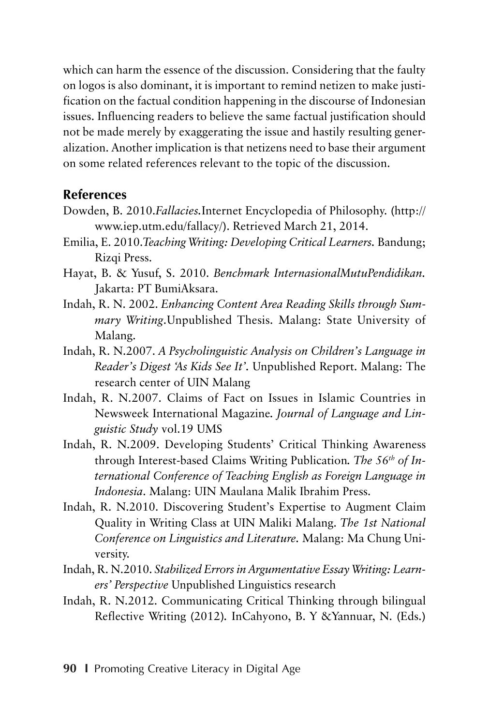which can harm the essence of the discussion. Considering that the faulty on logos is also dominant, it is important to remind netizen to make justification on the factual condition happening in the discourse of Indonesian issues. Influencing readers to believe the same factual justification should not be made merely by exaggerating the issue and hastily resulting generalization. Another implication is that netizens need to base their argument on some related references relevant to the topic of the discussion.

#### **References**

- Dowden, B. 2010.*Fallacies.*Internet Encyclopedia of Philosophy. (http:// www.iep.utm.edu/fallacy/). Retrieved March 21, 2014.
- Emilia, E. 2010.*Teaching Writing: Developing Critical Learners.* Bandung; Rizqi Press.
- Hayat, B. & Yusuf, S. 2010. *Benchmark InternasionalMutuPendidikan.* Jakarta: PT BumiAksara.
- Indah, R. N. 2002. *Enhancing Content Area Reading Skills through Summary Writing*.Unpublished Thesis. Malang: State University of Malang.
- Indah, R. N.2007. *A Psycholinguistic Analysis on Children's Language in Reader's Digest 'As Kids See It'.* Unpublished Report. Malang: The research center of UIN Malang
- Indah, R. N.2007. Claims of Fact on Issues in Islamic Countries in Newsweek International Magazine*. Journal of Language and Linguistic Study* vol.19 UMS
- Indah, R. N.2009. Developing Students' Critical Thinking Awareness through Interest-based Claims Writing Publication*. The 56th of International Conference of Teaching English as Foreign Language in Indonesia*. Malang: UIN Maulana Malik Ibrahim Press.
- Indah, R. N.2010. Discovering Student's Expertise to Augment Claim Quality in Writing Class at UIN Maliki Malang. *The 1st National Conference on Linguistics and Literature.* Malang: Ma Chung University.
- Indah, R. N.2010. *Stabilized Errors in Argumentative Essay Writing: Learners' Perspective* Unpublished Linguistics research
- Indah, R. N.2012. Communicating Critical Thinking through bilingual Reflective Writing (2012)*.* InCahyono, B. Y &Yannuar, N. (Eds.)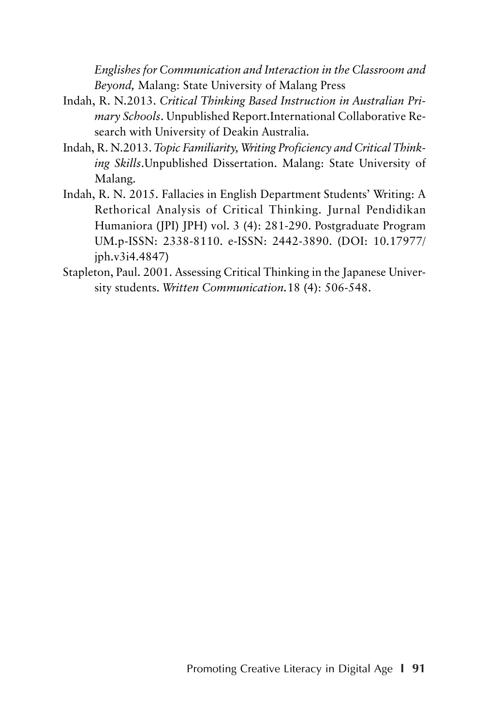*Englishes for Communication and Interaction in the Classroom and Beyond,* Malang: State University of Malang Press

- Indah, R. N.2013. *Critical Thinking Based Instruction in Australian Primary Schools*. Unpublished Report.International Collaborative Research with University of Deakin Australia.
- Indah, R. N.2013. *Topic Familiarity, Writing Proficiency and Critical Thinking Skills*.Unpublished Dissertation. Malang: State University of Malang.
- Indah, R. N. 2015. Fallacies in English Department Students' Writing: A Rethorical Analysis of Critical Thinking. Jurnal Pendidikan Humaniora (JPI) JPH) vol. 3 (4): 281-290. Postgraduate Program UM.p-ISSN: 2338-8110. e-ISSN: 2442-3890. (DOI: 10.17977/ jph.v3i4.4847)
- Stapleton, Paul. 2001. Assessing Critical Thinking in the Japanese University students. *Written Communication.*18 (4): 506-548.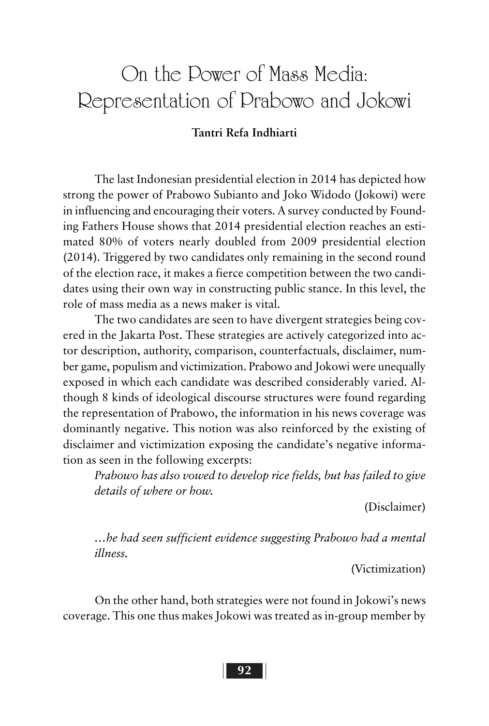# On the Power of Mass Media: Representation of Prabowo and Jokowi

### **Tantri Refa Indhiarti**

The last Indonesian presidential election in 2014 has depicted how strong the power of Prabowo Subianto and Joko Widodo (Jokowi) were in influencing and encouraging their voters. A survey conducted by Founding Fathers House shows that 2014 presidential election reaches an estimated 80% of voters nearly doubled from 2009 presidential election (2014). Triggered by two candidates only remaining in the second round of the election race, it makes a fierce competition between the two candidates using their own way in constructing public stance. In this level, the role of mass media as a news maker is vital.

The two candidates are seen to have divergent strategies being covered in the Jakarta Post. These strategies are actively categorized into actor description, authority, comparison, counterfactuals, disclaimer, number game, populism and victimization. Prabowo and Jokowi were unequally exposed in which each candidate was described considerably varied. Although 8 kinds of ideological discourse structures were found regarding the representation of Prabowo, the information in his news coverage was dominantly negative. This notion was also reinforced by the existing of disclaimer and victimization exposing the candidate's negative information as seen in the following excerpts:

*Prabowo has also vowed to develop rice fields, but has failed to give details of where or how.*

(Disclaimer)

*…he had seen sufficient evidence suggesting Prabowo had a mental illness.*

(Victimization)

On the other hand, both strategies were not found in Jokowi's news coverage. This one thus makes Jokowi was treated as in-group member by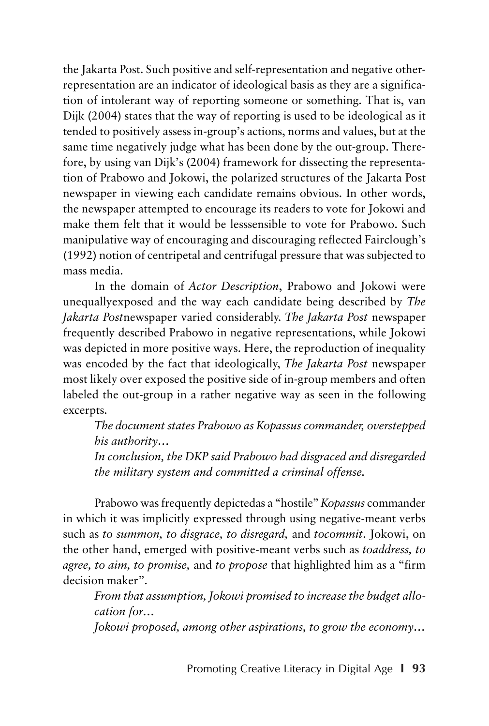the Jakarta Post. Such positive and self-representation and negative otherrepresentation are an indicator of ideological basis as they are a signification of intolerant way of reporting someone or something. That is, van Dijk (2004) states that the way of reporting is used to be ideological as it tended to positively assess in-group's actions, norms and values, but at the same time negatively judge what has been done by the out-group. Therefore, by using van Dijk's (2004) framework for dissecting the representation of Prabowo and Jokowi, the polarized structures of the Jakarta Post newspaper in viewing each candidate remains obvious. In other words, the newspaper attempted to encourage its readers to vote for Jokowi and make them felt that it would be lesssensible to vote for Prabowo. Such manipulative way of encouraging and discouraging reflected Fairclough's (1992) notion of centripetal and centrifugal pressure that was subjected to mass media.

In the domain of *Actor Description*, Prabowo and Jokowi were unequallyexposed and the way each candidate being described by *The Jakarta Post*newspaper varied considerably. *The Jakarta Post* newspaper frequently described Prabowo in negative representations, while Jokowi was depicted in more positive ways. Here, the reproduction of inequality was encoded by the fact that ideologically, *The Jakarta Post* newspaper most likely over exposed the positive side of in-group members and often labeled the out-group in a rather negative way as seen in the following excerpts.

*The document states Prabowo as Kopassus commander, overstepped his authority…*

*In conclusion, the DKP said Prabowo had disgraced and disregarded the military system and committed a criminal offense.*

Prabowo was frequently depictedas a "hostile" *Kopassus* commander in which it was implicitly expressed through using negative-meant verbs such as *to summon, to disgrace, to disregard,* and *tocommit*. Jokowi, on the other hand, emerged with positive-meant verbs such as *toaddress, to agree, to aim, to promise,* and *to propose* that highlighted him as a "firm decision maker".

*From that assumption, Jokowi promised to increase the budget allocation for…*

*Jokowi proposed, among other aspirations, to grow the economy…*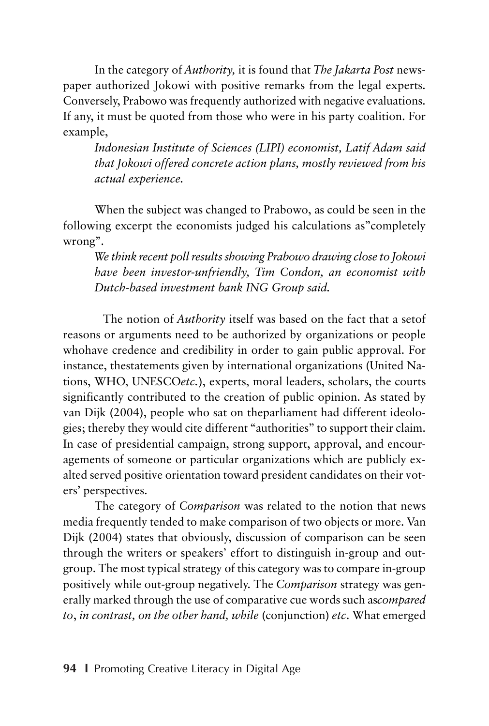In the category of *Authority,* it is found that *The Jakarta Post* newspaper authorized Jokowi with positive remarks from the legal experts. Conversely, Prabowo was frequently authorized with negative evaluations. If any, it must be quoted from those who were in his party coalition. For example,

*Indonesian Institute of Sciences (LIPI) economist, Latif Adam said that Jokowi offered concrete action plans, mostly reviewed from his actual experience.*

When the subject was changed to Prabowo, as could be seen in the following excerpt the economists judged his calculations as"completely wrong".

*We think recent poll results showing Prabowo drawing close to Jokowi have been investor-unfriendly, Tim Condon, an economist with Dutch-based investment bank ING Group said.*

The notion of *Authority* itself was based on the fact that a setof reasons or arguments need to be authorized by organizations or people whohave credence and credibility in order to gain public approval. For instance, thestatements given by international organizations (United Nations, WHO, UNESCO*etc.*), experts, moral leaders, scholars, the courts significantly contributed to the creation of public opinion. As stated by van Dijk (2004), people who sat on theparliament had different ideologies; thereby they would cite different "authorities" to support their claim. In case of presidential campaign, strong support, approval, and encouragements of someone or particular organizations which are publicly exalted served positive orientation toward president candidates on their voters' perspectives.

The category of *Comparison* was related to the notion that news media frequently tended to make comparison of two objects or more. Van Dijk (2004) states that obviously, discussion of comparison can be seen through the writers or speakers' effort to distinguish in-group and outgroup. The most typical strategy of this category was to compare in-group positively while out-group negatively. The *Comparison* strategy was generally marked through the use of comparative cue words such as*compared to*, *in contrast, on the other hand, while* (conjunction) *etc*. What emerged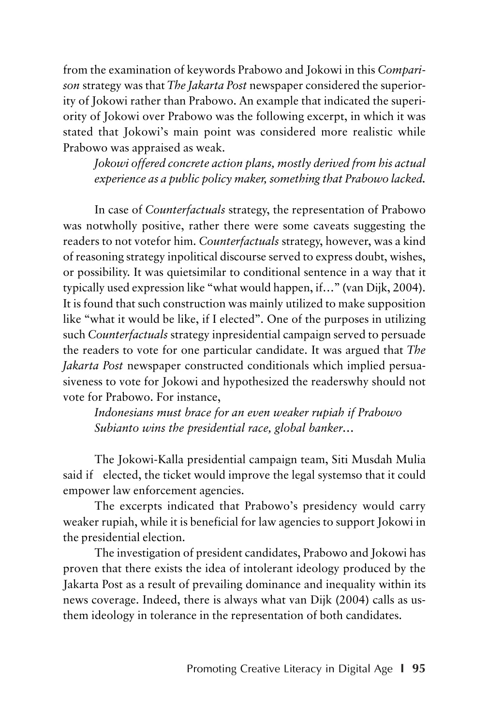from the examination of keywords Prabowo and Jokowi in this *Comparison* strategy was that *The Jakarta Post* newspaper considered the superiority of Jokowi rather than Prabowo. An example that indicated the superiority of Jokowi over Prabowo was the following excerpt, in which it was stated that Jokowi's main point was considered more realistic while Prabowo was appraised as weak.

*Jokowi offered concrete action plans, mostly derived from his actual experience as a public policy maker, something that Prabowo lacked.*

In case of *Counterfactuals* strategy, the representation of Prabowo was notwholly positive, rather there were some caveats suggesting the readers to not votefor him. *Counterfactuals* strategy, however, was a kind of reasoning strategy inpolitical discourse served to express doubt, wishes, or possibility. It was quietsimilar to conditional sentence in a way that it typically used expression like "what would happen, if…" (van Dijk, 2004). It is found that such construction was mainly utilized to make supposition like "what it would be like, if I elected". One of the purposes in utilizing such *Counterfactuals* strategy inpresidential campaign served to persuade the readers to vote for one particular candidate. It was argued that *The Jakarta Post* newspaper constructed conditionals which implied persuasiveness to vote for Jokowi and hypothesized the readerswhy should not vote for Prabowo. For instance,

*Indonesians must brace for an even weaker rupiah if Prabowo Subianto wins the presidential race, global banker…*

The Jokowi-Kalla presidential campaign team, Siti Musdah Mulia said if elected, the ticket would improve the legal systemso that it could empower law enforcement agencies.

The excerpts indicated that Prabowo's presidency would carry weaker rupiah, while it is beneficial for law agencies to support Jokowi in the presidential election.

The investigation of president candidates, Prabowo and Jokowi has proven that there exists the idea of intolerant ideology produced by the Jakarta Post as a result of prevailing dominance and inequality within its news coverage. Indeed, there is always what van Dijk (2004) calls as usthem ideology in tolerance in the representation of both candidates.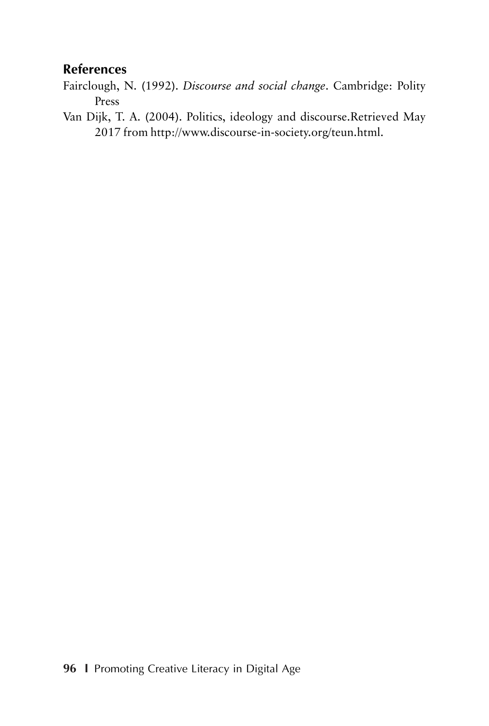### **References**

- Fairclough, N. (1992). *Discourse and social change*. Cambridge: Polity Press
- Van Dijk, T. A. (2004). Politics, ideology and discourse.Retrieved May 2017 from http://www.discourse-in-society.org/teun.html.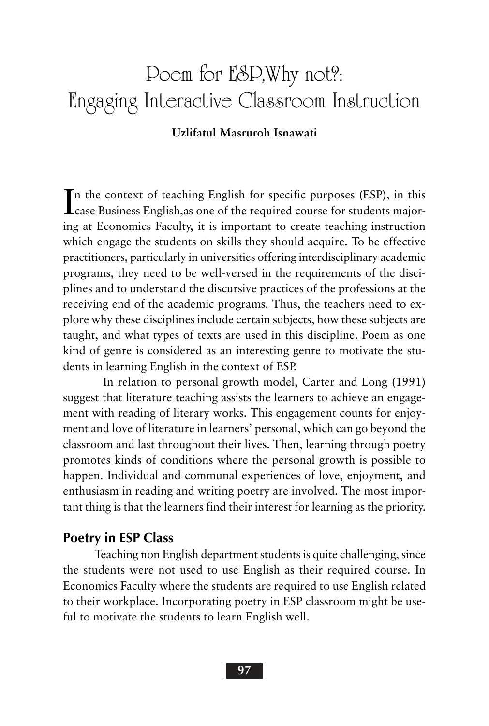# Poem for ESP,Why not?: Engaging Interactive Classroom Instruction

#### **Uzlifatul Masruroh Isnawati**

In the context of teaching English for specific purposes (ESP), in this case Business English, as one of the required course for students majorcase Business English,as one of the required course for students majoring at Economics Faculty, it is important to create teaching instruction which engage the students on skills they should acquire. To be effective practitioners, particularly in universities offering interdisciplinary academic programs, they need to be well-versed in the requirements of the disciplines and to understand the discursive practices of the professions at the receiving end of the academic programs. Thus, the teachers need to explore why these disciplines include certain subjects, how these subjects are taught, and what types of texts are used in this discipline. Poem as one kind of genre is considered as an interesting genre to motivate the students in learning English in the context of ESP.

In relation to personal growth model, Carter and Long (1991) suggest that literature teaching assists the learners to achieve an engagement with reading of literary works. This engagement counts for enjoyment and love of literature in learners' personal, which can go beyond the classroom and last throughout their lives. Then, learning through poetry promotes kinds of conditions where the personal growth is possible to happen. Individual and communal experiences of love, enjoyment, and enthusiasm in reading and writing poetry are involved. The most important thing is that the learners find their interest for learning as the priority.

#### **Poetry in ESP Class**

Teaching non English department students is quite challenging, since the students were not used to use English as their required course. In Economics Faculty where the students are required to use English related to their workplace. Incorporating poetry in ESP classroom might be useful to motivate the students to learn English well.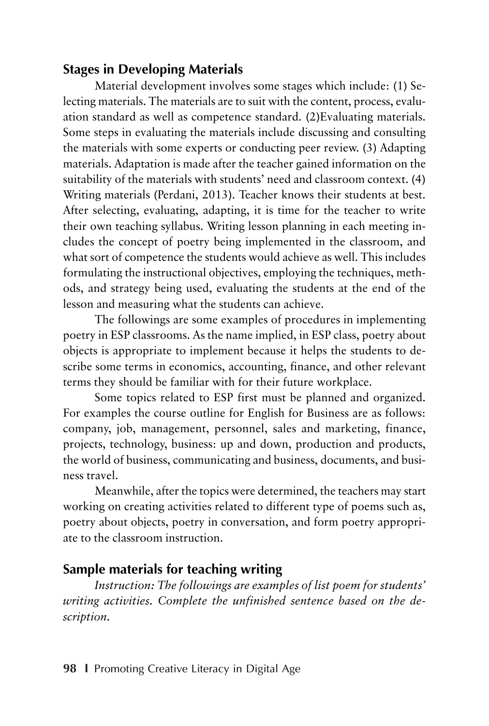### **Stages in Developing Materials**

Material development involves some stages which include: (1) Selecting materials. The materials are to suit with the content, process, evaluation standard as well as competence standard. (2)Evaluating materials. Some steps in evaluating the materials include discussing and consulting the materials with some experts or conducting peer review. (3) Adapting materials. Adaptation is made after the teacher gained information on the suitability of the materials with students' need and classroom context. (4) Writing materials (Perdani, 2013). Teacher knows their students at best. After selecting, evaluating, adapting, it is time for the teacher to write their own teaching syllabus. Writing lesson planning in each meeting includes the concept of poetry being implemented in the classroom, and what sort of competence the students would achieve as well. This includes formulating the instructional objectives, employing the techniques, methods, and strategy being used, evaluating the students at the end of the lesson and measuring what the students can achieve.

The followings are some examples of procedures in implementing poetry in ESP classrooms. As the name implied, in ESP class, poetry about objects is appropriate to implement because it helps the students to describe some terms in economics, accounting, finance, and other relevant terms they should be familiar with for their future workplace.

Some topics related to ESP first must be planned and organized. For examples the course outline for English for Business are as follows: company, job, management, personnel, sales and marketing, finance, projects, technology, business: up and down, production and products, the world of business, communicating and business, documents, and business travel.

Meanwhile, after the topics were determined, the teachers may start working on creating activities related to different type of poems such as, poetry about objects, poetry in conversation, and form poetry appropriate to the classroom instruction.

## **Sample materials for teaching writing**

*Instruction: The followings are examples of list poem for students' writing activities. Complete the unfinished sentence based on the description.*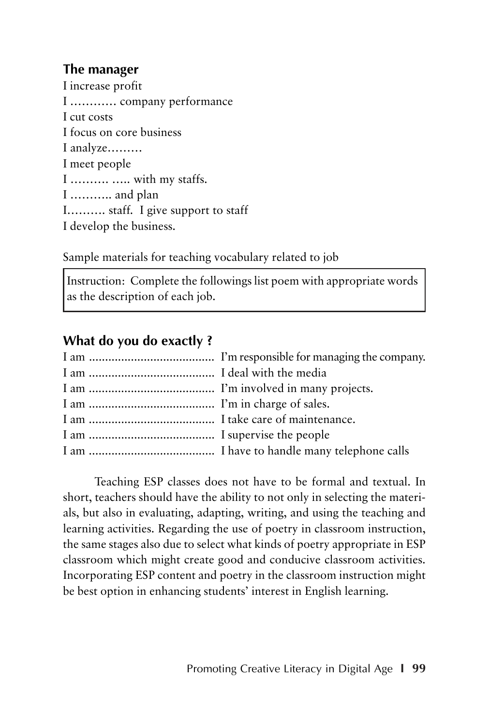### **The manager**

I increase profit I ………… company performance I cut costs I focus on core business I analyze……… I meet people I ………. ….. with my staffs. I ……….. and plan I………. staff. I give support to staff I develop the business.

Sample materials for teaching vocabulary related to job

Instruction: Complete the followings list poem with appropriate words as the description of each job.

## **What do you do exactly ?**

Teaching ESP classes does not have to be formal and textual. In short, teachers should have the ability to not only in selecting the materials, but also in evaluating, adapting, writing, and using the teaching and learning activities. Regarding the use of poetry in classroom instruction, the same stages also due to select what kinds of poetry appropriate in ESP classroom which might create good and conducive classroom activities. Incorporating ESP content and poetry in the classroom instruction might be best option in enhancing students' interest in English learning.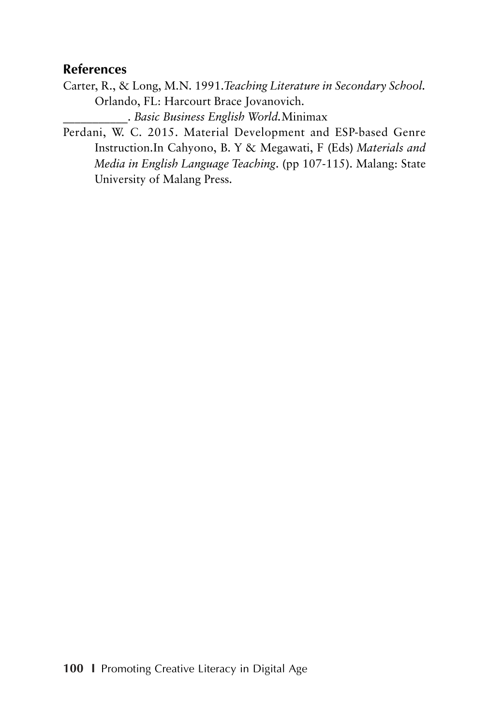#### **References**

Carter, R., & Long, M.N. 1991.*Teaching Literature in Secondary School.* Orlando, FL: Harcourt Brace Jovanovich.

\_\_\_\_\_\_\_\_\_\_\_. *Basic Business English World.*Minimax

Perdani, W. C. 2015. Material Development and ESP-based Genre Instruction.In Cahyono, B. Y & Megawati, F (Eds) *Materials and Media in English Language Teaching*. (pp 107-115). Malang: State University of Malang Press.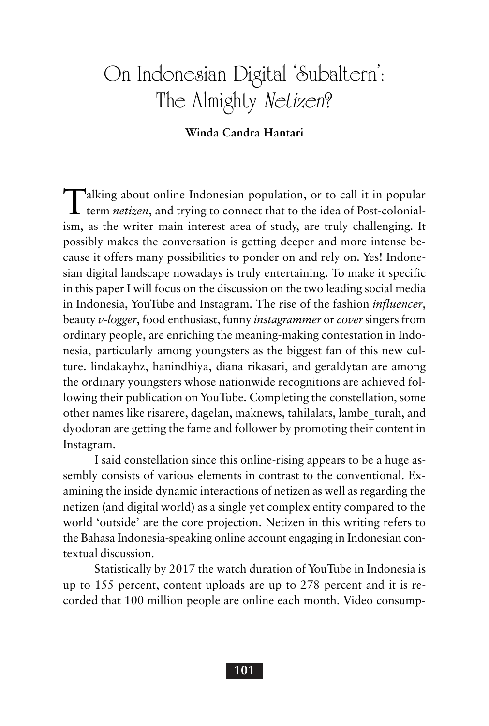# On Indonesian Digital 'Subaltern': The Almighty Netizen?

#### **Winda Candra Hantari**

Talking about online Indonesian population, or to call it in popular term *netizen*, and trying to connect that to the idea of Post-colonialism, as the writer main interest area of study, are truly challenging. It possibly makes the conversation is getting deeper and more intense because it offers many possibilities to ponder on and rely on. Yes! Indonesian digital landscape nowadays is truly entertaining. To make it specific in this paper I will focus on the discussion on the two leading social media in Indonesia, YouTube and Instagram. The rise of the fashion *influencer*, beauty *v-logger*, food enthusiast, funny *instagrammer* or *cover* singers from ordinary people, are enriching the meaning-making contestation in Indonesia, particularly among youngsters as the biggest fan of this new culture. lindakayhz, hanindhiya, diana rikasari, and geraldytan are among the ordinary youngsters whose nationwide recognitions are achieved following their publication on YouTube. Completing the constellation, some other names like risarere, dagelan, maknews, tahilalats, lambe\_turah, and dyodoran are getting the fame and follower by promoting their content in Instagram.

I said constellation since this online-rising appears to be a huge assembly consists of various elements in contrast to the conventional. Examining the inside dynamic interactions of netizen as well as regarding the netizen (and digital world) as a single yet complex entity compared to the world 'outside' are the core projection. Netizen in this writing refers to the Bahasa Indonesia-speaking online account engaging in Indonesian contextual discussion.

Statistically by 2017 the watch duration of YouTube in Indonesia is up to 155 percent, content uploads are up to 278 percent and it is recorded that 100 million people are online each month. Video consump-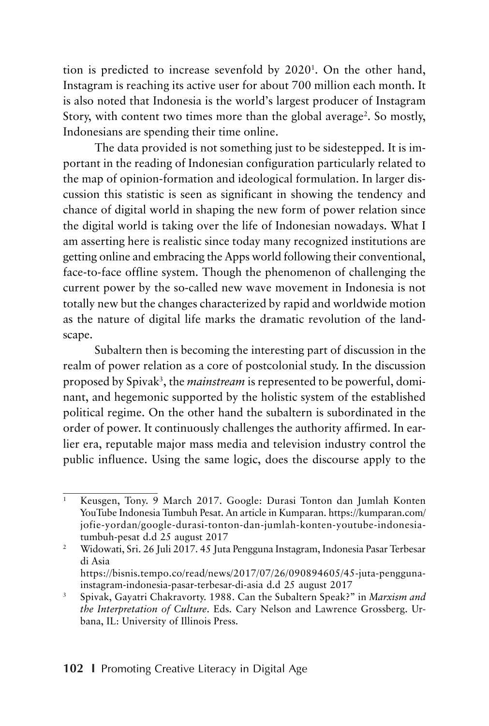tion is predicted to increase sevenfold by 20201 . On the other hand, Instagram is reaching its active user for about 700 million each month. It is also noted that Indonesia is the world's largest producer of Instagram Story, with content two times more than the global average<sup>2</sup>. So mostly, Indonesians are spending their time online.

The data provided is not something just to be sidestepped. It is important in the reading of Indonesian configuration particularly related to the map of opinion-formation and ideological formulation. In larger discussion this statistic is seen as significant in showing the tendency and chance of digital world in shaping the new form of power relation since the digital world is taking over the life of Indonesian nowadays. What I am asserting here is realistic since today many recognized institutions are getting online and embracing the Apps world following their conventional, face-to-face offline system. Though the phenomenon of challenging the current power by the so-called new wave movement in Indonesia is not totally new but the changes characterized by rapid and worldwide motion as the nature of digital life marks the dramatic revolution of the landscape.

Subaltern then is becoming the interesting part of discussion in the realm of power relation as a core of postcolonial study. In the discussion proposed by Spivak<sup>3</sup>, the *mainstream* is represented to be powerful, dominant, and hegemonic supported by the holistic system of the established political regime. On the other hand the subaltern is subordinated in the order of power. It continuously challenges the authority affirmed. In earlier era, reputable major mass media and television industry control the public influence. Using the same logic, does the discourse apply to the

<sup>&</sup>lt;sup>1</sup> Keusgen, Tony. 9 March 2017. Google: Durasi Tonton dan Jumlah Konten YouTube Indonesia Tumbuh Pesat. An article in Kumparan. https://kumparan.com/ jofie-yordan/google-durasi-tonton-dan-jumlah-konten-youtube-indonesiatumbuh-pesat d.d 25 august 2017

<sup>2</sup> Widowati, Sri. 26 Juli 2017. 45 Juta Pengguna Instagram, Indonesia Pasar Terbesar di Asia https://bisnis.tempo.co/read/news/2017/07/26/090894605/45-juta-penggunainstagram-indonesia-pasar-terbesar-di-asia d.d 25 august 2017

<sup>3</sup> Spivak, Gayatri Chakravorty. 1988. Can the Subaltern Speak?" in *Marxism and the Interpretation of Culture*. Eds. Cary Nelson and Lawrence Grossberg. Urbana, IL: University of Illinois Press.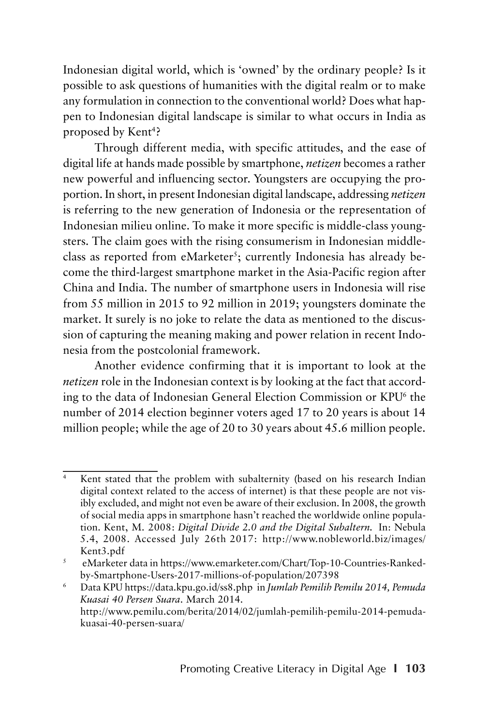Indonesian digital world, which is 'owned' by the ordinary people? Is it possible to ask questions of humanities with the digital realm or to make any formulation in connection to the conventional world? Does what happen to Indonesian digital landscape is similar to what occurs in India as proposed by Kent<sup>4</sup>?

Through different media, with specific attitudes, and the ease of digital life at hands made possible by smartphone, *netizen* becomes a rather new powerful and influencing sector. Youngsters are occupying the proportion. In short, in present Indonesian digital landscape, addressing *netizen* is referring to the new generation of Indonesia or the representation of Indonesian milieu online. To make it more specific is middle-class youngsters. The claim goes with the rising consumerism in Indonesian middleclass as reported from eMarketer<sup>s</sup>; currently Indonesia has already become the third-largest smartphone market in the Asia-Pacific region after China and India. The number of smartphone users in Indonesia will rise from 55 million in 2015 to 92 million in 2019; youngsters dominate the market. It surely is no joke to relate the data as mentioned to the discussion of capturing the meaning making and power relation in recent Indonesia from the postcolonial framework.

Another evidence confirming that it is important to look at the *netizen* role in the Indonesian context is by looking at the fact that according to the data of Indonesian General Election Commission or KPU<sup>6</sup> the number of 2014 election beginner voters aged 17 to 20 years is about 14 million people; while the age of 20 to 30 years about 45.6 million people.

<sup>&</sup>lt;sup>4</sup> Kent stated that the problem with subalternity (based on his research Indian digital context related to the access of internet) is that these people are not visibly excluded, and might not even be aware of their exclusion. In 2008, the growth of social media apps in smartphone hasn't reached the worldwide online population. Kent, M. 2008: *Digital Divide 2.0 and the Digital Subaltern.* In: Nebula 5.4, 2008. Accessed July 26th 2017: http://www.nobleworld.biz/images/ Kent3.pdf

<sup>5</sup> eMarketer data in https://www.emarketer.com/Chart/Top-10-Countries-Rankedby-Smartphone-Users-2017-millions-of-population/207398

<sup>6</sup> Data KPU https://data.kpu.go.id/ss8.php in *Jumlah Pemilih Pemilu 2014, Pemuda Kuasai 40 Persen Suara*. March 2014. http://www.pemilu.com/berita/2014/02/jumlah-pemilih-pemilu-2014-pemudakuasai-40-persen-suara/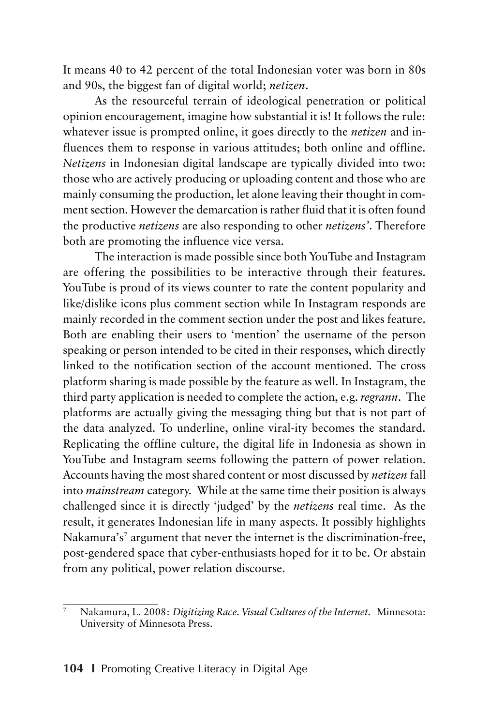It means 40 to 42 percent of the total Indonesian voter was born in 80s and 90s, the biggest fan of digital world; *netizen*.

As the resourceful terrain of ideological penetration or political opinion encouragement, imagine how substantial it is! It follows the rule: whatever issue is prompted online, it goes directly to the *netizen* and influences them to response in various attitudes; both online and offline. *Netizens* in Indonesian digital landscape are typically divided into two: those who are actively producing or uploading content and those who are mainly consuming the production, let alone leaving their thought in comment section. However the demarcation is rather fluid that it is often found the productive *netizens* are also responding to other *netizens'*. Therefore both are promoting the influence vice versa.

The interaction is made possible since both YouTube and Instagram are offering the possibilities to be interactive through their features. YouTube is proud of its views counter to rate the content popularity and like/dislike icons plus comment section while In Instagram responds are mainly recorded in the comment section under the post and likes feature. Both are enabling their users to 'mention' the username of the person speaking or person intended to be cited in their responses, which directly linked to the notification section of the account mentioned. The cross platform sharing is made possible by the feature as well. In Instagram, the third party application is needed to complete the action, e.g. *regrann*. The platforms are actually giving the messaging thing but that is not part of the data analyzed. To underline, online viral-ity becomes the standard. Replicating the offline culture, the digital life in Indonesia as shown in YouTube and Instagram seems following the pattern of power relation. Accounts having the most shared content or most discussed by *netizen* fall into *mainstream* category. While at the same time their position is always challenged since it is directly 'judged' by the *netizens* real time. As the result, it generates Indonesian life in many aspects. It possibly highlights Nakamura's<sup>7</sup> argument that never the internet is the discrimination-free, post-gendered space that cyber-enthusiasts hoped for it to be. Or abstain from any political, power relation discourse.

<sup>7</sup> Nakamura, L. 2008: *Digitizing Race. Visual Cultures of the Internet.* Minnesota: University of Minnesota Press.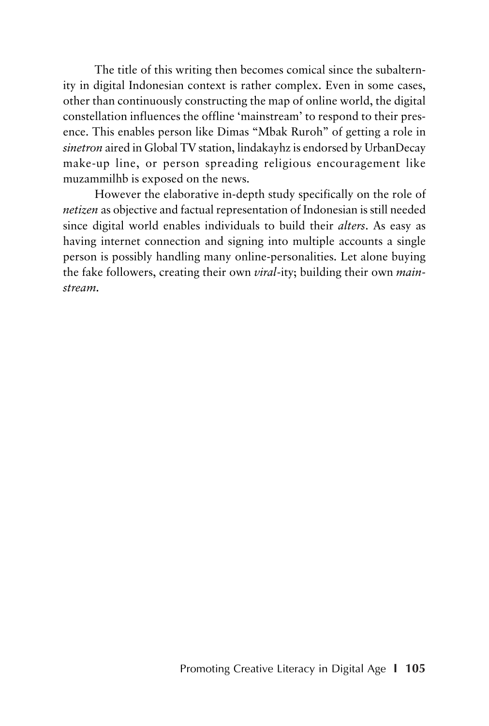The title of this writing then becomes comical since the subalternity in digital Indonesian context is rather complex. Even in some cases, other than continuously constructing the map of online world, the digital constellation influences the offline 'mainstream' to respond to their presence. This enables person like Dimas "Mbak Ruroh" of getting a role in *sinetron* aired in Global TV station, lindakayhz is endorsed by UrbanDecay make-up line, or person spreading religious encouragement like muzammilhb is exposed on the news.

However the elaborative in-depth study specifically on the role of *netizen* as objective and factual representation of Indonesian is still needed since digital world enables individuals to build their *alters*. As easy as having internet connection and signing into multiple accounts a single person is possibly handling many online-personalities. Let alone buying the fake followers, creating their own *viral*-ity; building their own *mainstream.*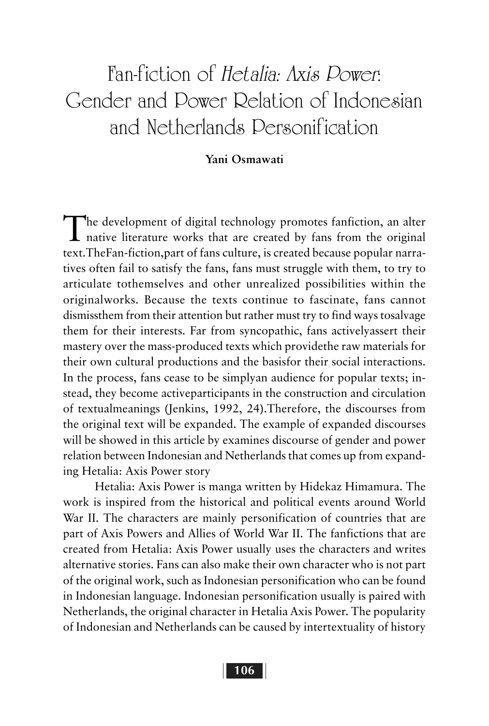# Fan-fiction of Hetalia: Axis Power: Gender and Power Relation of Indonesian and Netherlands Personification

#### **Yani Osmawati**

The development of digital technology promotes fanfiction, an alter<br>native literature works that are created by fans from the original text.TheFan-fiction,part of fans culture, is created because popular narratives often fail to satisfy the fans, fans must struggle with them, to try to articulate tothemselves and other unrealized possibilities within the originalworks. Because the texts continue to fascinate, fans cannot dismissthem from their attention but rather must try to find ways tosalvage them for their interests. Far from syncopathic, fans activelyassert their mastery over the mass-produced texts which providethe raw materials for their own cultural productions and the basisfor their social interactions. In the process, fans cease to be simplyan audience for popular texts; instead, they become activeparticipants in the construction and circulation of textualmeanings (Jenkins, 1992, 24).Therefore, the discourses from the original text will be expanded. The example of expanded discourses will be showed in this article by examines discourse of gender and power relation between Indonesian and Netherlands that comes up from expanding Hetalia: Axis Power story

Hetalia: Axis Power is manga written by Hidekaz Himamura. The work is inspired from the historical and political events around World War II. The characters are mainly personification of countries that are part of Axis Powers and Allies of World War II. The fanfictions that are created from Hetalia: Axis Power usually uses the characters and writes alternative stories. Fans can also make their own character who is not part of the original work, such as Indonesian personification who can be found in Indonesian language. Indonesian personification usually is paired with Netherlands, the original character in Hetalia Axis Power. The popularity of Indonesian and Netherlands can be caused by intertextuality of history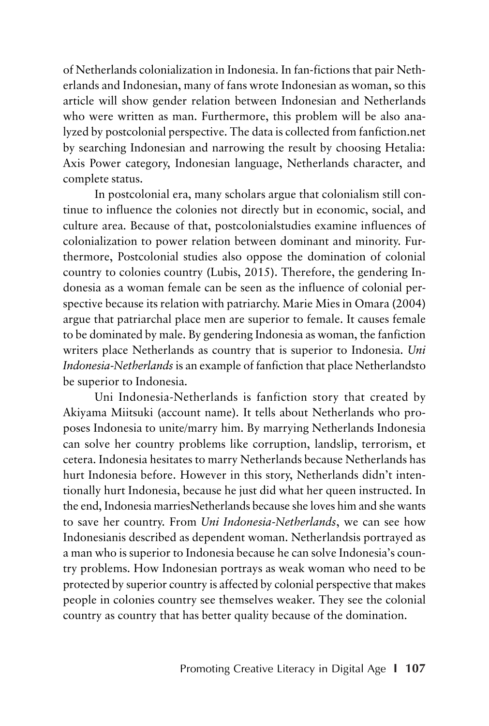of Netherlands colonialization in Indonesia. In fan-fictions that pair Netherlands and Indonesian, many of fans wrote Indonesian as woman, so this article will show gender relation between Indonesian and Netherlands who were written as man. Furthermore, this problem will be also analyzed by postcolonial perspective. The data is collected from fanfiction.net by searching Indonesian and narrowing the result by choosing Hetalia: Axis Power category, Indonesian language, Netherlands character, and complete status.

In postcolonial era, many scholars argue that colonialism still continue to influence the colonies not directly but in economic, social, and culture area. Because of that, postcolonialstudies examine influences of colonialization to power relation between dominant and minority. Furthermore, Postcolonial studies also oppose the domination of colonial country to colonies country (Lubis, 2015). Therefore, the gendering Indonesia as a woman female can be seen as the influence of colonial perspective because its relation with patriarchy. Marie Mies in Omara (2004) argue that patriarchal place men are superior to female. It causes female to be dominated by male. By gendering Indonesia as woman, the fanfiction writers place Netherlands as country that is superior to Indonesia. *Uni Indonesia-Netherlands* is an example of fanfiction that place Netherlandsto be superior to Indonesia.

Uni Indonesia-Netherlands is fanfiction story that created by Akiyama Miitsuki (account name). It tells about Netherlands who proposes Indonesia to unite/marry him. By marrying Netherlands Indonesia can solve her country problems like corruption, landslip, terrorism, et cetera. Indonesia hesitates to marry Netherlands because Netherlands has hurt Indonesia before. However in this story, Netherlands didn't intentionally hurt Indonesia, because he just did what her queen instructed. In the end, Indonesia marriesNetherlands because she loves him and she wants to save her country. From *Uni Indonesia-Netherlands*, we can see how Indonesianis described as dependent woman. Netherlandsis portrayed as a man who is superior to Indonesia because he can solve Indonesia's country problems. How Indonesian portrays as weak woman who need to be protected by superior country is affected by colonial perspective that makes people in colonies country see themselves weaker. They see the colonial country as country that has better quality because of the domination.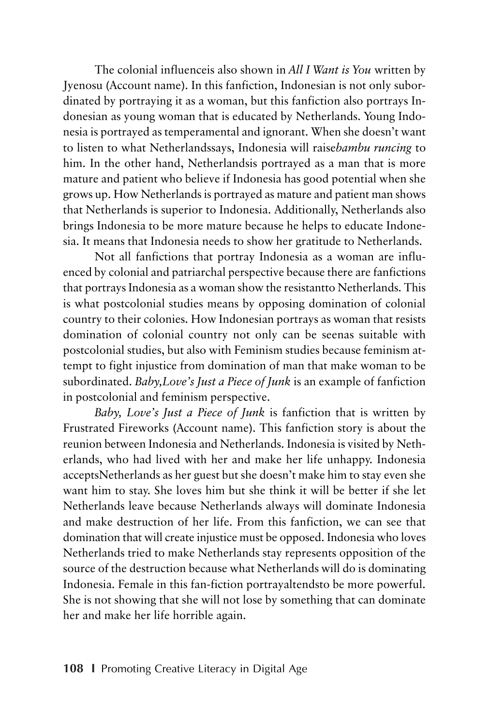The colonial influenceis also shown in *All I Want is You* written by Jyenosu (Account name). In this fanfiction, Indonesian is not only subordinated by portraying it as a woman, but this fanfiction also portrays Indonesian as young woman that is educated by Netherlands. Young Indonesia is portrayed as temperamental and ignorant. When she doesn't want to listen to what Netherlandssays, Indonesia will raise*bambu runcing* to him. In the other hand, Netherlandsis portrayed as a man that is more mature and patient who believe if Indonesia has good potential when she grows up. How Netherlands is portrayed as mature and patient man shows that Netherlands is superior to Indonesia. Additionally, Netherlands also brings Indonesia to be more mature because he helps to educate Indonesia. It means that Indonesia needs to show her gratitude to Netherlands.

Not all fanfictions that portray Indonesia as a woman are influenced by colonial and patriarchal perspective because there are fanfictions that portrays Indonesia as a woman show the resistantto Netherlands. This is what postcolonial studies means by opposing domination of colonial country to their colonies. How Indonesian portrays as woman that resists domination of colonial country not only can be seenas suitable with postcolonial studies, but also with Feminism studies because feminism attempt to fight injustice from domination of man that make woman to be subordinated. *Baby,Love's Just a Piece of Junk* is an example of fanfiction in postcolonial and feminism perspective.

*Baby, Love's Just a Piece of Junk* is fanfiction that is written by Frustrated Fireworks (Account name). This fanfiction story is about the reunion between Indonesia and Netherlands. Indonesia is visited by Netherlands, who had lived with her and make her life unhappy. Indonesia acceptsNetherlands as her guest but she doesn't make him to stay even she want him to stay. She loves him but she think it will be better if she let Netherlands leave because Netherlands always will dominate Indonesia and make destruction of her life. From this fanfiction, we can see that domination that will create injustice must be opposed. Indonesia who loves Netherlands tried to make Netherlands stay represents opposition of the source of the destruction because what Netherlands will do is dominating Indonesia. Female in this fan-fiction portrayaltendsto be more powerful. She is not showing that she will not lose by something that can dominate her and make her life horrible again.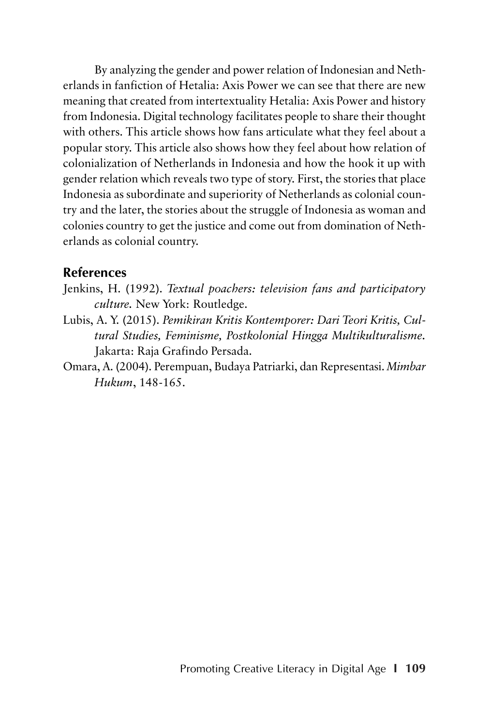By analyzing the gender and power relation of Indonesian and Netherlands in fanfiction of Hetalia: Axis Power we can see that there are new meaning that created from intertextuality Hetalia: Axis Power and history from Indonesia. Digital technology facilitates people to share their thought with others. This article shows how fans articulate what they feel about a popular story. This article also shows how they feel about how relation of colonialization of Netherlands in Indonesia and how the hook it up with gender relation which reveals two type of story. First, the stories that place Indonesia as subordinate and superiority of Netherlands as colonial country and the later, the stories about the struggle of Indonesia as woman and colonies country to get the justice and come out from domination of Netherlands as colonial country.

#### **References**

- Jenkins, H. (1992). *Textual poachers: television fans and participatory culture.* New York: Routledge.
- Lubis, A. Y. (2015). *Pemikiran Kritis Kontemporer: Dari Teori Kritis, Cultural Studies, Feminisme, Postkolonial Hingga Multikulturalisme.* Jakarta: Raja Grafindo Persada.
- Omara, A. (2004). Perempuan, Budaya Patriarki, dan Representasi. *Mimbar Hukum*, 148-165.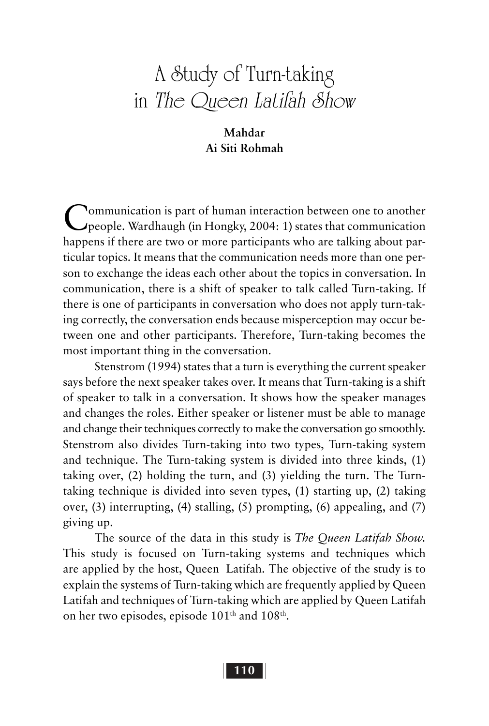# A Study of Turn-taking in The Queen Latifah Show

#### **Mahdar Ai Siti Rohmah**

Communication is part of human interaction between one to another people. Wardhaugh (in Hongky, 2004: 1) states that communication happens if there are two or more participants who are talking about particular topics. It means that the communication needs more than one person to exchange the ideas each other about the topics in conversation. In communication, there is a shift of speaker to talk called Turn-taking. If there is one of participants in conversation who does not apply turn-taking correctly, the conversation ends because misperception may occur between one and other participants. Therefore, Turn-taking becomes the most important thing in the conversation.

Stenstrom (1994) states that a turn is everything the current speaker says before the next speaker takes over. It means that Turn-taking is a shift of speaker to talk in a conversation. It shows how the speaker manages and changes the roles. Either speaker or listener must be able to manage and change their techniques correctly to make the conversation go smoothly. Stenstrom also divides Turn-taking into two types, Turn-taking system and technique. The Turn-taking system is divided into three kinds, (1) taking over, (2) holding the turn, and (3) yielding the turn. The Turntaking technique is divided into seven types, (1) starting up, (2) taking over, (3) interrupting, (4) stalling, (5) prompting, (6) appealing, and (7) giving up.

The source of the data in this study is *The Queen Latifah Show.* This study is focused on Turn-taking systems and techniques which are applied by the host, Queen Latifah. The objective of the study is to explain the systems of Turn-taking which are frequently applied by Queen Latifah and techniques of Turn-taking which are applied by Queen Latifah on her two episodes, episode  $101<sup>th</sup>$  and  $108<sup>th</sup>$ .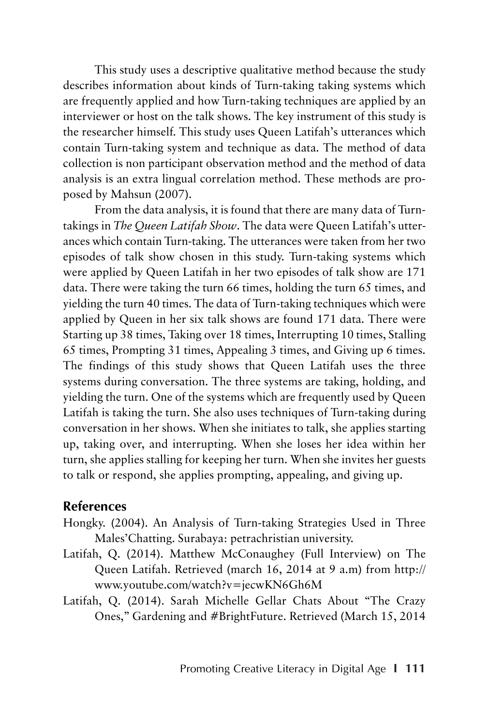This study uses a descriptive qualitative method because the study describes information about kinds of Turn-taking taking systems which are frequently applied and how Turn-taking techniques are applied by an interviewer or host on the talk shows. The key instrument of this study is the researcher himself. This study uses Queen Latifah's utterances which contain Turn-taking system and technique as data. The method of data collection is non participant observation method and the method of data analysis is an extra lingual correlation method. These methods are proposed by Mahsun (2007).

From the data analysis, it is found that there are many data of Turntakings in *The Queen Latifah Show*. The data were Queen Latifah's utterances which contain Turn-taking. The utterances were taken from her two episodes of talk show chosen in this study. Turn-taking systems which were applied by Queen Latifah in her two episodes of talk show are 171 data. There were taking the turn 66 times, holding the turn 65 times, and yielding the turn 40 times. The data of Turn-taking techniques which were applied by Queen in her six talk shows are found 171 data. There were Starting up 38 times, Taking over 18 times, Interrupting 10 times, Stalling 65 times, Prompting 31 times, Appealing 3 times, and Giving up 6 times. The findings of this study shows that Queen Latifah uses the three systems during conversation. The three systems are taking, holding, and yielding the turn. One of the systems which are frequently used by Queen Latifah is taking the turn. She also uses techniques of Turn-taking during conversation in her shows. When she initiates to talk, she applies starting up, taking over, and interrupting. When she loses her idea within her turn, she applies stalling for keeping her turn. When she invites her guests to talk or respond, she applies prompting, appealing, and giving up.

#### **References**

- Hongky. (2004). An Analysis of Turn-taking Strategies Used in Three Males'Chatting. Surabaya: petrachristian university.
- Latifah, Q. (2014). Matthew McConaughey (Full Interview) on The Queen Latifah. Retrieved (march 16, 2014 at 9 a.m) from http:// www.youtube.com/watch?v=jecwKN6Gh6M
- Latifah, Q. (2014). Sarah Michelle Gellar Chats About "The Crazy Ones," Gardening and #BrightFuture. Retrieved (March 15, 2014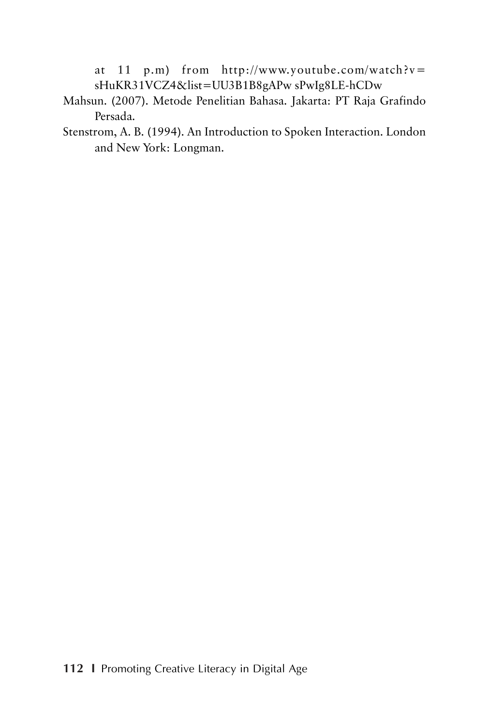at 11 p.m) from http://www.youtube.com/watch?v= sHuKR31VCZ4&list=UU3B1B8gAPw sPwIg8LE-hCDw

- Mahsun. (2007). Metode Penelitian Bahasa. Jakarta: PT Raja Grafindo Persada.
- Stenstrom, A. B. (1994). An Introduction to Spoken Interaction. London and New York: Longman.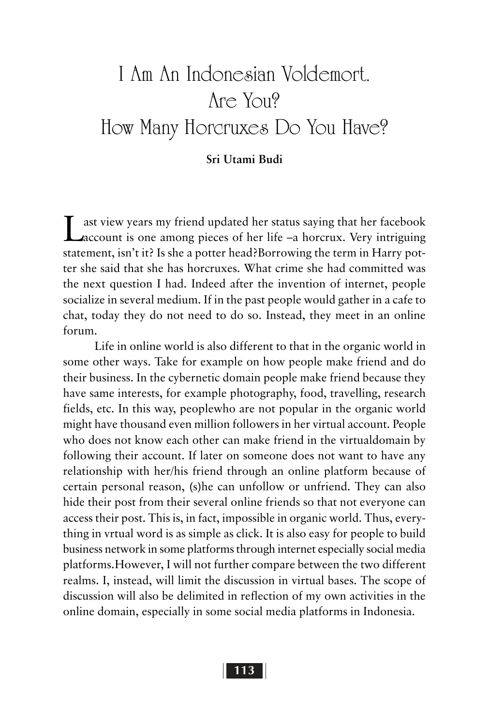# I Am An Indonesian Voldemort. Are You? How Many Horcruxes Do You Have?

#### **Sri Utami Budi**

Last view years my friend updated her status saying that her facebook account is one among pieces of her life –a horcrux. Very intriguing statement, isn't it? Is she a potter head?Borrowing the term in Harry potter she said that she has horcruxes. What crime she had committed was the next question I had. Indeed after the invention of internet, people socialize in several medium. If in the past people would gather in a cafe to chat, today they do not need to do so. Instead, they meet in an online forum.

Life in online world is also different to that in the organic world in some other ways. Take for example on how people make friend and do their business. In the cybernetic domain people make friend because they have same interests, for example photography, food, travelling, research fields, etc. In this way, peoplewho are not popular in the organic world might have thousand even million followers in her virtual account. People who does not know each other can make friend in the virtualdomain by following their account. If later on someone does not want to have any relationship with her/his friend through an online platform because of certain personal reason, (s)he can unfollow or unfriend. They can also hide their post from their several online friends so that not everyone can access their post. This is, in fact, impossible in organic world. Thus, everything in vrtual word is as simple as click. It is also easy for people to build business network in some platforms through internet especially social media platforms.However, I will not further compare between the two different realms. I, instead, will limit the discussion in virtual bases. The scope of discussion will also be delimited in reflection of my own activities in the online domain, especially in some social media platforms in Indonesia.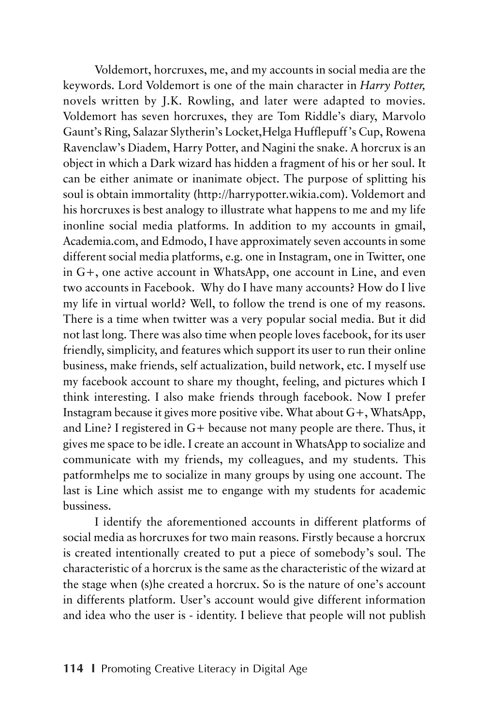Voldemort, horcruxes, me, and my accounts in social media are the keywords. Lord Voldemort is one of the main character in *Harry Potter,* novels written by J.K. Rowling, and later were adapted to movies. Voldemort has seven horcruxes, they are Tom Riddle's diary, Marvolo Gaunt's Ring, Salazar Slytherin's Locket,Helga Hufflepuff's Cup, Rowena Ravenclaw's Diadem, Harry Potter, and Nagini the snake. A horcrux is an object in which a Dark wizard has hidden a fragment of his or her soul. It can be either animate or inanimate object. The purpose of splitting his soul is obtain immortality (http://harrypotter.wikia.com). Voldemort and his horcruxes is best analogy to illustrate what happens to me and my life inonline social media platforms. In addition to my accounts in gmail, Academia.com, and Edmodo, I have approximately seven accounts in some different social media platforms, e.g. one in Instagram, one in Twitter, one in G+, one active account in WhatsApp, one account in Line, and even two accounts in Facebook. Why do I have many accounts? How do I live my life in virtual world? Well, to follow the trend is one of my reasons. There is a time when twitter was a very popular social media. But it did not last long. There was also time when people loves facebook, for its user friendly, simplicity, and features which support its user to run their online business, make friends, self actualization, build network, etc. I myself use my facebook account to share my thought, feeling, and pictures which I think interesting. I also make friends through facebook. Now I prefer Instagram because it gives more positive vibe. What about G+, WhatsApp, and Line? I registered in G+ because not many people are there. Thus, it gives me space to be idle. I create an account in WhatsApp to socialize and communicate with my friends, my colleagues, and my students. This patformhelps me to socialize in many groups by using one account. The last is Line which assist me to engange with my students for academic bussiness.

I identify the aforementioned accounts in different platforms of social media as horcruxes for two main reasons. Firstly because a horcrux is created intentionally created to put a piece of somebody's soul. The characteristic of a horcrux is the same as the characteristic of the wizard at the stage when (s)he created a horcrux. So is the nature of one's account in differents platform. User's account would give different information and idea who the user is - identity. I believe that people will not publish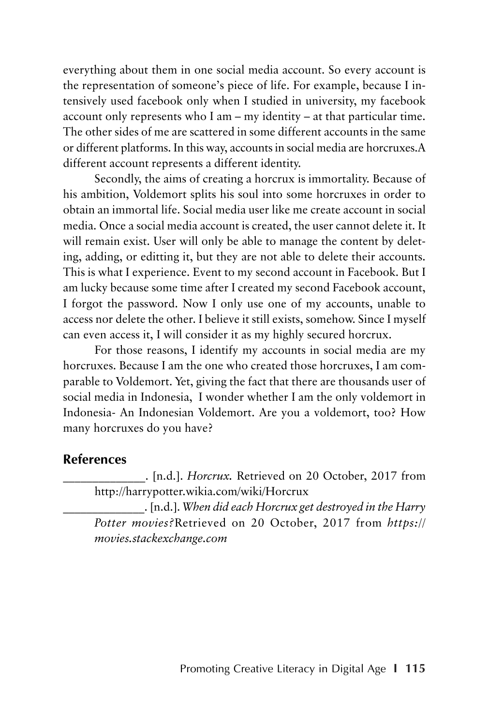everything about them in one social media account. So every account is the representation of someone's piece of life. For example, because I intensively used facebook only when I studied in university, my facebook account only represents who I am – my identity – at that particular time. The other sides of me are scattered in some different accounts in the same or different platforms. In this way, accounts in social media are horcruxes.A different account represents a different identity.

Secondly, the aims of creating a horcrux is immortality. Because of his ambition, Voldemort splits his soul into some horcruxes in order to obtain an immortal life. Social media user like me create account in social media. Once a social media account is created, the user cannot delete it. It will remain exist. User will only be able to manage the content by deleting, adding, or editting it, but they are not able to delete their accounts. This is what I experience. Event to my second account in Facebook. But I am lucky because some time after I created my second Facebook account, I forgot the password. Now I only use one of my accounts, unable to access nor delete the other. I believe it still exists, somehow. Since I myself can even access it, I will consider it as my highly secured horcrux.

For those reasons, I identify my accounts in social media are my horcruxes. Because I am the one who created those horcruxes, I am comparable to Voldemort. Yet, giving the fact that there are thousands user of social media in Indonesia, I wonder whether I am the only voldemort in Indonesia- An Indonesian Voldemort. Are you a voldemort, too? How many horcruxes do you have?

#### **References**

\_\_\_\_\_\_\_\_\_\_\_\_\_\_. [n.d.]. *Horcrux.* Retrieved on 20 October, 2017 from http://harrypotter.wikia.com/wiki/Horcrux

\_\_\_\_\_\_\_\_\_\_\_\_\_\_. [n.d.]. *When did each Horcrux get destroyed in the Harry Potter movies?*Retrieved on 20 October, 2017 from *https:// movies.stackexchange.com*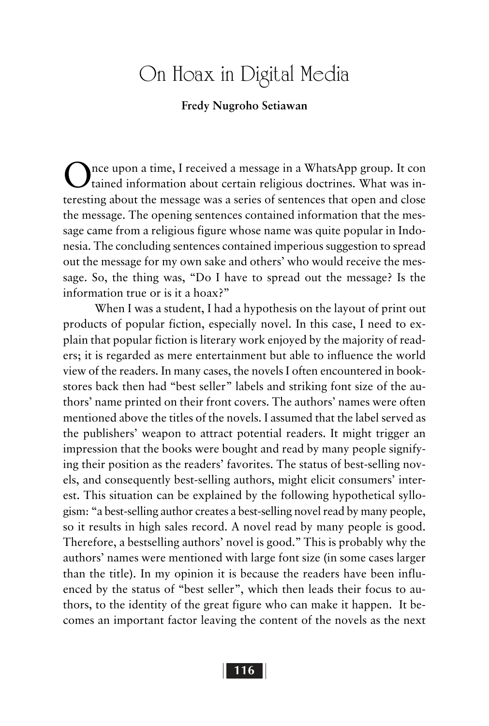### On Hoax in Digital Media

#### **Fredy Nugroho Setiawan**

Once upon a time, I received a message in a WhatsApp group. It con tained information about certain religious doctrines. What was interesting about the message was a series of sentences that open and close the message. The opening sentences contained information that the message came from a religious figure whose name was quite popular in Indonesia. The concluding sentences contained imperious suggestion to spread out the message for my own sake and others' who would receive the message. So, the thing was, "Do I have to spread out the message? Is the information true or is it a hoax?"

When I was a student, I had a hypothesis on the layout of print out products of popular fiction, especially novel. In this case, I need to explain that popular fiction is literary work enjoyed by the majority of readers; it is regarded as mere entertainment but able to influence the world view of the readers. In many cases, the novels I often encountered in bookstores back then had "best seller" labels and striking font size of the authors' name printed on their front covers. The authors' names were often mentioned above the titles of the novels. I assumed that the label served as the publishers' weapon to attract potential readers. It might trigger an impression that the books were bought and read by many people signifying their position as the readers' favorites. The status of best-selling novels, and consequently best-selling authors, might elicit consumers' interest. This situation can be explained by the following hypothetical syllogism: "a best-selling author creates a best-selling novel read by many people, so it results in high sales record. A novel read by many people is good. Therefore, a bestselling authors' novel is good." This is probably why the authors' names were mentioned with large font size (in some cases larger than the title). In my opinion it is because the readers have been influenced by the status of "best seller", which then leads their focus to authors, to the identity of the great figure who can make it happen. It becomes an important factor leaving the content of the novels as the next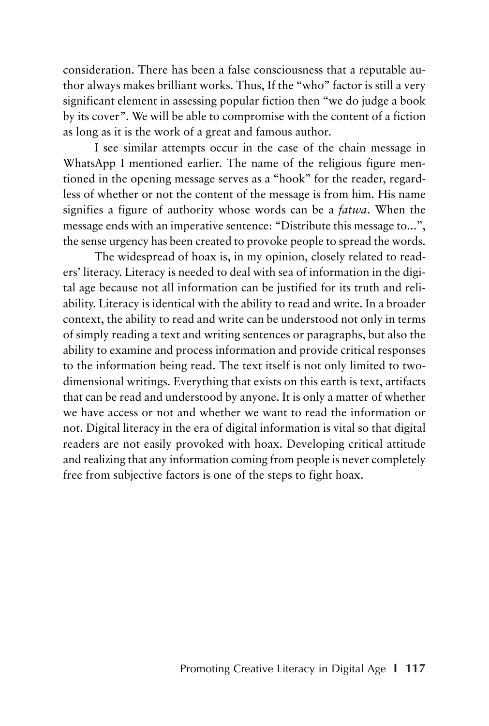consideration. There has been a false consciousness that a reputable author always makes brilliant works. Thus, If the "who" factor is still a very significant element in assessing popular fiction then "we do judge a book by its cover". We will be able to compromise with the content of a fiction as long as it is the work of a great and famous author.

I see similar attempts occur in the case of the chain message in WhatsApp I mentioned earlier. The name of the religious figure mentioned in the opening message serves as a "hook" for the reader, regardless of whether or not the content of the message is from him. His name signifies a figure of authority whose words can be a *fatwa*. When the message ends with an imperative sentence: "Distribute this message to...", the sense urgency has been created to provoke people to spread the words.

The widespread of hoax is, in my opinion, closely related to readers' literacy. Literacy is needed to deal with sea of information in the digital age because not all information can be justified for its truth and reliability. Literacy is identical with the ability to read and write. In a broader context, the ability to read and write can be understood not only in terms of simply reading a text and writing sentences or paragraphs, but also the ability to examine and process information and provide critical responses to the information being read. The text itself is not only limited to twodimensional writings. Everything that exists on this earth is text, artifacts that can be read and understood by anyone. It is only a matter of whether we have access or not and whether we want to read the information or not. Digital literacy in the era of digital information is vital so that digital readers are not easily provoked with hoax. Developing critical attitude and realizing that any information coming from people is never completely free from subjective factors is one of the steps to fight hoax.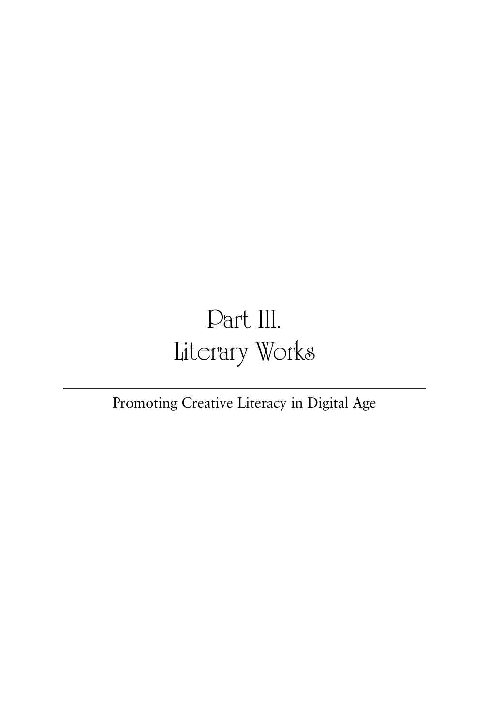# Part III. Literary Works

### Promoting Creative Literacy in Digital Age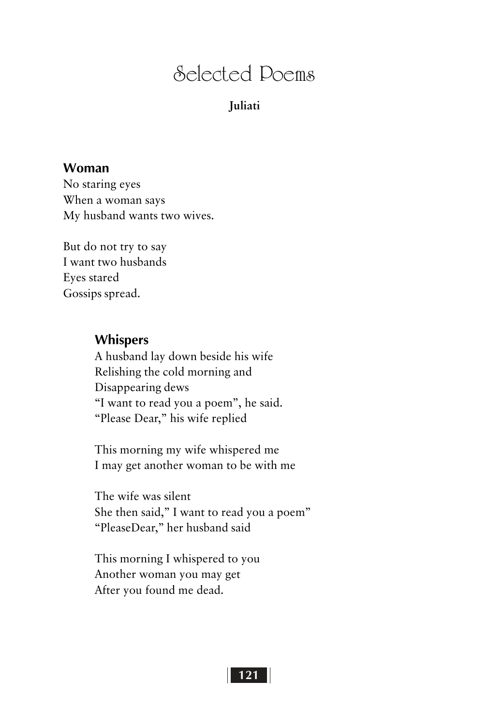### Selected Poems

#### **Juliati**

#### **Woman**

No staring eyes When a woman says My husband wants two wives.

But do not try to say I want two husbands Eyes stared Gossips spread.

#### **Whispers**

A husband lay down beside his wife Relishing the cold morning and Disappearing dews "I want to read you a poem", he said. "Please Dear," his wife replied

This morning my wife whispered me I may get another woman to be with me

The wife was silent She then said," I want to read you a poem" "PleaseDear," her husband said

This morning I whispered to you Another woman you may get After you found me dead.

#### **121 121**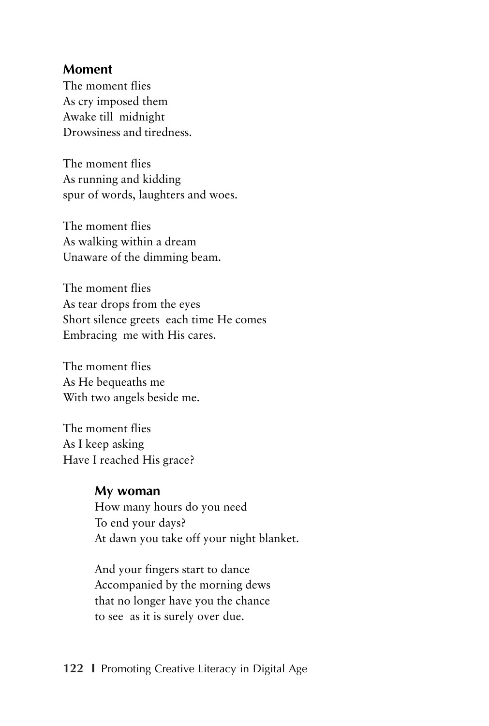#### **Moment**

The moment flies As cry imposed them Awake till midnight Drowsiness and tiredness.

The moment flies As running and kidding spur of words, laughters and woes.

The moment flies As walking within a dream Unaware of the dimming beam.

The moment flies As tear drops from the eyes Short silence greets each time He comes Embracing me with His cares.

The moment flies As He bequeaths me With two angels beside me.

The moment flies As I keep asking Have I reached His grace?

#### **My woman**

How many hours do you need To end your days? At dawn you take off your night blanket.

And your fingers start to dance Accompanied by the morning dews that no longer have you the chance to see as it is surely over due.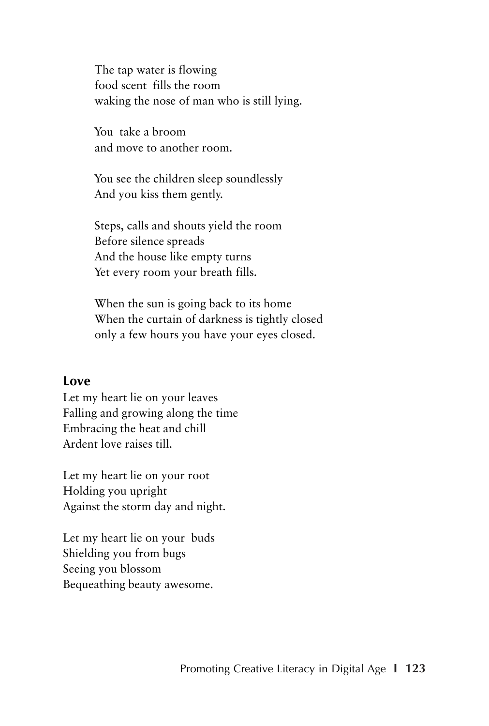The tap water is flowing food scent fills the room waking the nose of man who is still lying.

You take a broom and move to another room.

You see the children sleep soundlessly And you kiss them gently.

Steps, calls and shouts yield the room Before silence spreads And the house like empty turns Yet every room your breath fills.

When the sun is going back to its home When the curtain of darkness is tightly closed only a few hours you have your eyes closed.

#### **Love**

Let my heart lie on your leaves Falling and growing along the time Embracing the heat and chill Ardent love raises till.

Let my heart lie on your root Holding you upright Against the storm day and night.

Let my heart lie on your buds Shielding you from bugs Seeing you blossom Bequeathing beauty awesome.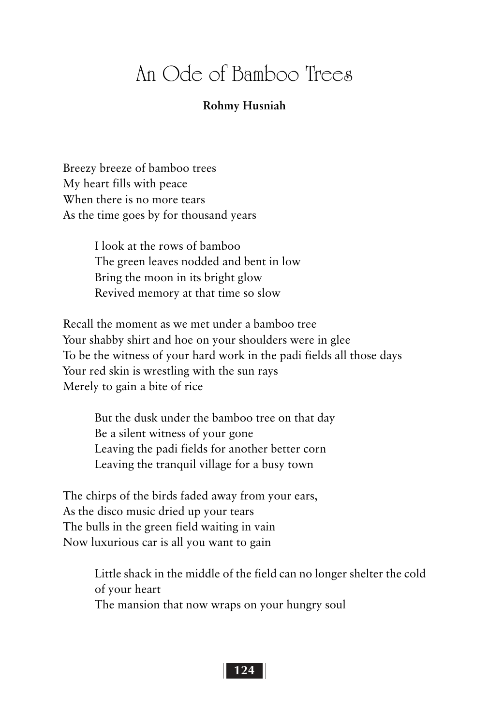### An Ode of Bamboo Trees

#### **Rohmy Husniah**

Breezy breeze of bamboo trees My heart fills with peace When there is no more tears As the time goes by for thousand years

> I look at the rows of bamboo The green leaves nodded and bent in low Bring the moon in its bright glow Revived memory at that time so slow

Recall the moment as we met under a bamboo tree Your shabby shirt and hoe on your shoulders were in glee To be the witness of your hard work in the padi fields all those days Your red skin is wrestling with the sun rays Merely to gain a bite of rice

But the dusk under the bamboo tree on that day Be a silent witness of your gone Leaving the padi fields for another better corn Leaving the tranquil village for a busy town

The chirps of the birds faded away from your ears, As the disco music dried up your tears The bulls in the green field waiting in vain Now luxurious car is all you want to gain

> Little shack in the middle of the field can no longer shelter the cold of your heart The mansion that now wraps on your hungry soul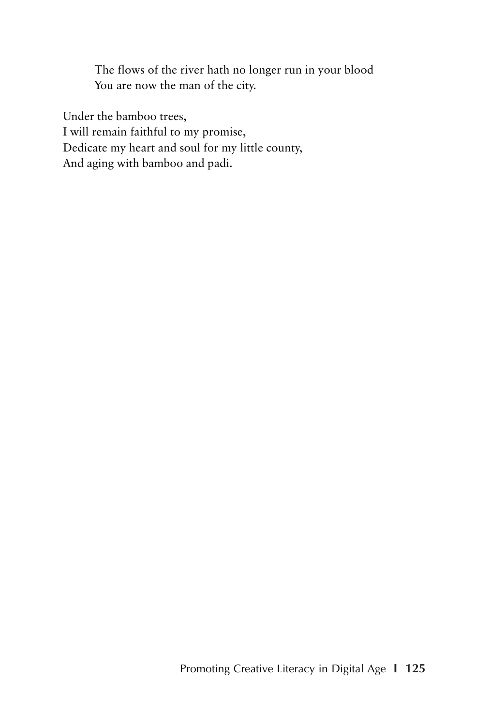The flows of the river hath no longer run in your blood You are now the man of the city.

Under the bamboo trees, I will remain faithful to my promise, Dedicate my heart and soul for my little county, And aging with bamboo and padi.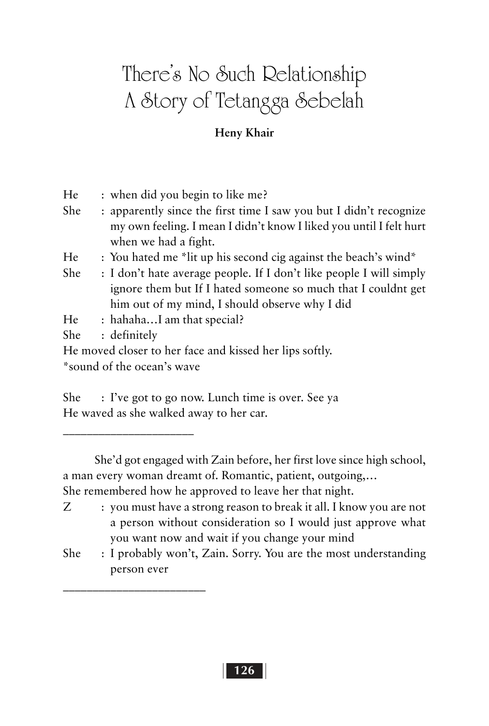# There's No Such Relationship A Story of Tetangga Sebelah

#### **Heny Khair**

| He                         |  | : when did you begin to like me?                                    |
|----------------------------|--|---------------------------------------------------------------------|
| She                        |  | : apparently since the first time I saw you but I didn't recognize  |
|                            |  | my own feeling. I mean I didn't know I liked you until I felt hurt  |
|                            |  | when we had a fight.                                                |
| He                         |  | : You hated me *lit up his second cig against the beach's wind*     |
| She                        |  | : I don't hate average people. If I don't like people I will simply |
|                            |  | ignore them but If I hated someone so much that I couldnt get       |
|                            |  | him out of my mind, I should observe why I did                      |
| He                         |  | : hahahaI am that special?                                          |
| She                        |  | : definitely                                                        |
|                            |  | He moved closer to her face and kissed her lips softly.             |
| *sound of the ocean's wave |  |                                                                     |
|                            |  |                                                                     |

She : I've got to go now. Lunch time is over. See ya He waved as she walked away to her car.

 $\mathcal{L}=\mathcal{L}^{\mathcal{L}}$  , where  $\mathcal{L}^{\mathcal{L}}$  , we have the set of the set of the set of the set of the set of the set of the set of the set of the set of the set of the set of the set of the set of the set of the set of

 $\frac{1}{2}$  ,  $\frac{1}{2}$  ,  $\frac{1}{2}$  ,  $\frac{1}{2}$  ,  $\frac{1}{2}$  ,  $\frac{1}{2}$  ,  $\frac{1}{2}$  ,  $\frac{1}{2}$  ,  $\frac{1}{2}$  ,  $\frac{1}{2}$ 

She'd got engaged with Zain before, her first love since high school, a man every woman dreamt of. Romantic, patient, outgoing,… She remembered how he approved to leave her that night.

- Z : you must have a strong reason to break it all. I know you are not a person without consideration so I would just approve what you want now and wait if you change your mind
- She : I probably won't, Zain. Sorry. You are the most understanding person ever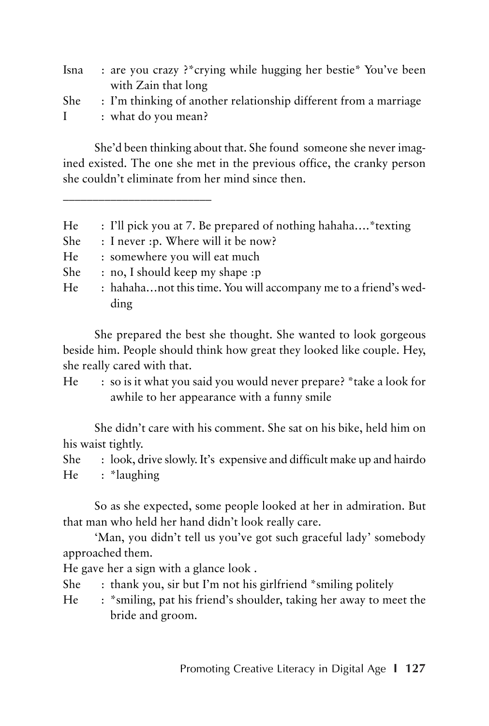| Isna         | : are you crazy ?* crying while hugging her bestie* You've been  |
|--------------|------------------------------------------------------------------|
|              | with Zain that long                                              |
| She          | : I'm thinking of another relationship different from a marriage |
| $\mathbf{I}$ | : what do you mean?                                              |

She'd been thinking about that. She found someone she never imagined existed. The one she met in the previous office, the cranky person she couldn't eliminate from her mind since then.

- He : I'll pick you at 7. Be prepared of nothing hahaha.... \* texting
- She : I never : p. Where will it be now?
- He : somewhere you will eat much
- She : no, I should keep my shape :p
- He : hahaha...not this time. You will accompany me to a friend's wedding

She prepared the best she thought. She wanted to look gorgeous beside him. People should think how great they looked like couple. Hey, she really cared with that.

He : so is it what you said you would never prepare? \*take a look for awhile to her appearance with a funny smile

She didn't care with his comment. She sat on his bike, held him on his waist tightly.

She : look, drive slowly. It's expensive and difficult make up and hairdo He : \*laughing

So as she expected, some people looked at her in admiration. But that man who held her hand didn't look really care.

'Man, you didn't tell us you've got such graceful lady' somebody approached them.

He gave her a sign with a glance look .

She : thank you, sir but I'm not his girlfriend \*smiling politely

He : \*smiling, pat his friend's shoulder, taking her away to meet the bride and groom.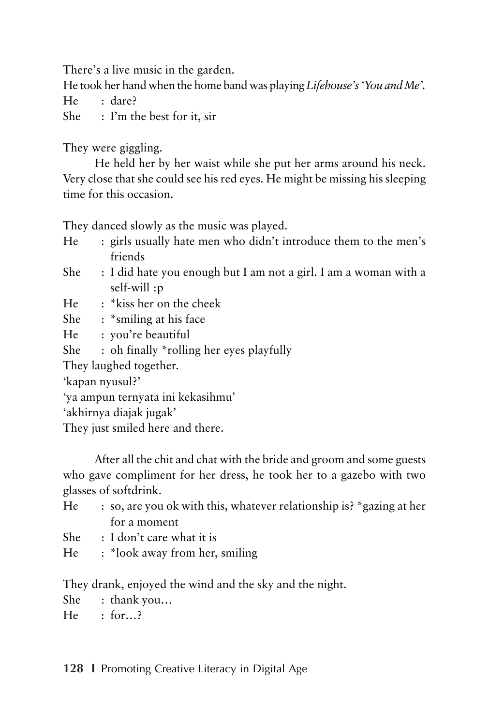There's a live music in the garden.

He took her hand when the home band was playing *Lifehouse's 'You and Me'.*

He : dare?

She : I'm the best for it, sir

They were giggling.

He held her by her waist while she put her arms around his neck. Very close that she could see his red eyes. He might be missing his sleeping time for this occasion.

They danced slowly as the music was played.

- He : girls usually hate men who didn't introduce them to the men's friends
- She : I did hate you enough but I am not a girl. I am a woman with a self-will :p
- He : \*kiss her on the cheek
- She : \*smiling at his face
- He : you're beautiful
- She : oh finally \*rolling her eyes playfully

They laughed together.

'kapan nyusul?'

'ya ampun ternyata ini kekasihmu'

'akhirnya diajak jugak'

They just smiled here and there.

After all the chit and chat with the bride and groom and some guests who gave compliment for her dress, he took her to a gazebo with two glasses of softdrink.

- He : so, are you ok with this, whatever relationship is? \*gazing at her for a moment
- She : I don't care what it is
- He : \*look away from her, smiling

They drank, enjoyed the wind and the sky and the night.

She : thank you…

 $He$   $\cdot$  for  $\rightarrow$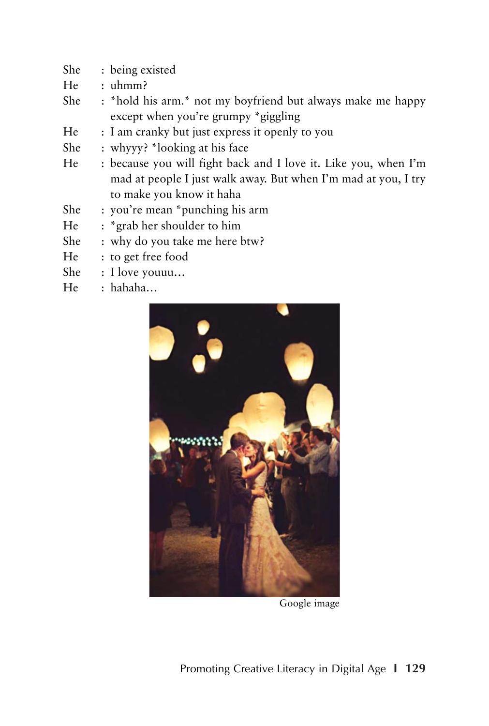- She : being existed
- He : uhmm?
- She : \*hold his arm.\* not my boyfriend but always make me happy except when you're grumpy \*giggling
- He : I am cranky but just express it openly to you
- She : whyyy? \*looking at his face
- He : because you will fight back and I love it. Like you, when I'm mad at people I just walk away. But when I'm mad at you, I try to make you know it haha
- She : you're mean \*punching his arm
- He : \*grab her shoulder to him
- She : why do you take me here btw?
- He : to get free food
- She : I love youuu…
- He : hahaha…



Google image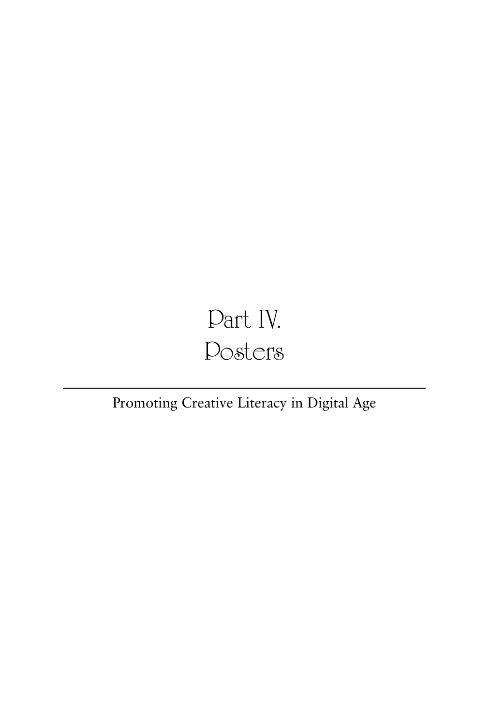# Part IV. Posters

### Promoting Creative Literacy in Digital Age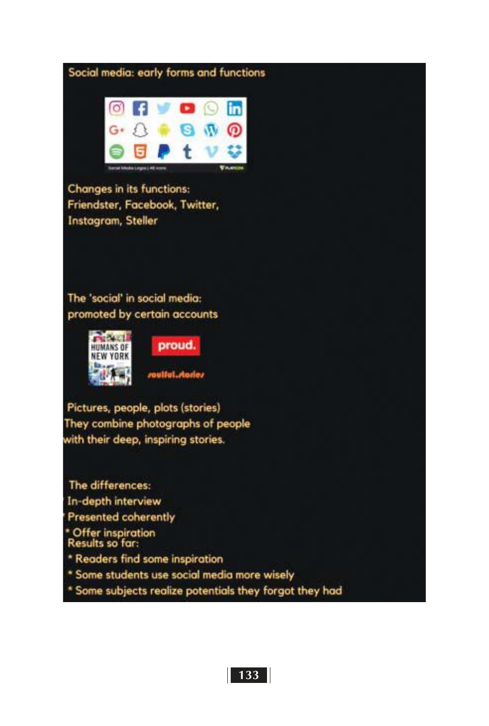



**Changes in its functions:** Friendster, Facebook, Twitter, Instagram, Steller

The 'social' in social media: promoted by certain accounts



proud.

roulful.rtorier

Pictures, people, plots (stories) They combine photographs of people with their deep, inspiring stories.

The differences: In-depth interview Presented coherently \* Offer inspiration<br>Results so far: \* Readers find some inspiration \* Some students use social media more wisely \* Some subjects realize potentials they forgot they had